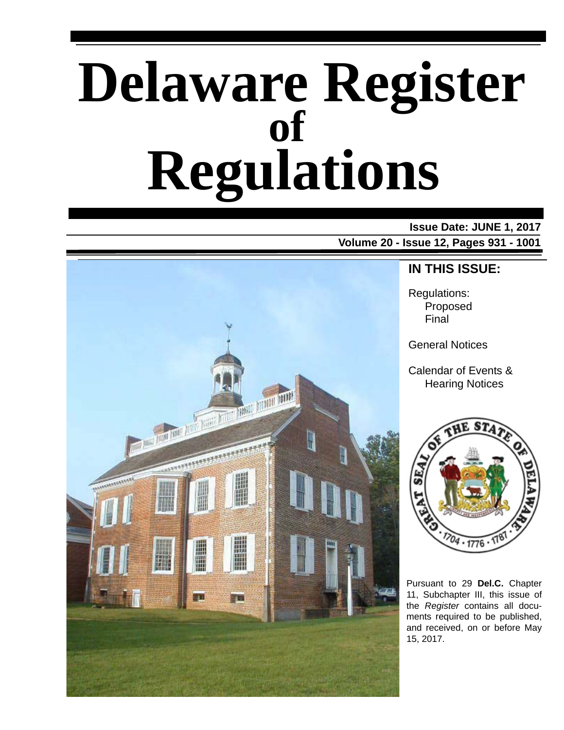# **Delaware Register Regulations of**

# **Issue Date: JUNE 1, 2017**





### **IN THIS ISSUE:**

Regulations: Proposed Final

General Notices

Calendar of Events & Hearing Notices



Pursuant to 29 **Del.C.** Chapter 11, Subchapter III, this issue of the *Register* contains all documents required to be published, and received, on or before May 15, 2017.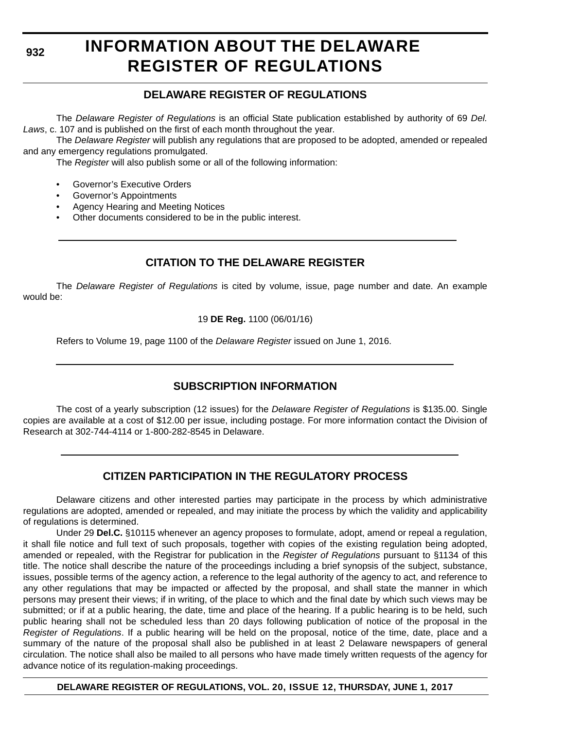# **INFORMATION ABOUT THE DELAWARE REGISTER OF REGULATIONS**

### **DELAWARE REGISTER OF REGULATIONS**

The *Delaware Register of Regulations* is an official State publication established by authority of 69 *Del. Laws*, c. 107 and is published on the first of each month throughout the year.

The *Delaware Register* will publish any regulations that are proposed to be adopted, amended or repealed and any emergency regulations promulgated.

The *Register* will also publish some or all of the following information:

- Governor's Executive Orders
- Governor's Appointments
- Agency Hearing and Meeting Notices
- Other documents considered to be in the public interest.

### **CITATION TO THE DELAWARE REGISTER**

The *Delaware Register of Regulations* is cited by volume, issue, page number and date. An example would be:

19 **DE Reg.** 1100 (06/01/16)

Refers to Volume 19, page 1100 of the *Delaware Register* issued on June 1, 2016.

### **SUBSCRIPTION INFORMATION**

The cost of a yearly subscription (12 issues) for the *Delaware Register of Regulations* is \$135.00. Single copies are available at a cost of \$12.00 per issue, including postage. For more information contact the Division of Research at 302-744-4114 or 1-800-282-8545 in Delaware.

### **CITIZEN PARTICIPATION IN THE REGULATORY PROCESS**

Delaware citizens and other interested parties may participate in the process by which administrative regulations are adopted, amended or repealed, and may initiate the process by which the validity and applicability of regulations is determined.

Under 29 **Del.C.** §10115 whenever an agency proposes to formulate, adopt, amend or repeal a regulation, it shall file notice and full text of such proposals, together with copies of the existing regulation being adopted, amended or repealed, with the Registrar for publication in the *Register of Regulations* pursuant to §1134 of this title. The notice shall describe the nature of the proceedings including a brief synopsis of the subject, substance, issues, possible terms of the agency action, a reference to the legal authority of the agency to act, and reference to any other regulations that may be impacted or affected by the proposal, and shall state the manner in which persons may present their views; if in writing, of the place to which and the final date by which such views may be submitted; or if at a public hearing, the date, time and place of the hearing. If a public hearing is to be held, such public hearing shall not be scheduled less than 20 days following publication of notice of the proposal in the *Register of Regulations*. If a public hearing will be held on the proposal, notice of the time, date, place and a summary of the nature of the proposal shall also be published in at least 2 Delaware newspapers of general circulation. The notice shall also be mailed to all persons who have made timely written requests of the agency for advance notice of its regulation-making proceedings.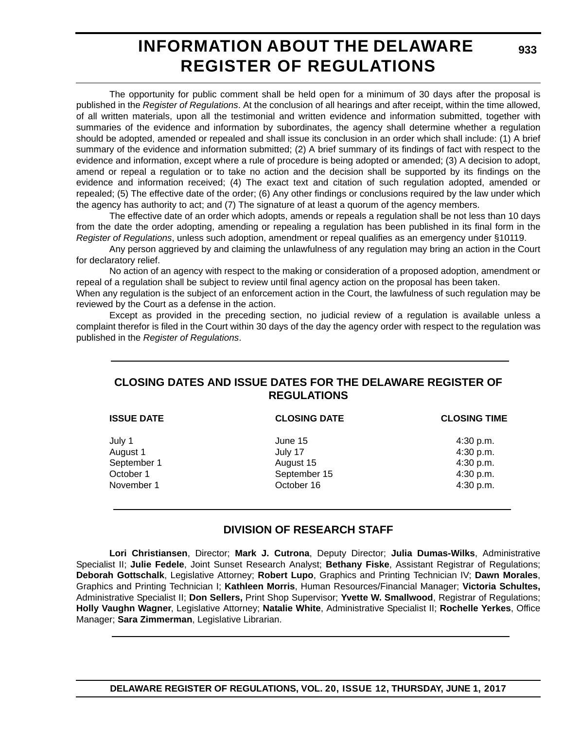### **INFORMATION ABOUT THE DELAWARE REGISTER OF REGULATIONS**

**933**

The opportunity for public comment shall be held open for a minimum of 30 days after the proposal is published in the *Register of Regulations*. At the conclusion of all hearings and after receipt, within the time allowed, of all written materials, upon all the testimonial and written evidence and information submitted, together with summaries of the evidence and information by subordinates, the agency shall determine whether a regulation should be adopted, amended or repealed and shall issue its conclusion in an order which shall include: (1) A brief summary of the evidence and information submitted; (2) A brief summary of its findings of fact with respect to the evidence and information, except where a rule of procedure is being adopted or amended; (3) A decision to adopt, amend or repeal a regulation or to take no action and the decision shall be supported by its findings on the evidence and information received; (4) The exact text and citation of such regulation adopted, amended or repealed; (5) The effective date of the order; (6) Any other findings or conclusions required by the law under which the agency has authority to act; and (7) The signature of at least a quorum of the agency members.

The effective date of an order which adopts, amends or repeals a regulation shall be not less than 10 days from the date the order adopting, amending or repealing a regulation has been published in its final form in the *Register of Regulations*, unless such adoption, amendment or repeal qualifies as an emergency under §10119.

Any person aggrieved by and claiming the unlawfulness of any regulation may bring an action in the Court for declaratory relief.

No action of an agency with respect to the making or consideration of a proposed adoption, amendment or repeal of a regulation shall be subject to review until final agency action on the proposal has been taken.

When any regulation is the subject of an enforcement action in the Court, the lawfulness of such regulation may be reviewed by the Court as a defense in the action.

Except as provided in the preceding section, no judicial review of a regulation is available unless a complaint therefor is filed in the Court within 30 days of the day the agency order with respect to the regulation was published in the *Register of Regulations*.

### **CLOSING DATES AND ISSUE DATES FOR THE DELAWARE REGISTER OF REGULATIONS**

| <b>ISSUE DATE</b> | <b>CLOSING DATE</b> | <b>CLOSING TIME</b> |
|-------------------|---------------------|---------------------|
| July 1            | June 15             | 4:30 p.m.           |
| August 1          | July 17             | 4:30 p.m.           |
| September 1       | August 15           | 4:30 p.m.           |
| October 1         | September 15        | 4:30 p.m.           |
| November 1        | October 16          | 4:30 p.m.           |

### **DIVISION OF RESEARCH STAFF**

**Lori Christiansen**, Director; **Mark J. Cutrona**, Deputy Director; **Julia Dumas-Wilks**, Administrative Specialist II; **Julie Fedele**, Joint Sunset Research Analyst; **Bethany Fiske**, Assistant Registrar of Regulations; **Deborah Gottschalk**, Legislative Attorney; **Robert Lupo**, Graphics and Printing Technician IV; **Dawn Morales**, Graphics and Printing Technician I; **Kathleen Morris**, Human Resources/Financial Manager; **Victoria Schultes,** Administrative Specialist II; **Don Sellers,** Print Shop Supervisor; **Yvette W. Smallwood**, Registrar of Regulations; **Holly Vaughn Wagner**, Legislative Attorney; **Natalie White**, Administrative Specialist II; **Rochelle Yerkes**, Office Manager; **Sara Zimmerman**, Legislative Librarian.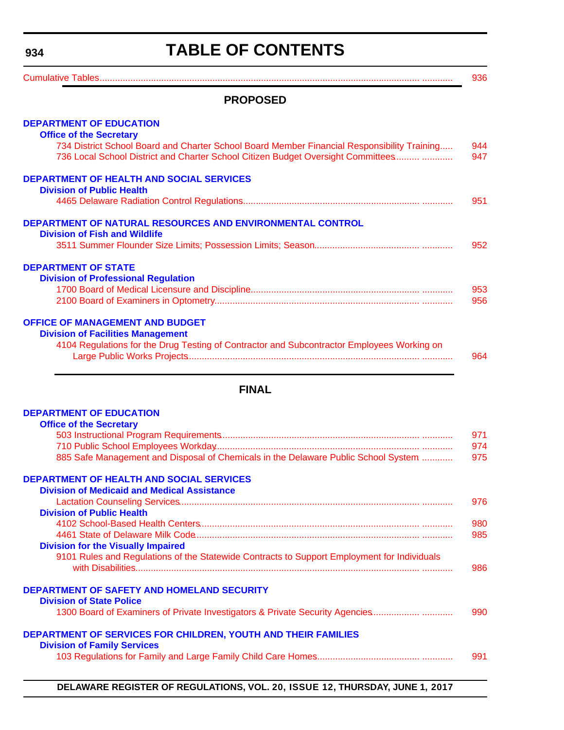# **TABLE OF CONTENTS**

<span id="page-3-0"></span>

| <b>PROPOSED</b>                                                                                                                                                                 |            |
|---------------------------------------------------------------------------------------------------------------------------------------------------------------------------------|------------|
| <b>DEPARTMENT OF EDUCATION</b>                                                                                                                                                  |            |
| <b>Office of the Secretary</b>                                                                                                                                                  |            |
| 734 District School Board and Charter School Board Member Financial Responsibility Training<br>736 Local School District and Charter School Citizen Budget Oversight Committees | 944<br>947 |
| <b>DEPARTMENT OF HEALTH AND SOCIAL SERVICES</b><br><b>Division of Public Health</b>                                                                                             |            |
|                                                                                                                                                                                 | 951        |
| <b>DEPARTMENT OF NATURAL RESOURCES AND ENVIRONMENTAL CONTROL</b><br><b>Division of Fish and Wildlife</b>                                                                        |            |
|                                                                                                                                                                                 | 952        |
| <b>DEPARTMENT OF STATE</b>                                                                                                                                                      |            |
| <b>Division of Professional Regulation</b>                                                                                                                                      |            |
|                                                                                                                                                                                 | 953        |
|                                                                                                                                                                                 | 956        |
| <b>OFFICE OF MANAGEMENT AND BUDGET</b>                                                                                                                                          |            |
| <b>Division of Facilities Management</b>                                                                                                                                        |            |
| 4104 Regulations for the Drug Testing of Contractor and Subcontractor Employees Working on                                                                                      | 964        |

### **FINAL**

| <b>DEPARTMENT OF EDUCATION</b>                                                                             |     |
|------------------------------------------------------------------------------------------------------------|-----|
| <b>Office of the Secretary</b>                                                                             |     |
|                                                                                                            | 971 |
|                                                                                                            | 974 |
| 885 Safe Management and Disposal of Chemicals in the Delaware Public School System                         | 975 |
| <b>DEPARTMENT OF HEALTH AND SOCIAL SERVICES</b>                                                            |     |
| <b>Division of Medicaid and Medical Assistance</b>                                                         |     |
|                                                                                                            | 976 |
| <b>Division of Public Health</b>                                                                           |     |
|                                                                                                            | 980 |
|                                                                                                            | 985 |
| <b>Division for the Visually Impaired</b>                                                                  |     |
| 9101 Rules and Regulations of the Statewide Contracts to Support Employment for Individuals                |     |
|                                                                                                            | 986 |
| <b>DEPARTMENT OF SAFETY AND HOMELAND SECURITY</b>                                                          |     |
| <b>Division of State Police</b>                                                                            |     |
| 1300 Board of Examiners of Private Investigators & Private Security Agencies                               | 990 |
| <b>DEPARTMENT OF SERVICES FOR CHILDREN, YOUTH AND THEIR FAMILIES</b><br><b>Division of Family Services</b> |     |
|                                                                                                            | 991 |
|                                                                                                            |     |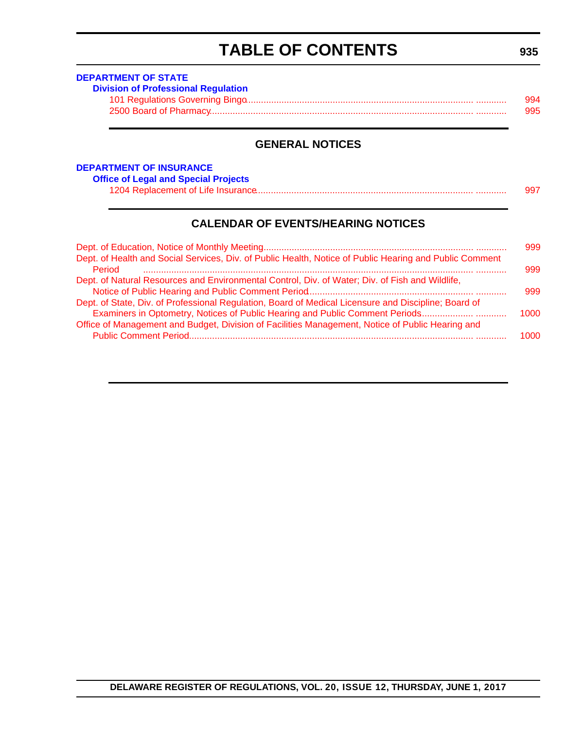# **TABLE OF CONTENTS**

<span id="page-4-0"></span>

| <b>Division of Professional Regulation</b> |     |
|--------------------------------------------|-----|
|                                            | 994 |
|                                            | 995 |

### **GENERAL NOTICES**

| <b>DEPARTMENT OF INSURANCE</b> |                                             |  |  |  |
|--------------------------------|---------------------------------------------|--|--|--|
|                                | <b>Office of Legal and Special Projects</b> |  |  |  |

| <b>ICE OF Legal and Opecial Flojects</b> |  |
|------------------------------------------|--|
|                                          |  |

### **CALENDAR OF EVENTS/HEARING NOTICES**

| 999  |
|------|
| 999  |
|      |
| 999  |
|      |
| 1000 |
|      |
| 1000 |
|      |

### **935**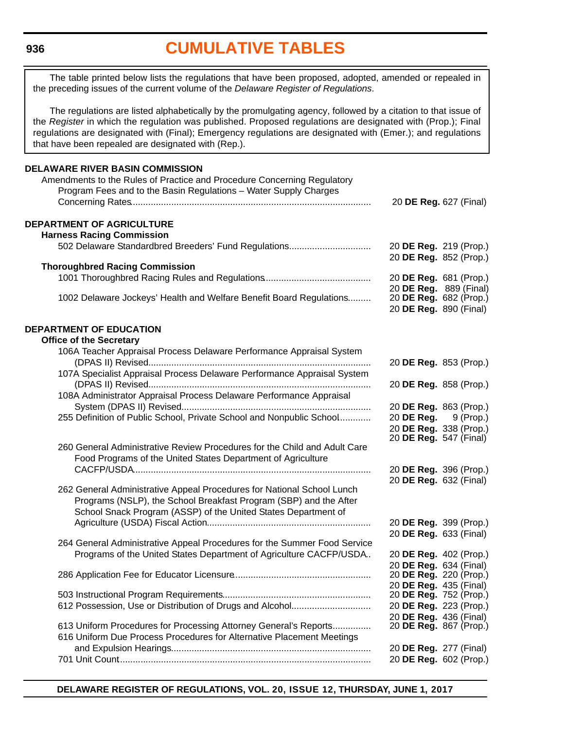### **[CUMULATIVE TABLES](#page-3-0)**

<span id="page-5-0"></span>The table printed below lists the regulations that have been proposed, adopted, amended or repealed in the preceding issues of the current volume of the *Delaware Register of Regulations*.

The regulations are listed alphabetically by the promulgating agency, followed by a citation to that issue of the *Register* in which the regulation was published. Proposed regulations are designated with (Prop.); Final regulations are designated with (Final); Emergency regulations are designated with (Emer.); and regulations that have been repealed are designated with (Rep.).

### **DELAWARE RIVER BASIN COMMISSION** Amendments to the Rules of Practice and Procedure Concerning Regulatory Program Fees and to the Basin Regulations – Water Supply Charges Concerning Rates.............................................................................................. 20 **DE Reg.** 627 (Final) **DEPARTMENT OF AGRICULTURE Harness Racing Commission** 502 Delaware Standardbred Breeders' Fund Regulations................................ 20 **DE Reg.** 219 (Prop.) 20 **DE Reg.** 852 (Prop.) **Thoroughbred Racing Commission** 1001 Thoroughbred Racing Rules and Regulations.......................................... 20 **DE Reg.** 681 (Prop.) 20 **DE Reg.** 889 (Final) 1002 Delaware Jockeys' Health and Welfare Benefit Board Regulations......... 20 **DE Reg.** 890 (Final) **DEPARTMENT OF EDUCATION Office of the Secretary** 106A Teacher Appraisal Process Delaware Performance Appraisal System (DPAS II) Revised....................................................................................... 20 **DE Reg.** 853 (Prop.) 107A Specialist Appraisal Process Delaware Performance Appraisal System (DPAS II) Revised....................................................................................... 20 **DE Reg.** 858 (Prop.) 108A Administrator Appraisal Process Delaware Performance Appraisal System (DPAS II) Revised.......................................................................... 20 **DE Reg.** 863 (Prop.) 255 Definition of Public School, Private School and Nonpublic School............. 20 **DE Reg.** 9 (Prop.) 20 **DE Reg.** 338 (Prop.) 20 **DE Reg.** 547 (Final) 260 General Administrative Review Procedures for the Child and Adult Care Food Programs of the United States Department of Agriculture CACFP/USDA............................................................................................. 20 **DE Reg.** 396 (Prop.) 20 **DE Reg.** 632 (Final) 262 General Administrative Appeal Procedures for National School Lunch Programs (NSLP), the School Breakfast Program (SBP) and the After School Snack Program (ASSP) of the United States Department of Agriculture (USDA) Fiscal Action................................................................ 20 **DE Reg.** 399 (Prop.) 20 **DE Reg.** 633 (Final) 264 General Administrative Appeal Procedures for the Summer Food Service Programs of the United States Department of Agriculture CACFP/USDA.. 20 **DE Reg.** 402 (Prop.) 20 **DE Reg.** 634 (Final) 286 Application Fee for Educator Licensure...................................................... 20 **DE Reg.** 220 (Prop.) 20 **DE Reg.** 435 (Final) 503 Instructional Program Requirements.......................................................... 20 **DE Reg.** 752 (Prop.) 612 Possession, Use or Distribution of Drugs and Alcohol............................... 20 **DE Reg.** 223 (Prop.) 20 **DE Reg.** 436 (Final) 613 Uniform Procedures for Processing Attorney General's Reports............... 616 Uniform Due Process Procedures for Alternative Placement Meetings and Expulsion Hearings.............................................................................. 20 **DE Reg.** 277 (Final) 701 Unit Count................................................................................................... 20 **DE Reg.** 602 (Prop.)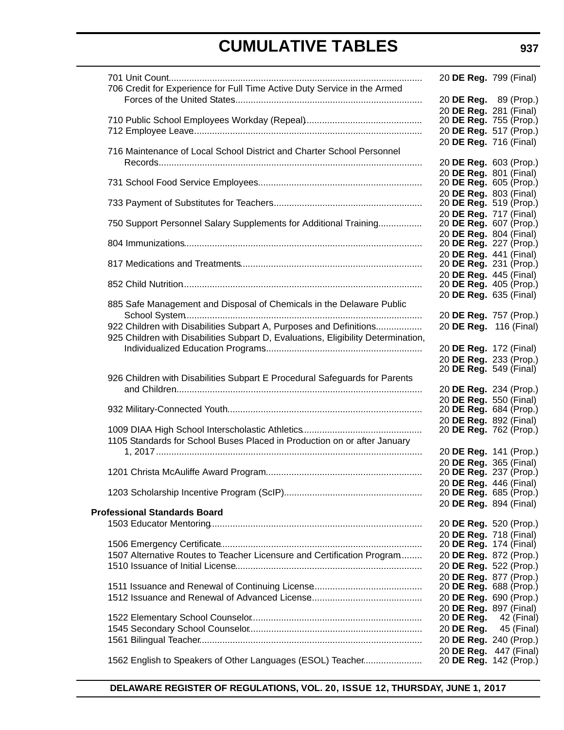|                                                                                   | 20 DE Reg. 799 (Final)                           |  |
|-----------------------------------------------------------------------------------|--------------------------------------------------|--|
| 706 Credit for Experience for Full Time Active Duty Service in the Armed          |                                                  |  |
|                                                                                   | 20 DE Reg. 89 (Prop.)                            |  |
|                                                                                   | 20 DE Reg. 281 (Final)<br>20 DE Reg. 755 (Prop.) |  |
|                                                                                   | 20 DE Reg. 517 (Prop.)                           |  |
|                                                                                   | 20 DE Reg. 716 (Final)                           |  |
| 716 Maintenance of Local School District and Charter School Personnel             |                                                  |  |
|                                                                                   | 20 DE Reg. 603 (Prop.)                           |  |
|                                                                                   | 20 DE Reg. 801 (Final)                           |  |
|                                                                                   | 20 DE Reg. 605 (Prop.)                           |  |
|                                                                                   | 20 DE Reg. 803 (Final)                           |  |
|                                                                                   | 20 <b>DE Reg.</b> 519 (Prop.)                    |  |
| 750 Support Personnel Salary Supplements for Additional Training                  | 20 DE Reg. 717 (Final)<br>20 DE Reg. 607 (Prop.) |  |
|                                                                                   | 20 DE Reg. 804 (Final)                           |  |
|                                                                                   | 20 DE Reg. 227 (Prop.)                           |  |
|                                                                                   | 20 DE Reg. 441 (Final)                           |  |
|                                                                                   | 20 DE Reg. 231 (Prop.)                           |  |
|                                                                                   | 20 DE Reg. 445 (Final)                           |  |
|                                                                                   | 20 DE Reg. 405 (Prop.)                           |  |
|                                                                                   | 20 DE Reg. 635 (Final)                           |  |
| 885 Safe Management and Disposal of Chemicals in the Delaware Public              |                                                  |  |
|                                                                                   | 20 DE Reg. 757 (Prop.)                           |  |
| 922 Children with Disabilities Subpart A, Purposes and Definitions                | 20 DE Reg. 116 (Final)                           |  |
| 925 Children with Disabilities Subpart D, Evaluations, Eligibility Determination, |                                                  |  |
|                                                                                   | 20 DE Reg. 172 (Final)<br>20 DE Reg. 233 (Prop.) |  |
|                                                                                   | 20 <b>DE Reg.</b> 549 (Final)                    |  |
| 926 Children with Disabilities Subpart E Procedural Safeguards for Parents        |                                                  |  |
|                                                                                   | 20 DE Reg. 234 (Prop.)                           |  |
|                                                                                   | 20 DE Reg. 550 (Final)                           |  |
|                                                                                   | 20 DE Reg. 684 (Prop.)                           |  |
|                                                                                   | 20 DE Reg. 892 (Final)                           |  |
|                                                                                   | 20 DE Reg. 762 (Prop.)                           |  |
| 1105 Standards for School Buses Placed in Production on or after January          |                                                  |  |
|                                                                                   | 20 DE Reg. 141 (Prop.)                           |  |
|                                                                                   | 20 DE Reg. 365 (Final)<br>20 DE Reg. 237 (Prop.) |  |
|                                                                                   | 20 DE Reg. 446 (Final)                           |  |
|                                                                                   | 20 DE Reg. 685 (Prop.)                           |  |
|                                                                                   | 20 DE Reg. 894 (Final)                           |  |
| <b>Professional Standards Board</b>                                               |                                                  |  |
|                                                                                   | 20 DE Reg. 520 (Prop.)                           |  |
|                                                                                   | 20 DE Reg. 718 (Final)                           |  |
|                                                                                   | 20 <b>DE Reg.</b> 174 (Final)                    |  |
| 1507 Alternative Routes to Teacher Licensure and Certification Program            | 20 DE Reg. 872 (Prop.)                           |  |
|                                                                                   | 20 DE Reg. 522 (Prop.)<br>20 DE Reg. 877 (Prop.) |  |
|                                                                                   | 20 DE Reg. 688 (Prop.)                           |  |
|                                                                                   | 20 DE Reg. 690 (Prop.)                           |  |
|                                                                                   | 20 DE Reg. 897 (Final)                           |  |
|                                                                                   | 20 <b>DE Reg.</b> 42 (Final)                     |  |
|                                                                                   | 20 <b>DE Reg.</b> 45 (Final)                     |  |
|                                                                                   | 20 DE Reg. 240 (Prop.)                           |  |
|                                                                                   | 20 DE Reg. 447 (Final)                           |  |
| 1562 English to Speakers of Other Languages (ESOL) Teacher                        | 20 DE Reg. 142 (Prop.)                           |  |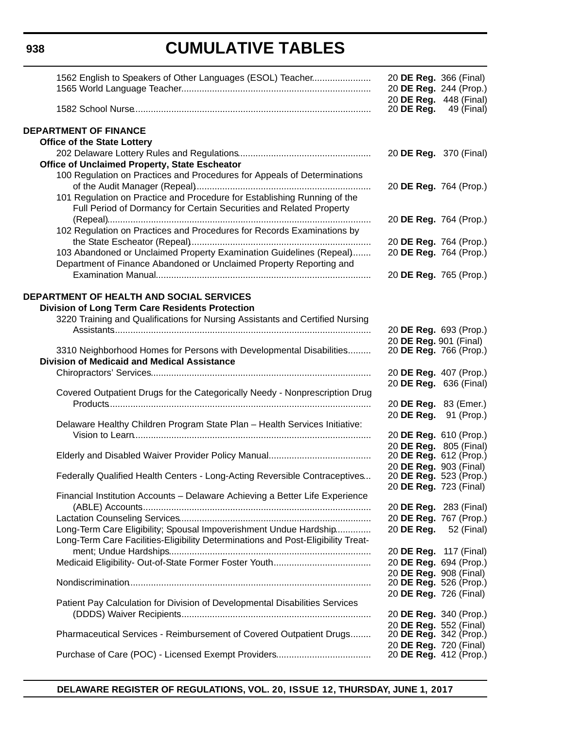# **CUMULATIVE TABLES**

| 1562 English to Speakers of Other Languages (ESOL) Teacher                                                                                      | 20 DE Reg. 366 (Final)<br>20 DE Reg. 448 (Final) | 20 DE Reg. 244 (Prop.) |
|-------------------------------------------------------------------------------------------------------------------------------------------------|--------------------------------------------------|------------------------|
|                                                                                                                                                 | 20 DE Reg.                                       | 49 (Final)             |
| <b>DEPARTMENT OF FINANCE</b>                                                                                                                    |                                                  |                        |
| <b>Office of the State Lottery</b>                                                                                                              |                                                  |                        |
|                                                                                                                                                 | 20 DE Reg. 370 (Final)                           |                        |
| Office of Unclaimed Property, State Escheator                                                                                                   |                                                  |                        |
| 100 Regulation on Practices and Procedures for Appeals of Determinations                                                                        |                                                  |                        |
|                                                                                                                                                 | 20 DE Reg. 764 (Prop.)                           |                        |
| 101 Regulation on Practice and Procedure for Establishing Running of the<br>Full Period of Dormancy for Certain Securities and Related Property |                                                  |                        |
| 102 Regulation on Practices and Procedures for Records Examinations by                                                                          |                                                  | 20 DE Reg. 764 (Prop.) |
|                                                                                                                                                 | 20 DE Reg. 764 (Prop.)                           |                        |
| 103 Abandoned or Unclaimed Property Examination Guidelines (Repeal)                                                                             |                                                  | 20 DE Reg. 764 (Prop.) |
| Department of Finance Abandoned or Unclaimed Property Reporting and                                                                             |                                                  |                        |
|                                                                                                                                                 | 20 DE Reg. 765 (Prop.)                           |                        |
| DEPARTMENT OF HEALTH AND SOCIAL SERVICES                                                                                                        |                                                  |                        |
| <b>Division of Long Term Care Residents Protection</b>                                                                                          |                                                  |                        |
| 3220 Training and Qualifications for Nursing Assistants and Certified Nursing                                                                   |                                                  |                        |
|                                                                                                                                                 | 20 DE Reg. 693 (Prop.)                           |                        |
|                                                                                                                                                 | 20 DE Reg. 901 (Final)                           |                        |
| 3310 Neighborhood Homes for Persons with Developmental Disabilities<br><b>Division of Medicaid and Medical Assistance</b>                       | 20 DE Reg. 766 (Prop.)                           |                        |
|                                                                                                                                                 | 20 DE Reg. 407 (Prop.)                           |                        |
|                                                                                                                                                 | 20 DE Reg. 636 (Final)                           |                        |
| Covered Outpatient Drugs for the Categorically Needy - Nonprescription Drug                                                                     |                                                  |                        |
|                                                                                                                                                 | 20 DE Reg. 83 (Emer.)                            |                        |
| Delaware Healthy Children Program State Plan - Health Services Initiative:                                                                      | 20 DE Reg. 91 (Prop.)                            |                        |
|                                                                                                                                                 | 20 DE Reg. 610 (Prop.)                           |                        |
|                                                                                                                                                 | 20 DE Reg. 805 (Final)                           |                        |
|                                                                                                                                                 | 20 DE Reg. 612 (Prop.)                           |                        |
|                                                                                                                                                 | 20 DE Reg. 903 (Final)                           |                        |
| Federally Qualified Health Centers - Long-Acting Reversible Contraceptives                                                                      | 20 DE Reg. 723 (Final)                           | 20 DE Reg. 523 (Prop.) |
| Financial Institution Accounts - Delaware Achieving a Better Life Experience                                                                    |                                                  |                        |
|                                                                                                                                                 |                                                  | 20 DE Reg. 283 (Final) |
|                                                                                                                                                 |                                                  | 20 DE Reg. 767 (Prop.) |
| Long-Term Care Eligibility; Spousal Impoverishment Undue Hardship                                                                               |                                                  | 20 DE Reg. 52 (Final)  |
| Long-Term Care Facilities-Eligibility Determinations and Post-Eligibility Treat-                                                                |                                                  |                        |
|                                                                                                                                                 | 20 DE Reg. 117 (Final)                           |                        |
|                                                                                                                                                 |                                                  | 20 DE Reg. 694 (Prop.) |
|                                                                                                                                                 | 20 DE Reg. 908 (Final)                           |                        |
|                                                                                                                                                 | 20 DE Reg. 526 (Prop.)<br>20 DE Reg. 726 (Final) |                        |
| Patient Pay Calculation for Division of Developmental Disabilities Services                                                                     |                                                  |                        |
|                                                                                                                                                 | 20 DE Reg. 340 (Prop.)                           |                        |
|                                                                                                                                                 | 20 DE Reg. 552 (Final)                           |                        |
| Pharmaceutical Services - Reimbursement of Covered Outpatient Drugs                                                                             | 20 DE Reg. 342 (Prop.)                           |                        |
|                                                                                                                                                 | 20 DE Reg. 720 (Final)<br>20 DE Reg. 412 (Prop.) |                        |
|                                                                                                                                                 |                                                  |                        |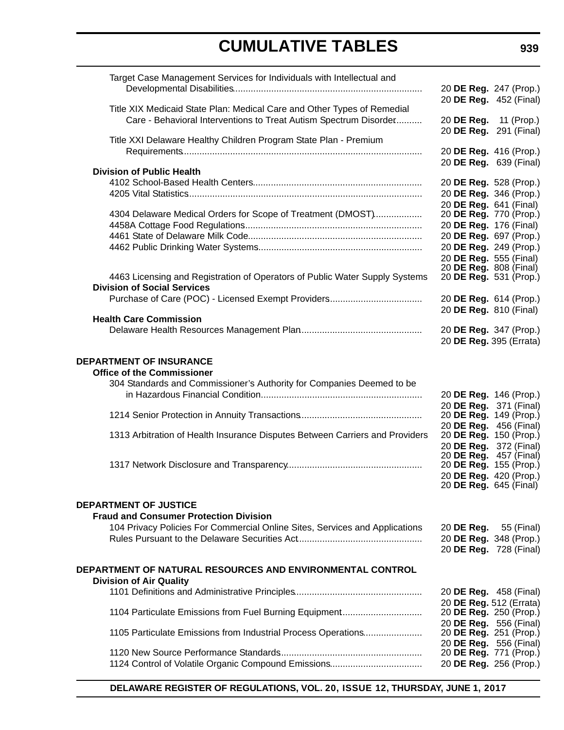| Target Case Management Services for Individuals with Intellectual and        |                                                  |                        |
|------------------------------------------------------------------------------|--------------------------------------------------|------------------------|
|                                                                              | 20 DE Reg. 247 (Prop.)                           |                        |
|                                                                              | 20 DE Reg. 452 (Final)                           |                        |
| Title XIX Medicaid State Plan: Medical Care and Other Types of Remedial      |                                                  |                        |
| Care - Behavioral Interventions to Treat Autism Spectrum Disorder            | 20 DE Reg. 11 (Prop.)                            |                        |
|                                                                              | 20 DE Reg. 291 (Final)                           |                        |
| Title XXI Delaware Healthy Children Program State Plan - Premium             |                                                  |                        |
|                                                                              | 20 DE Reg. 416 (Prop.)                           |                        |
|                                                                              | 20 DE Reg. 639 (Final)                           |                        |
| <b>Division of Public Health</b>                                             |                                                  |                        |
|                                                                              | 20 DE Reg. 528 (Prop.)                           |                        |
|                                                                              | 20 DE Reg. 346 (Prop.)                           |                        |
|                                                                              | 20 DE Reg. 641 (Final)                           |                        |
| 4304 Delaware Medical Orders for Scope of Treatment (DMOST)                  | 20 DE Reg. 770 (Prop.)                           |                        |
|                                                                              | 20 DE Reg. 176 (Final)                           |                        |
|                                                                              | 20 DE Reg. 697 (Prop.)                           |                        |
|                                                                              |                                                  | 20 DE Reg. 249 (Prop.) |
|                                                                              | 20 DE Req. 555 (Final)                           |                        |
|                                                                              | 20 DE Reg. 808 (Final)                           |                        |
| 4463 Licensing and Registration of Operators of Public Water Supply Systems  | 20 DE Reg. 531 (Prop.)                           |                        |
| <b>Division of Social Services</b>                                           |                                                  |                        |
|                                                                              | 20 DE Reg. 614 (Prop.)                           |                        |
|                                                                              | 20 DE Reg. 810 (Final)                           |                        |
| <b>Health Care Commission</b>                                                |                                                  |                        |
|                                                                              | 20 DE Reg. 347 (Prop.)                           |                        |
|                                                                              | 20 DE Reg. 395 (Errata)                          |                        |
|                                                                              |                                                  |                        |
| <b>DEPARTMENT OF INSURANCE</b>                                               |                                                  |                        |
| <b>Office of the Commissioner</b>                                            |                                                  |                        |
| 304 Standards and Commissioner's Authority for Companies Deemed to be        |                                                  |                        |
|                                                                              | 20 DE Reg. 146 (Prop.)                           |                        |
|                                                                              | 20 DE Reg. 371 (Final)                           |                        |
|                                                                              | 20 DE Reg. 149 (Prop.)                           |                        |
| 1313 Arbitration of Health Insurance Disputes Between Carriers and Providers | 20 DE Reg. 456 (Final)<br>20 DE Reg. 150 (Prop.) |                        |
|                                                                              | 20 DE Reg. 372 (Final)                           |                        |
|                                                                              | 20 DE Reg.                                       | 457 (Final)            |
|                                                                              | 20 DE Reg. 155 (Prop.)                           |                        |
|                                                                              |                                                  | 20 DE Reg. 420 (Prop.) |
|                                                                              |                                                  | 20 DE Reg. 645 (Final) |
|                                                                              |                                                  |                        |
| <b>DEPARTMENT OF JUSTICE</b>                                                 |                                                  |                        |
| <b>Fraud and Consumer Protection Division</b>                                |                                                  |                        |
| 104 Privacy Policies For Commercial Online Sites, Services and Applications  | 20 <b>DE Reg.</b> 55 (Final)                     |                        |
|                                                                              | 20 DE Reg. 348 (Prop.)                           |                        |
|                                                                              |                                                  | 20 DE Reg. 728 (Final) |
|                                                                              |                                                  |                        |
| DEPARTMENT OF NATURAL RESOURCES AND ENVIRONMENTAL CONTROL                    |                                                  |                        |
| <b>Division of Air Quality</b>                                               |                                                  |                        |
|                                                                              | 20 DE Reg. 458 (Final)                           |                        |
|                                                                              | 20 DE Reg. 512 (Errata)                          |                        |
| 1104 Particulate Emissions from Fuel Burning Equipment                       | 20 DE Reg. 250 (Prop.)                           |                        |
|                                                                              | 20 DE Reg. 556 (Final)                           |                        |
| 1105 Particulate Emissions from Industrial Process Operations                | 20 DE Reg. 251 (Prop.)                           |                        |
|                                                                              | 20 DE Reg. 556 (Final)                           |                        |
|                                                                              | 20 DE Reg. 771 (Prop.)                           |                        |
|                                                                              | 20 DE Reg. 256 (Prop.)                           |                        |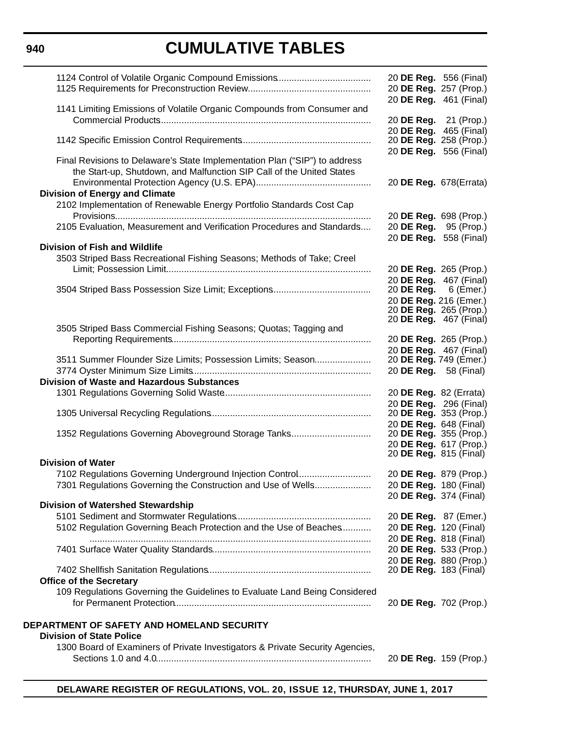# **CUMULATIVE TABLES**

|                                                                                                                | 20 <b>DE Reg.</b> 556 (Final)<br>20 DE Reg. 257 (Prop.) |
|----------------------------------------------------------------------------------------------------------------|---------------------------------------------------------|
| 1141 Limiting Emissions of Volatile Organic Compounds from Consumer and                                        | 20 DE Reg. 461 (Final)                                  |
|                                                                                                                | 20 DE Reg. 21 (Prop.)                                   |
|                                                                                                                | 20 DE Reg. 465 (Final)<br>20 DE Reg. 258 (Prop.)        |
| Final Revisions to Delaware's State Implementation Plan ("SIP") to address                                     | 20 DE Reg. 556 (Final)                                  |
| the Start-up, Shutdown, and Malfunction SIP Call of the United States                                          | 20 DE Reg. 678(Errata)                                  |
| <b>Division of Energy and Climate</b>                                                                          |                                                         |
| 2102 Implementation of Renewable Energy Portfolio Standards Cost Cap                                           | 20 DE Reg. 698 (Prop.)                                  |
| 2105 Evaluation, Measurement and Verification Procedures and Standards                                         | 20 <b>DE Reg.</b> 95 (Prop.)<br>20 DE Reg. 558 (Final)  |
| <b>Division of Fish and Wildlife</b><br>3503 Striped Bass Recreational Fishing Seasons; Methods of Take; Creel |                                                         |
|                                                                                                                | 20 DE Reg. 265 (Prop.)                                  |
|                                                                                                                | 20 DE Reg. 467 (Final)                                  |
|                                                                                                                | 20 <b>DE Reg.</b> 6 (Emer.)<br>20 DE Reg. 216 (Emer.)   |
|                                                                                                                | 20 DE Reg. 265 (Prop.)<br>20 <b>DE Reg.</b> 467 (Final) |
| 3505 Striped Bass Commercial Fishing Seasons; Quotas; Tagging and                                              |                                                         |
|                                                                                                                | 20 DE Reg. 265 (Prop.)<br>20 DE Reg. 467 (Final)        |
| 3511 Summer Flounder Size Limits; Possession Limits; Season                                                    | 20 DE Reg. 749 (Emer.)                                  |
| <b>Division of Waste and Hazardous Substances</b>                                                              | 20 DE Reg. 58 (Final)                                   |
|                                                                                                                | 20 DE Reg. 82 (Errata)                                  |
|                                                                                                                | 20 DE Reg. 296 (Final)<br>20 DE Reg. 353 (Prop.)        |
|                                                                                                                | 20 DE Reg. 648 (Final)                                  |
| 1352 Regulations Governing Aboveground Storage Tanks                                                           | 20 DE Reg. 355 (Prop.)<br>20 DE Reg. 617 (Prop.)        |
| <b>Division of Water</b>                                                                                       | 20 <b>DE Reg.</b> 815 (Final)                           |
| 7102 Regulations Governing Underground Injection Control                                                       | 20 DE Reg. 879 (Prop.)                                  |
| 7301 Regulations Governing the Construction and Use of Wells                                                   | 20 DE Reg. 180 (Final)                                  |
| <b>Division of Watershed Stewardship</b>                                                                       | 20 DE Reg. 374 (Final)                                  |
|                                                                                                                | 20 DE Reg. 87 (Emer.)                                   |
| 5102 Regulation Governing Beach Protection and the Use of Beaches                                              | 20 DE Reg. 120 (Final)<br>20 DE Reg. 818 (Final)        |
|                                                                                                                | 20 DE Reg. 533 (Prop.)                                  |
|                                                                                                                | 20 DE Reg. 880 (Prop.)<br>20 DE Reg. 183 (Final)        |
| <b>Office of the Secretary</b>                                                                                 |                                                         |
| 109 Regulations Governing the Guidelines to Evaluate Land Being Considered                                     | 20 DE Reg. 702 (Prop.)                                  |
|                                                                                                                |                                                         |
| DEPARTMENT OF SAFETY AND HOMELAND SECURITY<br><b>Division of State Police</b>                                  |                                                         |
| 1300 Board of Examiners of Private Investigators & Private Security Agencies,                                  |                                                         |
|                                                                                                                | 20 DE Reg. 159 (Prop.)                                  |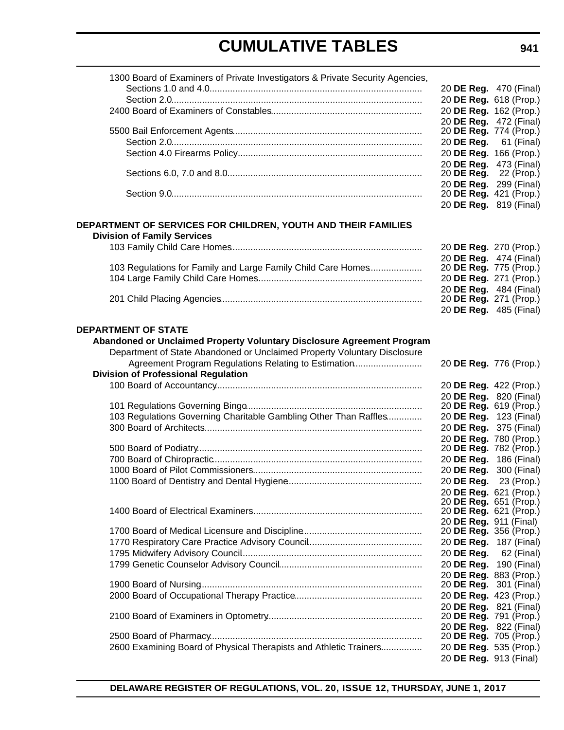| 1300 Board of Examiners of Private Investigators & Private Security Agencies, |                                                  |            |
|-------------------------------------------------------------------------------|--------------------------------------------------|------------|
|                                                                               | 20 DE Reg. 470 (Final)                           |            |
|                                                                               | 20 DE Reg. 618 (Prop.)                           |            |
|                                                                               | 20 DE Reg. 162 (Prop.)                           |            |
|                                                                               | 20 DE Reg. 472 (Final)                           |            |
|                                                                               | 20 DE Reg. 774 (Prop.)                           |            |
|                                                                               | 20 DE Reg. 61 (Final)                            |            |
|                                                                               | 20 DE Reg. 166 (Prop.)                           |            |
|                                                                               | 20 DE Reg. 473 (Final)<br>20 DE Reg.             | 22 (Prop.) |
|                                                                               | 20 DE Reg. 299 (Final)                           |            |
|                                                                               | 20 DE Reg. 421 (Prop.)                           |            |
|                                                                               | 20 DE Reg. 819 (Final)                           |            |
| DEPARTMENT OF SERVICES FOR CHILDREN, YOUTH AND THEIR FAMILIES                 |                                                  |            |
| <b>Division of Family Services</b>                                            |                                                  |            |
|                                                                               | 20 DE Reg. 270 (Prop.)                           |            |
|                                                                               | 20 DE Reg. 474 (Final)                           |            |
| 103 Regulations for Family and Large Family Child Care Homes                  | 20 DE Reg. 775 (Prop.)                           |            |
|                                                                               | 20 DE Reg. 271 (Prop.)                           |            |
|                                                                               | 20 DE Reg. 484 (Final)<br>20 DE Reg. 271 (Prop.) |            |
|                                                                               | 20 DE Reg. 485 (Final)                           |            |
|                                                                               |                                                  |            |
| <b>DEPARTMENT OF STATE</b>                                                    |                                                  |            |
| Abandoned or Unclaimed Property Voluntary Disclosure Agreement Program        |                                                  |            |
| Department of State Abandoned or Unclaimed Property Voluntary Disclosure      |                                                  |            |
| Agreement Program Regulations Relating to Estimation                          | 20 DE Reg. 776 (Prop.)                           |            |
| <b>Division of Professional Regulation</b>                                    |                                                  |            |
|                                                                               | 20 DE Reg. 422 (Prop.)                           |            |
|                                                                               | 20 DE Reg. 820 (Final)<br>20 DE Reg. 619 (Prop.) |            |
| 103 Regulations Governing Charitable Gambling Other Than Raffles              | 20 DE Reg. 123 (Final)                           |            |
|                                                                               | 20 DE Reg. 375 (Final)                           |            |
|                                                                               | 20 DE Reg. 780 (Prop.)                           |            |
|                                                                               | 20 DE Reg. 782 (Prop.)                           |            |
|                                                                               | 20 DE Reg. 186 (Final)                           |            |
|                                                                               | 20 DE Reg. 300 (Final)                           |            |
|                                                                               | 20 DE Reg. 23 (Prop.)                            |            |
|                                                                               | 20 DE Reg. 621 (Prop.)                           |            |
|                                                                               | 20 DE Reg. 651 (Prop.)                           |            |
|                                                                               | 20 DE Reg. 621 (Prop.)                           |            |
|                                                                               | 20 DE Reg. 911 (Final)                           |            |
|                                                                               | 20 DE Reg. 356 (Prop.)                           |            |
|                                                                               | 20 DE Reg. 187 (Final)                           |            |
|                                                                               | 20 DE Reg.                                       | 62 (Final) |
|                                                                               | 20 DE Reg. 190 (Final)                           |            |
|                                                                               | 20 DE Reg. 883 (Prop.)                           |            |
|                                                                               | 20 DE Reg. 301 (Final)<br>20 DE Reg. 423 (Prop.) |            |
|                                                                               | 20 DE Reg. 821 (Final)                           |            |
|                                                                               | 20 DE Reg. 791 (Prop.)                           |            |
|                                                                               | 20 DE Reg. 822 (Final)                           |            |
|                                                                               | 20 DE Reg. 705 (Prop.)                           |            |
| 2600 Examining Board of Physical Therapists and Athletic Trainers             | 20 DE Reg. 535 (Prop.)                           |            |
|                                                                               | 20 DE Reg. 913 (Final)                           |            |
|                                                                               |                                                  |            |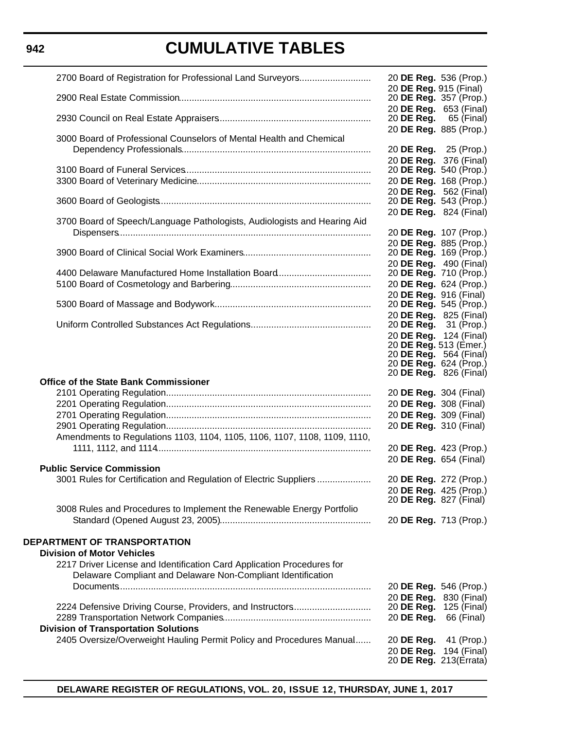| 2700 Board of Registration for Professional Land Surveyors                | 20 DE Reg. 536 (Prop.)                                  |
|---------------------------------------------------------------------------|---------------------------------------------------------|
|                                                                           | 20 DE Reg. 915 (Final)<br>20 DE Reg. 357 (Prop.)        |
|                                                                           | 20 DE Reg. 653 (Final)<br>20 <b>DE Reg.</b> 65 (Final)  |
|                                                                           | 20 DE Reg. 885 (Prop.)                                  |
| 3000 Board of Professional Counselors of Mental Health and Chemical       | 20 DE Reg. 25 (Prop.)                                   |
|                                                                           | 20 DE Reg. 376 (Final)                                  |
|                                                                           | 20 DE Reg. 540 (Prop.)                                  |
|                                                                           | 20 DE Reg. 168 (Prop.)                                  |
|                                                                           | 20 DE Reg. 562 (Final)<br>20 <b>DE Reg.</b> 543 (Prop.) |
|                                                                           | 20 DE Reg. 824 (Final)                                  |
| 3700 Board of Speech/Language Pathologists, Audiologists and Hearing Aid  |                                                         |
|                                                                           | 20 DE Reg. 107 (Prop.)                                  |
|                                                                           | 20 DE Reg. 885 (Prop.)<br>20 DE Reg. 169 (Prop.)        |
|                                                                           | 20 DE Reg. 490 (Final)                                  |
|                                                                           | 20 DE Reg. 710 (Prop.)                                  |
|                                                                           | 20 DE Reg. 624 (Prop.)                                  |
|                                                                           | 20 DE Reg. 916 (Final)                                  |
|                                                                           | 20 DE Reg. 545 (Prop.)<br>20 DE Reg. 825 (Final)        |
|                                                                           | 20 <b>DE Reg.</b> 31 (Prop.)                            |
|                                                                           | 20 DE Reg. 124 (Final)                                  |
|                                                                           | 20 DE Reg. 513 (Emer.)<br>20 <b>DE Reg.</b> 564 (Final) |
|                                                                           | 20 DE Reg. 624 (Prop.)                                  |
|                                                                           | 20 <b>DE Reg.</b> 826 (Final)                           |
| <b>Office of the State Bank Commissioner</b>                              |                                                         |
|                                                                           | 20 DE Reg. 304 (Final)<br>20 DE Reg. 308 (Final)        |
|                                                                           | 20 DE Reg. 309 (Final)                                  |
|                                                                           | 20 DE Reg. 310 (Final)                                  |
| Amendments to Regulations 1103, 1104, 1105, 1106, 1107, 1108, 1109, 1110, |                                                         |
|                                                                           | 20 DE Reg. 423 (Prop.)                                  |
| <b>Public Service Commission</b>                                          | 20 DE Reg. 654 (Final)                                  |
| 3001 Rules for Certification and Regulation of Electric Suppliers         | 20 DE Reg. 272 (Prop.)                                  |
|                                                                           | 20 DE Reg. 425 (Prop.)                                  |
|                                                                           | 20 DE Reg. 827 (Final)                                  |
| 3008 Rules and Procedures to Implement the Renewable Energy Portfolio     |                                                         |
|                                                                           | 20 DE Reg. 713 (Prop.)                                  |
| <b>DEPARTMENT OF TRANSPORTATION</b>                                       |                                                         |
| <b>Division of Motor Vehicles</b>                                         |                                                         |
| 2217 Driver License and Identification Card Application Procedures for    |                                                         |
| Delaware Compliant and Delaware Non-Compliant Identification              |                                                         |
|                                                                           | 20 DE Reg. 546 (Prop.)                                  |
| 2224 Defensive Driving Course, Providers, and Instructors                 | 20 DE Reg. 830 (Final)<br>20 <b>DE Reg.</b> 125 (Final) |
|                                                                           | 20 DE Reg.<br>66 (Final)                                |
| <b>Division of Transportation Solutions</b>                               |                                                         |
| 2405 Oversize/Overweight Hauling Permit Policy and Procedures Manual      | 20 DE Reg.<br>41 (Prop.)                                |
|                                                                           | 20 DE Reg. 194 (Final)                                  |
|                                                                           | 20 DE Reg. 213(Errata)                                  |

### **942**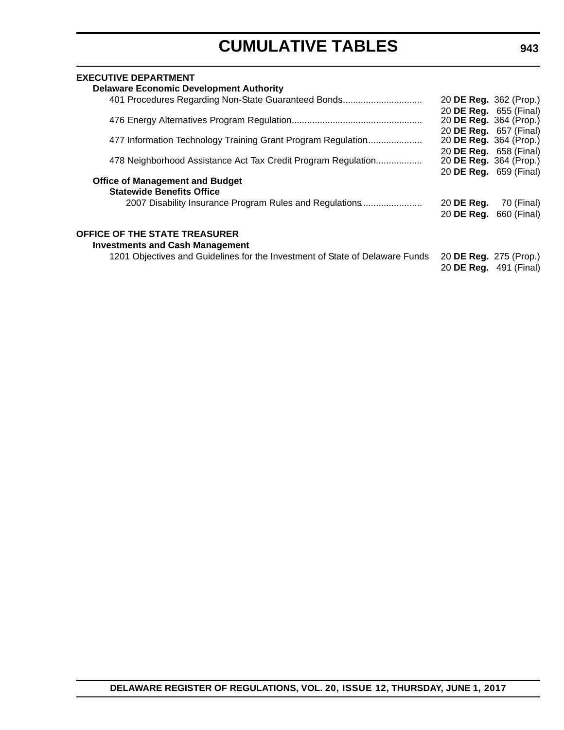| <b>EXECUTIVE DEPARTMENT</b>                                                  |                        |             |
|------------------------------------------------------------------------------|------------------------|-------------|
| <b>Delaware Economic Development Authority</b>                               |                        |             |
| 401 Procedures Regarding Non-State Guaranteed Bonds                          | 20 DE Reg. 362 (Prop.) |             |
|                                                                              | 20 DE Reg. 655 (Final) |             |
|                                                                              | 20 DE Reg. 364 (Prop.) |             |
|                                                                              | 20 DE Reg. 657 (Final) |             |
| 477 Information Technology Training Grant Program Regulation                 | 20 DE Reg. 364 (Prop.) |             |
|                                                                              | 20 DE Reg. 658 (Final) |             |
| 478 Neighborhood Assistance Act Tax Credit Program Regulation                | 20 DE Reg. 364 (Prop.) |             |
| <b>Office of Management and Budget</b>                                       | 20 DE Reg. 659 (Final) |             |
| <b>Statewide Benefits Office</b>                                             |                        |             |
| 2007 Disability Insurance Program Rules and Regulations                      | 20 DE Reg.             | 70 (Final)  |
|                                                                              | 20 DE Reg.             | 660 (Final) |
|                                                                              |                        |             |
| <b>OFFICE OF THE STATE TREASURER</b>                                         |                        |             |
| <b>Investments and Cash Management</b>                                       |                        |             |
| 1201 Objectives and Guidelines for the Investment of State of Delaware Funds | 20 DE Reg. 275 (Prop.) |             |
|                                                                              | 20 DE Reg. 491 (Final) |             |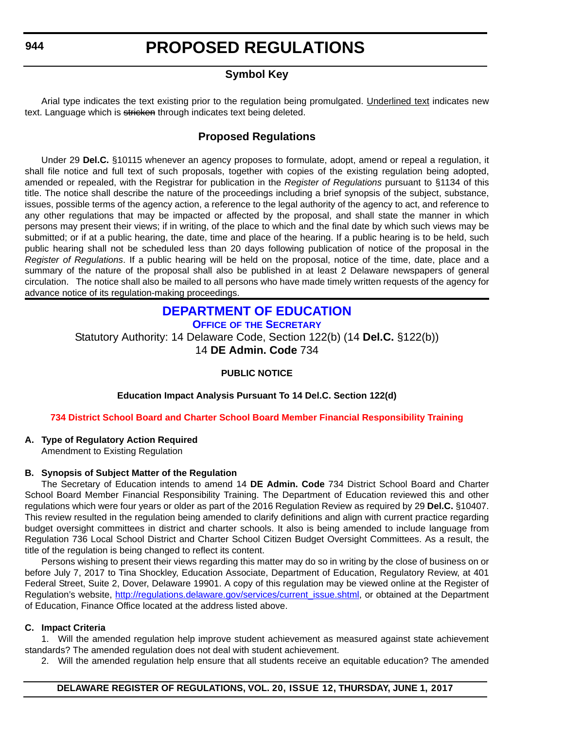### **PROPOSED REGULATIONS**

### **Symbol Key**

<span id="page-13-0"></span>Arial type indicates the text existing prior to the regulation being promulgated. Underlined text indicates new text. Language which is stricken through indicates text being deleted.

### **Proposed Regulations**

Under 29 **Del.C.** §10115 whenever an agency proposes to formulate, adopt, amend or repeal a regulation, it shall file notice and full text of such proposals, together with copies of the existing regulation being adopted, amended or repealed, with the Registrar for publication in the *Register of Regulations* pursuant to §1134 of this title. The notice shall describe the nature of the proceedings including a brief synopsis of the subject, substance, issues, possible terms of the agency action, a reference to the legal authority of the agency to act, and reference to any other regulations that may be impacted or affected by the proposal, and shall state the manner in which persons may present their views; if in writing, of the place to which and the final date by which such views may be submitted; or if at a public hearing, the date, time and place of the hearing. If a public hearing is to be held, such public hearing shall not be scheduled less than 20 days following publication of notice of the proposal in the *Register of Regulations*. If a public hearing will be held on the proposal, notice of the time, date, place and a summary of the nature of the proposal shall also be published in at least 2 Delaware newspapers of general circulation. The notice shall also be mailed to all persons who have made timely written requests of the agency for advance notice of its regulation-making proceedings.

### **[DEPARTMENT OF EDUCATION](https://www.doe.k12.de.us/)**

**OFFICE OF [THE SECRETARY](https://pubapps.doe.k12.de.us/EducationalDirectoryPublic/pages/DDOE/Branches.aspx)**

Statutory Authority: 14 Delaware Code, Section 122(b) (14 **Del.C.** §122(b)) 14 **DE Admin. Code** 734

### **PUBLIC NOTICE**

**Education Impact Analysis Pursuant To 14 Del.C. Section 122(d)**

### **[734 District School Board and Charter School Board Member Financial Responsibility Training](#page-3-0)**

### **A. Type of Regulatory Action Required**

Amendment to Existing Regulation

### **B. Synopsis of Subject Matter of the Regulation**

The Secretary of Education intends to amend 14 **DE Admin. Code** 734 District School Board and Charter School Board Member Financial Responsibility Training. The Department of Education reviewed this and other regulations which were four years or older as part of the 2016 Regulation Review as required by 29 **Del.C.** §10407. This review resulted in the regulation being amended to clarify definitions and align with current practice regarding budget oversight committees in district and charter schools. It also is being amended to include language from Regulation 736 Local School District and Charter School Citizen Budget Oversight Committees. As a result, the title of the regulation is being changed to reflect its content.

Persons wishing to present their views regarding this matter may do so in writing by the close of business on or before July 7, 2017 to Tina Shockley, Education Associate, Department of Education, Regulatory Review, at 401 Federal Street, Suite 2, Dover, Delaware 19901. A copy of this regulation may be viewed online at the Register of Regulation's website, [http://regulations.delaware.gov/services/current\\_issue.shtml](http://regulations.delaware.gov/services/current_issue.shtml), or obtained at the Department of Education, Finance Office located at the address listed above.

### **C. Impact Criteria**

1. Will the amended regulation help improve student achievement as measured against state achievement standards? The amended regulation does not deal with student achievement.

2. Will the amended regulation help ensure that all students receive an equitable education? The amended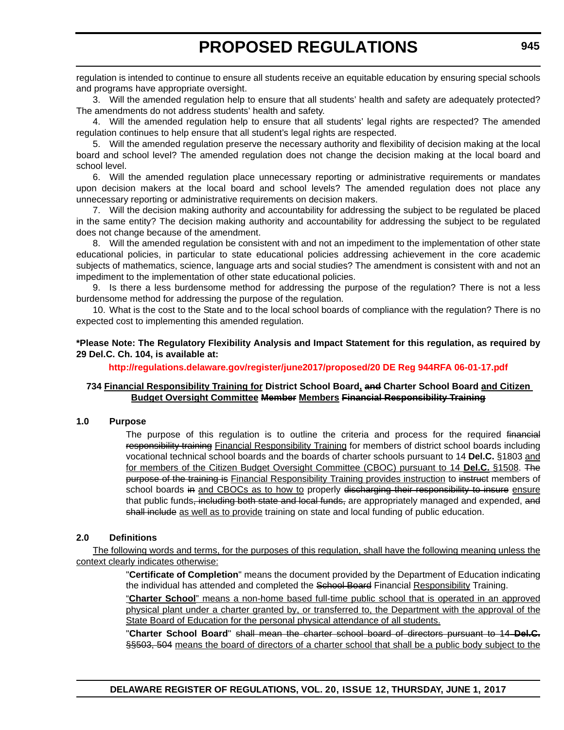regulation is intended to continue to ensure all students receive an equitable education by ensuring special schools and programs have appropriate oversight.

3. Will the amended regulation help to ensure that all students' health and safety are adequately protected? The amendments do not address students' health and safety.

4. Will the amended regulation help to ensure that all students' legal rights are respected? The amended regulation continues to help ensure that all student's legal rights are respected.

5. Will the amended regulation preserve the necessary authority and flexibility of decision making at the local board and school level? The amended regulation does not change the decision making at the local board and school level.

6. Will the amended regulation place unnecessary reporting or administrative requirements or mandates upon decision makers at the local board and school levels? The amended regulation does not place any unnecessary reporting or administrative requirements on decision makers.

7. Will the decision making authority and accountability for addressing the subject to be regulated be placed in the same entity? The decision making authority and accountability for addressing the subject to be regulated does not change because of the amendment.

8. Will the amended regulation be consistent with and not an impediment to the implementation of other state educational policies, in particular to state educational policies addressing achievement in the core academic subjects of mathematics, science, language arts and social studies? The amendment is consistent with and not an impediment to the implementation of other state educational policies.

9. Is there a less burdensome method for addressing the purpose of the regulation? There is not a less burdensome method for addressing the purpose of the regulation.

10. What is the cost to the State and to the local school boards of compliance with the regulation? There is no expected cost to implementing this amended regulation.

### **\*Please Note: The Regulatory Flexibility Analysis and Impact Statement for this regulation, as required by 29 Del.C. Ch. 104, is available at:**

### **<http://regulations.delaware.gov/register/june2017/proposed/20 DE Reg 944RFA 06-01-17.pdf>**

### **734 Financial Responsibility Training for District School Board, and Charter School Board and Citizen Budget Oversight Committee Member Members Financial Responsibility Training**

### **1.0 Purpose**

The purpose of this regulation is to outline the criteria and process for the required financial responsibility training Financial Responsibility Training for members of district school boards including vocational technical school boards and the boards of charter schools pursuant to 14 **Del.C.** §1803 and for members of the Citizen Budget Oversight Committee (CBOC) pursuant to 14 **Del.C.** §1508. The purpose of the training is Financial Responsibility Training provides instruction to instruct members of school boards in and CBOCs as to how to properly discharging their responsibility to insure ensure that public funds, including both state and local funds, are appropriately managed and expended, and shall include as well as to provide training on state and local funding of public education.

### **2.0 Definitions**

The following words and terms, for the purposes of this regulation, shall have the following meaning unless the context clearly indicates otherwise:

> "**Certificate of Completion**" means the document provided by the Department of Education indicating the individual has attended and completed the School Board Financial Responsibility Training.

> "**Charter School**" means a non-home based full-time public school that is operated in an approved physical plant under a charter granted by, or transferred to, the Department with the approval of the State Board of Education for the personal physical attendance of all students.

> "**Charter School Board**" shall mean the charter school board of directors pursuant to 14 **Del.C.** §§503, 504 means the board of directors of a charter school that shall be a public body subject to the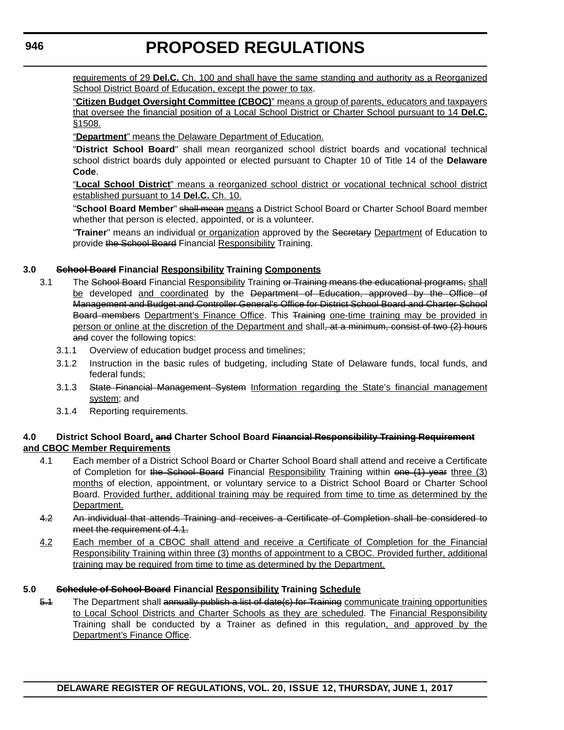requirements of 29 **Del.C.** Ch. 100 and shall have the same standing and authority as a Reorganized School District Board of Education, except the power to tax.

"**Citizen Budget Oversight Committee (CBOC)**" means a group of parents, educators and taxpayers that oversee the financial position of a Local School District or Charter School pursuant to 14 **Del.C.** §1508.

"**Department**" means the Delaware Department of Education.

"**District School Board**" shall mean reorganized school district boards and vocational technical school district boards duly appointed or elected pursuant to Chapter 10 of Title 14 of the **Delaware Code**.

"**Local School District**" means a reorganized school district or vocational technical school district established pursuant to 14 **Del.C.** Ch. 10.

"**School Board Member**" shall mean means a District School Board or Charter School Board member whether that person is elected, appointed, or is a volunteer.

"**Trainer**" means an individual or organization approved by the Secretary Department of Education to provide the School Board Financial Responsibility Training.

### **3.0 School Board Financial Responsibility Training Components**

- 3.1 The School Board Financial Responsibility Training or Training means the educational programs, shall be developed and coordinated by the Department of Education, approved by the Office of Management and Budget and Controller General's Office for District School Board and Charter School Board members Department's Finance Office. This Training one-time training may be provided in person or online at the discretion of the Department and shall<del>, at a minimum, consist of two (2) hours</del> and cover the following topics:
	- 3.1.1 Overview of education budget process and timelines;
	- 3.1.2 Instruction in the basic rules of budgeting, including State of Delaware funds, local funds, and federal funds;
	- 3.1.3 State Financial Management System Information regarding the State's financial management system; and
	- 3.1.4 Reporting requirements.

### **4.0 District School Board, and Charter School Board Financial Responsibility Training Requirement and CBOC Member Requirements**

- 4.1 Each member of a District School Board or Charter School Board shall attend and receive a Certificate of Completion for the School Board Financial Responsibility Training within one (1) year three (3) months of election, appointment, or voluntary service to a District School Board or Charter School Board. Provided further, additional training may be required from time to time as determined by the Department.
- 4.2 An individual that attends Training and receives a Certificate of Completion shall be considered to meet the requirement of 4.1.
- 4.2 Each member of a CBOC shall attend and receive a Certificate of Completion for the Financial Responsibility Training within three (3) months of appointment to a CBOC. Provided further, additional training may be required from time to time as determined by the Department.

### **5.0 Schedule of School Board Financial Responsibility Training Schedule**

5.1 The Department shall annually publish a list of date(s) for Training communicate training opportunities to Local School Districts and Charter Schools as they are scheduled. The Financial Responsibility Training shall be conducted by a Trainer as defined in this regulation, and approved by the Department's Finance Office.

**946**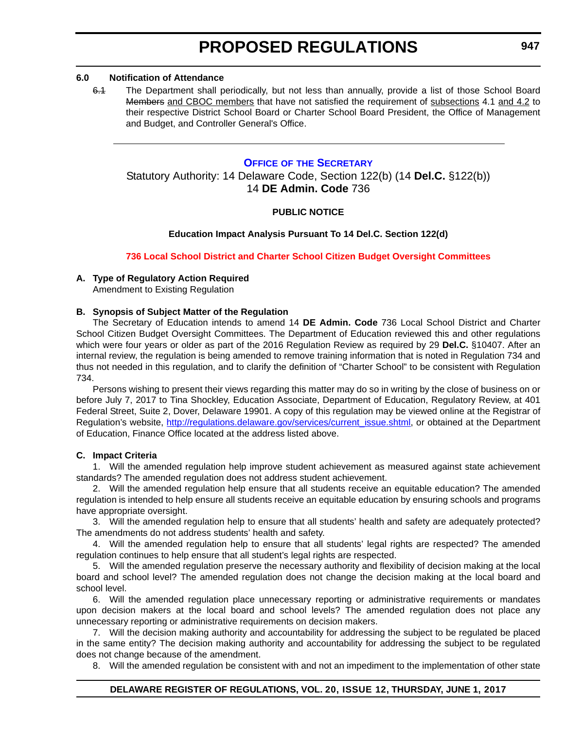### <span id="page-16-0"></span>**6.0 Notification of Attendance**

6.1 The Department shall periodically, but not less than annually, provide a list of those School Board Members and CBOC members that have not satisfied the requirement of subsections 4.1 and 4.2 to their respective District School Board or Charter School Board President, the Office of Management and Budget, and Controller General's Office.

### **OFFICE OF [THE SECRETARY](https://pubapps.doe.k12.de.us/EducationalDirectoryPublic/pages/DDOE/Branches.aspx)**

### Statutory Authority: 14 Delaware Code, Section 122(b) (14 **Del.C.** §122(b)) 14 **DE Admin. Code** 736

### **PUBLIC NOTICE**

### **Education Impact Analysis Pursuant To 14 Del.C. Section 122(d)**

### **[736 Local School District and Charter School Citizen Budget Oversight Committees](#page-3-0)**

### **A. Type of Regulatory Action Required**

Amendment to Existing Regulation

### **B. Synopsis of Subject Matter of the Regulation**

The Secretary of Education intends to amend 14 **DE Admin. Code** 736 Local School District and Charter School Citizen Budget Oversight Committees. The Department of Education reviewed this and other regulations which were four years or older as part of the 2016 Regulation Review as required by 29 **Del.C.** §10407. After an internal review, the regulation is being amended to remove training information that is noted in Regulation 734 and thus not needed in this regulation, and to clarify the definition of "Charter School" to be consistent with Regulation 734.

Persons wishing to present their views regarding this matter may do so in writing by the close of business on or before July 7, 2017 to Tina Shockley, Education Associate, Department of Education, Regulatory Review, at 401 Federal Street, Suite 2, Dover, Delaware 19901. A copy of this regulation may be viewed online at the Registrar of Regulation's website, [http://regulations.delaware.gov/services/current\\_issue.shtml,](http://regulations.delaware.gov/services/current_issue.shtml) or obtained at the Department of Education, Finance Office located at the address listed above.

### **C. Impact Criteria**

1. Will the amended regulation help improve student achievement as measured against state achievement standards? The amended regulation does not address student achievement.

2. Will the amended regulation help ensure that all students receive an equitable education? The amended regulation is intended to help ensure all students receive an equitable education by ensuring schools and programs have appropriate oversight.

3. Will the amended regulation help to ensure that all students' health and safety are adequately protected? The amendments do not address students' health and safety.

4. Will the amended regulation help to ensure that all students' legal rights are respected? The amended regulation continues to help ensure that all student's legal rights are respected.

5. Will the amended regulation preserve the necessary authority and flexibility of decision making at the local board and school level? The amended regulation does not change the decision making at the local board and school level.

6. Will the amended regulation place unnecessary reporting or administrative requirements or mandates upon decision makers at the local board and school levels? The amended regulation does not place any unnecessary reporting or administrative requirements on decision makers.

7. Will the decision making authority and accountability for addressing the subject to be regulated be placed in the same entity? The decision making authority and accountability for addressing the subject to be regulated does not change because of the amendment.

8. Will the amended regulation be consistent with and not an impediment to the implementation of other state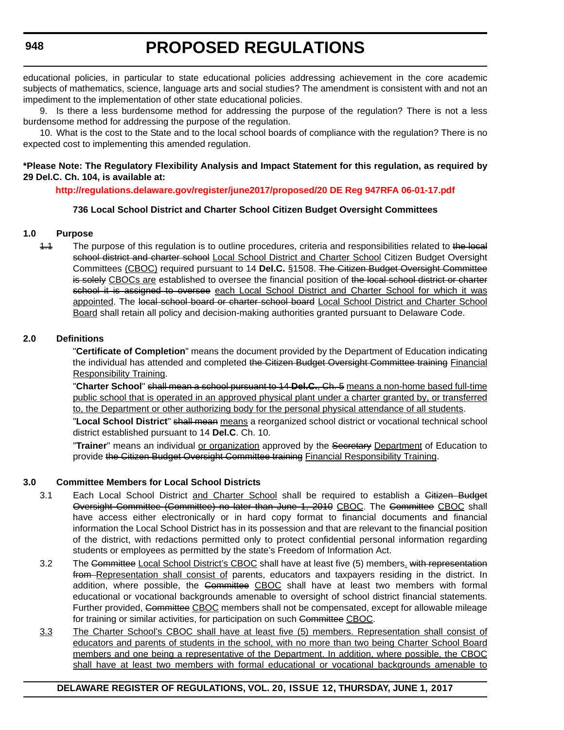educational policies, in particular to state educational policies addressing achievement in the core academic subjects of mathematics, science, language arts and social studies? The amendment is consistent with and not an impediment to the implementation of other state educational policies.

9. Is there a less burdensome method for addressing the purpose of the regulation? There is not a less burdensome method for addressing the purpose of the regulation.

10. What is the cost to the State and to the local school boards of compliance with the regulation? There is no expected cost to implementing this amended regulation.

### **\*Please Note: The Regulatory Flexibility Analysis and Impact Statement for this regulation, as required by 29 Del.C. Ch. 104, is available at:**

### **<http://regulations.delaware.gov/register/june2017/proposed/20 DE Reg 947RFA 06-01-17.pdf>**

### **736 Local School District and Charter School Citizen Budget Oversight Committees**

### **1.0 Purpose**

1.1 The purpose of this regulation is to outline procedures, criteria and responsibilities related to the local school district and charter school Local School District and Charter School Citizen Budget Oversight Committees (CBOC) required pursuant to 14 **Del.C.** §1508. The Citizen Budget Oversight Committee is solely CBOCs are established to oversee the financial position of the local school district or charter school it is assigned to oversee each Local School District and Charter School for which it was appointed. The local school board or charter school board Local School District and Charter School Board shall retain all policy and decision-making authorities granted pursuant to Delaware Code.

### **2.0 Definitions**

"**Certificate of Completion**" means the document provided by the Department of Education indicating the individual has attended and completed the Citizen Budget Oversight Committee training Financial Responsibility Training.

"**Charter School**" shall mean a school pursuant to 14 **Del.C.**, Ch. 5 means a non-home based full-time public school that is operated in an approved physical plant under a charter granted by, or transferred to, the Department or other authorizing body for the personal physical attendance of all students.

"**Local School District**" shall mean means a reorganized school district or vocational technical school district established pursuant to 14 **Del.C**. Ch. 10.

"**Trainer**" means an individual or organization approved by the Secretary Department of Education to provide the Citizen Budget Oversight Committee training Financial Responsibility Training.

### **3.0 Committee Members for Local School Districts**

- 3.1 Each Local School District and Charter School shall be required to establish a Gitizen Budget Oversight Committee (Committee) no later than June 1, 2010 CBOC. The Committee CBOC shall have access either electronically or in hard copy format to financial documents and financial information the Local School District has in its possession and that are relevant to the financial position of the district, with redactions permitted only to protect confidential personal information regarding students or employees as permitted by the state's Freedom of Information Act.
- 3.2 The Committee Local School District's CBOC shall have at least five (5) members, with representation from Representation shall consist of parents, educators and taxpayers residing in the district. In addition, where possible, the Committee CBOC shall have at least two members with formal educational or vocational backgrounds amenable to oversight of school district financial statements. Further provided, Committee CBOC members shall not be compensated, except for allowable mileage for training or similar activities, for participation on such Committee CBOC.
- 3.3 The Charter School's CBOC shall have at least five (5) members. Representation shall consist of educators and parents of students in the school, with no more than two being Charter School Board members and one being a representative of the Department. In addition, where possible, the CBOC shall have at least two members with formal educational or vocational backgrounds amenable to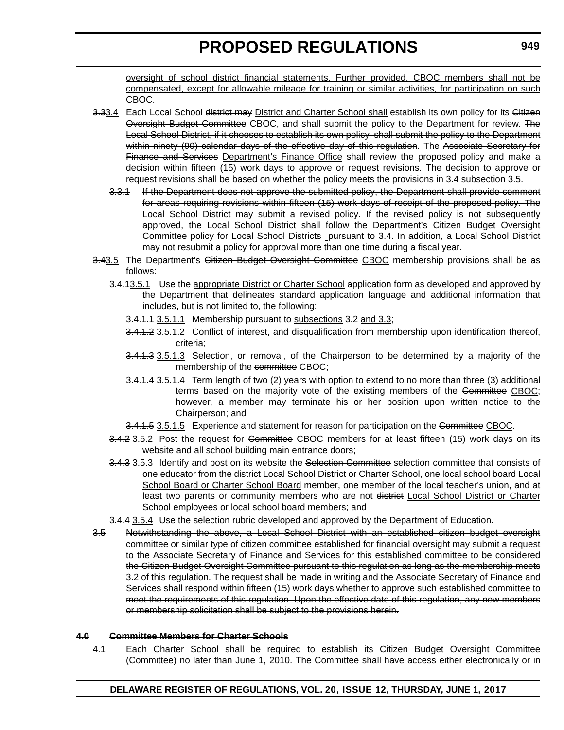oversight of school district financial statements. Further provided, CBOC members shall not be compensated, except for allowable mileage for training or similar activities, for participation on such CBOC.

- 3.33.4 Each Local School district may District and Charter School shall establish its own policy for its Gitizen Oversight Budget Committee CBOC, and shall submit the policy to the Department for review. The Local School District, if it chooses to establish its own policy, shall submit the policy to the Department within ninety (90) calendar days of the effective day of this regulation. The Associate Secretary for Finance and Services Department's Finance Office shall review the proposed policy and make a decision within fifteen (15) work days to approve or request revisions. The decision to approve or request revisions shall be based on whether the policy meets the provisions in 3.4 subsection 3.5.
	- 3.3.1 If the Department does not approve the submitted policy, the Department shall provide comment for areas requiring revisions within fifteen (15) work days of receipt of the proposed policy. The Local School District may submit a revised policy. If the revised policy is not subsequently approved, the Local School District shall follow the Department's Citizen Budget Oversight Committee policy for Local School Districts pursuant to 3.4. In addition, a Local School District may not resubmit a policy for approval more than one time during a fiscal year.
- 3.43.5 The Department's Citizen Budget Oversight Committee CBOC membership provisions shall be as follows:
	- 3.4.13.5.1 Use the appropriate District or Charter School application form as developed and approved by the Department that delineates standard application language and additional information that includes, but is not limited to, the following:
		- 3.4.1.1 3.5.1.1 Membership pursuant to subsections 3.2 and 3.3;
		- 3.4.1.2 3.5.1.2 Conflict of interest, and disqualification from membership upon identification thereof, criteria;
		- 3.4.1.3 3.5.1.3 Selection, or removal, of the Chairperson to be determined by a majority of the membership of the committee CBOC;
		- 3.4.1.4 3.5.1.4 Term length of two (2) years with option to extend to no more than three (3) additional terms based on the majority vote of the existing members of the Committee CBOC; however, a member may terminate his or her position upon written notice to the Chairperson; and
		- 3.4.1.5 3.5.1.5 Experience and statement for reason for participation on the Committee CBOC.
	- 3.4.2 3.5.2 Post the request for Gommittee CBOC members for at least fifteen (15) work days on its website and all school building main entrance doors;
	- 3.4.3 3.5.3 Identify and post on its website the Selection Committee selection committee that consists of one educator from the district Local School District or Charter School, one local school board Local School Board or Charter School Board member, one member of the local teacher's union, and at least two parents or community members who are not district Local School District or Charter School employees or local school board members; and
	- 3.4.4 3.5.4 Use the selection rubric developed and approved by the Department of Education.
- 3.5 Notwithstanding the above, a Local School District with an established citizen budget oversight committee or similar type of citizen committee established for financial oversight may submit a request to the Associate Secretary of Finance and Services for this established committee to be considered the Citizen Budget Oversight Committee pursuant to this regulation as long as the membership meets 3.2 of this regulation. The request shall be made in writing and the Associate Secretary of Finance and Services shall respond within fifteen (15) work days whether to approve such established committee to meet the requirements of this regulation. Upon the effective date of this regulation, any new members or membership solicitation shall be subject to the provisions herein.

### **4.0 Committee Members for Charter Schools**

4.1 Each Charter School shall be required to establish its Citizen Budget Oversight Committee (Committee) no later than June 1, 2010. The Committee shall have access either electronically or in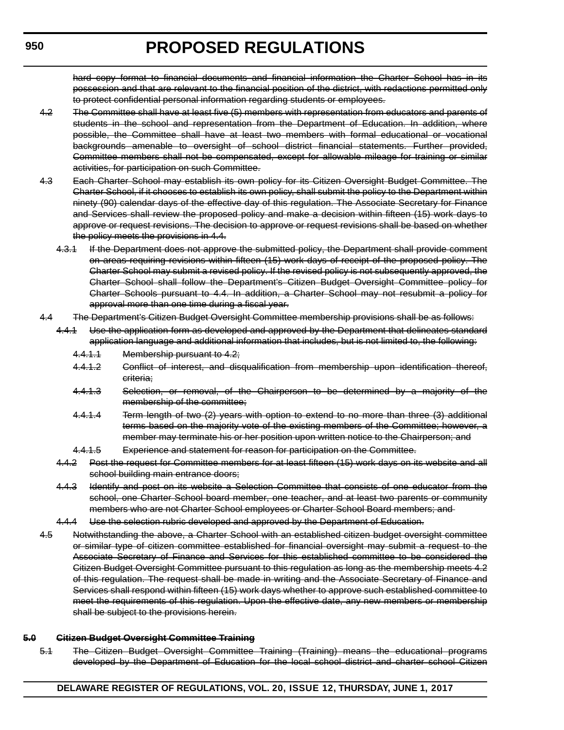hard copy format to financial documents and financial information the Charter School has in its possession and that are relevant to the financial position of the district, with redactions permitted only to protect confidential personal information regarding students or employees.

- 4.2 The Committee shall have at least five (5) members with representation from educators and parents of students in the school and representation from the Department of Education. In addition, where possible, the Committee shall have at least two members with formal educational or vocational backgrounds amenable to oversight of school district financial statements. Further provided, Committee members shall not be compensated, except for allowable mileage for training or similar activities, for participation on such Committee.
- 4.3 Each Charter School may establish its own policy for its Citizen Oversight Budget Committee. The Charter School, if it chooses to establish its own policy, shall submit the policy to the Department within ninety (90) calendar days of the effective day of this regulation. The Associate Secretary for Finance and Services shall review the proposed policy and make a decision within fifteen (15) work days to approve or request revisions. The decision to approve or request revisions shall be based on whether the policy meets the provisions in 4.4.
	- 4.3.1 If the Department does not approve the submitted policy, the Department shall provide comment on areas requiring revisions within fifteen (15) work days of receipt of the proposed policy. The Charter School may submit a revised policy. If the revised policy is not subsequently approved, the Charter School shall follow the Department's Citizen Budget Oversight Committee policy for Charter Schools pursuant to 4.4. In addition, a Charter School may not resubmit a policy for approval more than one time during a fiscal year.
- 4.4 The Department's Citizen Budget Oversight Committee membership provisions shall be as follows:
	- 4.4.1 Use the application form as developed and approved by the Department that delineates standard application language and additional information that includes, but is not limited to, the following:
		- 4.4.1.1 Membership pursuant to 4.2;
		- 4.4.1.2 Gonflict of interest, and disqualification from membership upon identification thereof, criteria;
		- 4.4.1.3 Selection, or removal, of the Chairperson to be determined by a majority of the membership of the committee;
		- 4.4.1.4 Term length of two (2) years with option to extend to no more than three (3) additional terms based on the majority vote of the existing members of the Committee; however, a member may terminate his or her position upon written notice to the Chairperson; and
		- 4.4.1.5 Experience and statement for reason for participation on the Committee.
	- 4.4.2 Post the request for Committee members for at least fifteen (15) work days on its website and all school building main entrance doors;
	- 4.4.3 Identify and post on its website a Selection Committee that consists of one educator from the school, one Charter School board member, one teacher, and at least two parents or community members who are not Charter School employees or Charter School Board members; and
	- 4.4.4 Use the selection rubric developed and approved by the Department of Education.
- 4.5 Notwithstanding the above, a Charter School with an established citizen budget oversight committee or similar type of citizen committee established for financial oversight may submit a request to the Associate Secretary of Finance and Services for this established committee to be considered the Citizen Budget Oversight Committee pursuant to this regulation as long as the membership meets 4.2 of this regulation. The request shall be made in writing and the Associate Secretary of Finance and Services shall respond within fifteen (15) work days whether to approve such established committee to meet the requirements of this regulation. Upon the effective date, any new members or membership shall be subject to the provisions herein.

### **5.0 Citizen Budget Oversight Committee Training**

5.1 The Citizen Budget Oversight Committee Training (Training) means the educational programs developed by the Department of Education for the local school district and charter school Citizen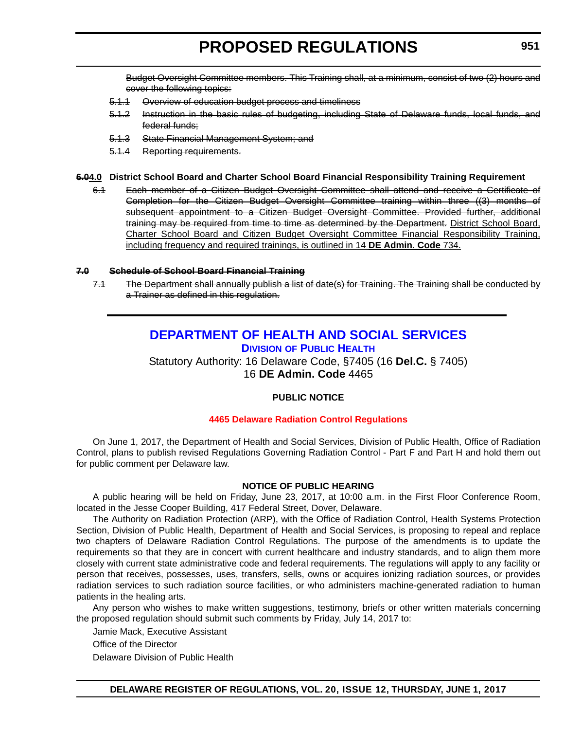<span id="page-20-0"></span>Budget Oversight Committee members. This Training shall, at a minimum, consist of two (2) hours and cover the following topics:

- 5.1.1 Overview of education budget process and timeliness
- 5.1.2 Instruction in the basic rules of budgeting, including State of Delaware funds, local funds, and federal funds;
- 5.1.3 State Financial Management System; and
- 5.1.4 Reporting requirements.

### **6.04.0 District School Board and Charter School Board Financial Responsibility Training Requirement**

6.1 Each member of a Citizen Budget Oversight Committee shall attend and receive a Certificate of Completion for the Citizen Budget Oversight Committee training within three ((3) months of subsequent appointment to a Citizen Budget Oversight Committee. Provided further, additional training may be required from time to time as determined by the Department. District School Board, Charter School Board and Citizen Budget Oversight Committee Financial Responsibility Training, including frequency and required trainings, is outlined in 14 **DE Admin. Code** 734.

### **7.0 Schedule of School Board Financial Training**

7.1 The Department shall annually publish a list of date(s) for Training. The Training shall be conducted by a Trainer as defined in this regulation.

### **[DEPARTMENT OF HEALTH AND SOCIAL SERVICES](http://www.dhss.delaware.gov/dhss/index.html)**

**DIVISION [OF PUBLIC HEALTH](http://www.dhss.delaware.gov/dhss/dph/index.html)**

Statutory Authority: 16 Delaware Code, §7405 (16 **Del.C.** § 7405) 16 **DE Admin. Code** 4465

### **PUBLIC NOTICE**

### **[4465 Delaware Radiation Control Regulations](#page-3-0)**

On June 1, 2017, the Department of Health and Social Services, Division of Public Health, Office of Radiation Control, plans to publish revised Regulations Governing Radiation Control - Part F and Part H and hold them out for public comment per Delaware law.

### **NOTICE OF PUBLIC HEARING**

A public hearing will be held on Friday, June 23, 2017, at 10:00 a.m. in the First Floor Conference Room, located in the Jesse Cooper Building, 417 Federal Street, Dover, Delaware.

The Authority on Radiation Protection (ARP), with the Office of Radiation Control, Health Systems Protection Section, Division of Public Health, Department of Health and Social Services, is proposing to repeal and replace two chapters of Delaware Radiation Control Regulations. The purpose of the amendments is to update the requirements so that they are in concert with current healthcare and industry standards, and to align them more closely with current state administrative code and federal requirements. The regulations will apply to any facility or person that receives, possesses, uses, transfers, sells, owns or acquires ionizing radiation sources, or provides radiation services to such radiation source facilities, or who administers machine-generated radiation to human patients in the healing arts.

Any person who wishes to make written suggestions, testimony, briefs or other written materials concerning the proposed regulation should submit such comments by Friday, July 14, 2017 to:

Jamie Mack, Executive Assistant

Office of the Director

Delaware Division of Public Health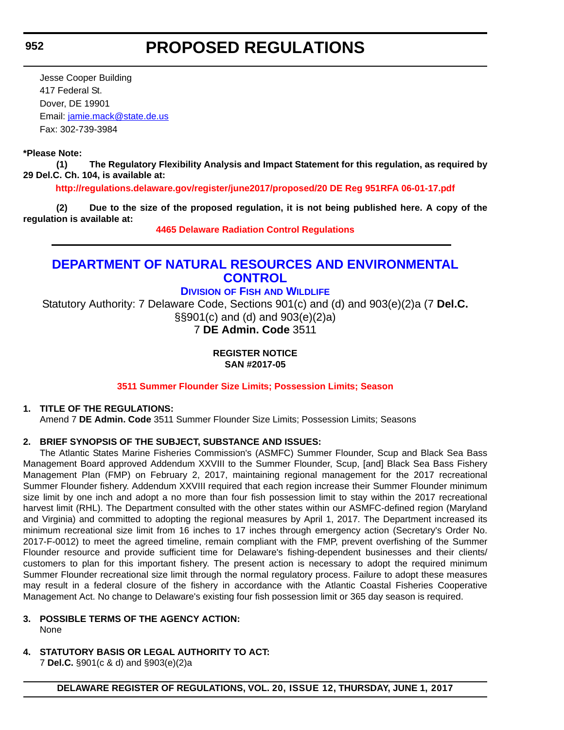### **PROPOSED REGULATIONS**

<span id="page-21-0"></span>Jesse Cooper Building 417 Federal St. Dover, DE 19901 Email: [jamie.mack@state.de.us](mailto:jamie.mack@state.de.us) Fax: 302-739-3984

### **\*Please Note:**

**(1) The Regulatory Flexibility Analysis and Impact Statement for this regulation, as required by 29 Del.C. Ch. 104, is available at:**

**<http://regulations.delaware.gov/register/june2017/proposed/20 DE Reg 951RFA 06-01-17.pdf>**

**(2) Due to the size of the proposed regulation, it is not being published here. A copy of the regulation is available at:**

**[4465 Delaware Radiation Control Regulations](http://regulations.delaware.gov/register/june2017/proposed/20 DE Reg 951 06-01-17.htm)** 

### **[DEPARTMENT OF NATURAL RESOURCES AND ENVIRONMENTAL](http://www.dnrec.delaware.gov/Pages/Portal.aspx)  CONTROL**

**DIVISION OF FISH [AND WILDLIFE](http://www.dnrec.delaware.gov/fw/Pages/DFW-Portal.aspx)**

Statutory Authority: 7 Delaware Code, Sections 901(c) and (d) and 903(e)(2)a (7 **Del.C.** §§901(c) and (d) and 903(e)(2)a) 7 **DE Admin. Code** 3511

### **REGISTER NOTICE SAN #2017-05**

### **[3511 Summer Flounder Size Limits; Possession Limits; Season](#page-3-0)**

### **1. TITLE OF THE REGULATIONS:**

Amend 7 **DE Admin. Code** 3511 Summer Flounder Size Limits; Possession Limits; Seasons

### **2. BRIEF SYNOPSIS OF THE SUBJECT, SUBSTANCE AND ISSUES:**

The Atlantic States Marine Fisheries Commission's (ASMFC) Summer Flounder, Scup and Black Sea Bass Management Board approved Addendum XXVIII to the Summer Flounder, Scup, [and] Black Sea Bass Fishery Management Plan (FMP) on February 2, 2017, maintaining regional management for the 2017 recreational Summer Flounder fishery. Addendum XXVIII required that each region increase their Summer Flounder minimum size limit by one inch and adopt a no more than four fish possession limit to stay within the 2017 recreational harvest limit (RHL). The Department consulted with the other states within our ASMFC-defined region (Maryland and Virginia) and committed to adopting the regional measures by April 1, 2017. The Department increased its minimum recreational size limit from 16 inches to 17 inches through emergency action (Secretary's Order No. 2017-F-0012) to meet the agreed timeline, remain compliant with the FMP, prevent overfishing of the Summer Flounder resource and provide sufficient time for Delaware's fishing-dependent businesses and their clients/ customers to plan for this important fishery. The present action is necessary to adopt the required minimum Summer Flounder recreational size limit through the normal regulatory process. Failure to adopt these measures may result in a federal closure of the fishery in accordance with the Atlantic Coastal Fisheries Cooperative Management Act. No change to Delaware's existing four fish possession limit or 365 day season is required.

- **3. POSSIBLE TERMS OF THE AGENCY ACTION:** None
	-
- **4. STATUTORY BASIS OR LEGAL AUTHORITY TO ACT:**

7 **Del.C.** §901(c & d) and §903(e)(2)a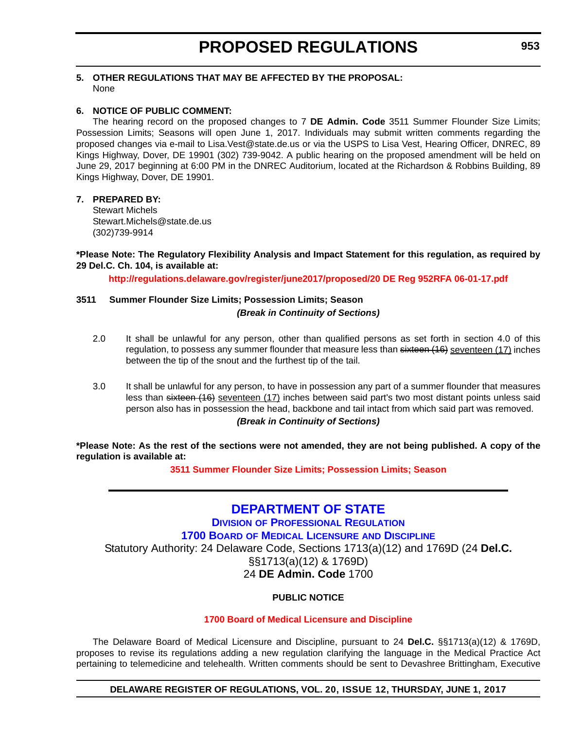### <span id="page-22-0"></span>**5. OTHER REGULATIONS THAT MAY BE AFFECTED BY THE PROPOSAL:** None

### **6. NOTICE OF PUBLIC COMMENT:**

The hearing record on the proposed changes to 7 **DE Admin. Code** 3511 Summer Flounder Size Limits; Possession Limits; Seasons will open June 1, 2017. Individuals may submit written comments regarding the proposed changes via e-mail to Lisa.Vest@state.de.us or via the USPS to Lisa Vest, Hearing Officer, DNREC, 89 Kings Highway, Dover, DE 19901 (302) 739-9042. A public hearing on the proposed amendment will be held on June 29, 2017 beginning at 6:00 PM in the DNREC Auditorium, located at the Richardson & Robbins Building, 89 Kings Highway, Dover, DE 19901.

### **7. PREPARED BY:**

Stewart Michels Stewart.Michels@state.de.us (302)739-9914

**\*Please Note: The Regulatory Flexibility Analysis and Impact Statement for this regulation, as required by 29 Del.C. Ch. 104, is available at:**

**<http://regulations.delaware.gov/register/june2017/proposed/20 DE Reg 952RFA 06-01-17.pdf>**

### **3511 Summer Flounder Size Limits; Possession Limits; Season** *(Break in Continuity of Sections)*

- 2.0 It shall be unlawful for any person, other than qualified persons as set forth in section 4.0 of this regulation, to possess any summer flounder that measure less than sixteen (16) seventeen (17) inches between the tip of the snout and the furthest tip of the tail.
- 3.0 It shall be unlawful for any person, to have in possession any part of a summer flounder that measures less than sixteen (16) seventeen (17) inches between said part's two most distant points unless said person also has in possession the head, backbone and tail intact from which said part was removed. *(Break in Continuity of Sections)*

**\*Please Note: As the rest of the sections were not amended, they are not being published. A copy of the regulation is available at:**

**[3511 Summer Flounder Size Limits; Possession Limits; Season](http://regulations.delaware.gov/register/june2017/proposed/20 DE Reg 952 06-01-17.htm)** 

### **[DEPARTMENT OF STATE](http://sos.delaware.gov/)**

**DIVISION [OF PROFESSIONAL REGULATION](http://dpr.delaware.gov/)**

**1700 BOARD [OF MEDICAL LICENSURE](http://dpr.delaware.gov/boards/medicalpractice/index.shtml) AND DISCIPLINE**

Statutory Authority: 24 Delaware Code, Sections 1713(a)(12) and 1769D (24 **Del.C.**

§§1713(a)(12) & 1769D) 24 **DE Admin. Code** 1700

### **PUBLIC NOTICE**

### **[1700 Board of Medical Licensure and Discipline](#page-3-0)**

The Delaware Board of Medical Licensure and Discipline, pursuant to 24 **Del.C.** §§1713(a)(12) & 1769D, proposes to revise its regulations adding a new regulation clarifying the language in the Medical Practice Act pertaining to telemedicine and telehealth. Written comments should be sent to Devashree Brittingham, Executive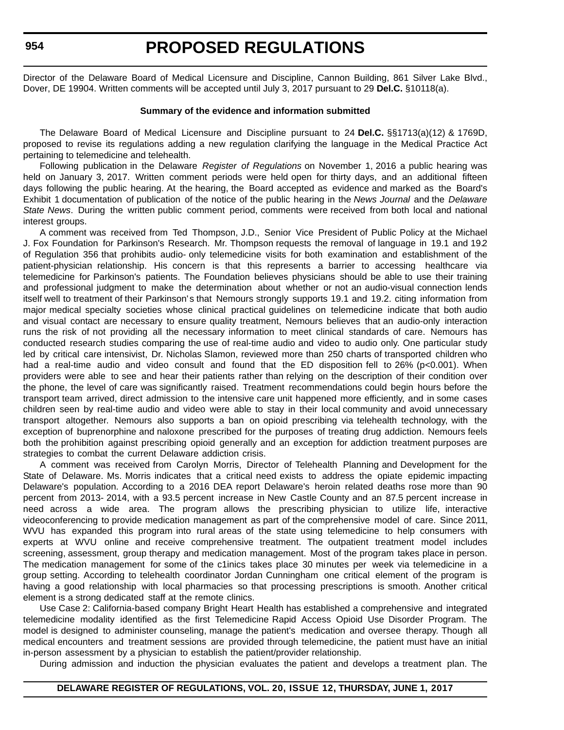Director of the Delaware Board of Medical Licensure and Discipline, Cannon Building, 861 Silver Lake Blvd., Dover, DE 19904. Written comments will be accepted until July 3, 2017 pursuant to 29 **Del.C.** §10118(a).

#### **Summary of the evidence and information submitted**

The Delaware Board of Medical Licensure and Discipline pursuant to 24 **Del.C.** §§1713(a)(12) & 1769D, proposed to revise its regulations adding a new regulation clarifying the language in the Medical Practice Act pertaining to telemedicine and telehealth.

Following publication in the Delaware *Register of Regulations* on November 1, 2016 a public hearing was held on January 3, 2017. Written comment periods were held open for thirty days, and an additional fifteen days following the public hearing. At the hearing, the Board accepted as evidence and marked as the Board's Exhibit 1 documentation of publication of the notice of the public hearing in the *News Journal* and the *Delaware State News*. During the written public comment period, comments were received from both local and national interest groups.

A comment was received from Ted Thompson, J.D., Senior Vice President of Public Policy at the Michael J. Fox Foundation for Parkinson's Research. Mr. Thompson requests the removal of language in 19.1 and 19.2 of Regulation 356 that prohibits audio- only telemedicine visits for both examination and establishment of the patient-physician relationship. His concern is that this represents a barrier to accessing healthcare via telemedicine for Parkinson's patients. The Foundation believes physicians should be able to use their training and professional judgment to make the determination about whether or not an audio-visual connection lends itself well to treatment of their Parkinson's that Nemours strongly supports 19.1 and 19.2. citing information from major medical specialty societies whose clinical practical guidelines on telemedicine indicate that both audio and visual contact are necessary to ensure quality treatment, Nemours believes that an audio-only interaction runs the risk of not providing all the necessary information to meet clinical standards of care. Nemours has conducted research studies comparing the use of real-time audio and video to audio only. One particular study led by critical care intensivist, Dr. Nicholas Slamon, reviewed more than 250 charts of transported children who had a real-time audio and video consult and found that the ED disposition fell to 26% (p<0.001). When providers were able to see and hear their patients rather than relying on the description of their condition over the phone, the level of care was significantly raised. Treatment recommendations could begin hours before the transport team arrived, direct admission to the intensive care unit happened more efficiently, and in some cases children seen by real-time audio and video were able to stay in their local community and avoid unnecessary transport altogether. Nemours also supports a ban on opioid prescribing via telehealth technology, with the exception of buprenorphine and naloxone prescribed for the purposes of treating drug addiction. Nemours feels both the prohibition against prescribing opioid generally and an exception for addiction treatment purposes are strategies to combat the current Delaware addiction crisis.

A comment was received from Carolyn Morris, Director of Telehealth Planning and Development for the State of Delaware. Ms. Morris indicates that a critical need exists to address the opiate epidemic impacting Delaware's population. According to a 2016 DEA report Delaware's heroin related deaths rose more than 90 percent from 2013- 2014, with a 93.5 percent increase in New Castle County and an 87.5 percent increase in need across a wide area. The program allows the prescribing physician to utilize life, interactive videoconferencing to provide medication management as part of the comprehensive model of care. Since 2011, WVU has expanded this program into rural areas of the state using telemedicine to help consumers with experts at WVU online and receive comprehensive treatment. The outpatient treatment model includes screening, assessment, group therapy and medication management. Most of the program takes place in person. The medication management for some of the c1inics takes place 30 minutes per week via telemedicine in a group setting. According to telehealth coordinator Jordan Cunningham one critical element of the program is having a good relationship with local pharmacies so that processing prescriptions is smooth. Another critical element is a strong dedicated staff at the remote clinics.

Use Case 2: California-based company Bright Heart Health has established a comprehensive and integrated telemedicine modality identified as the first Telemedicine Rapid Access Opioid Use Disorder Program. The model is designed to administer counseling, manage the patient's medication and oversee therapy. Though all medical encounters and treatment sessions are provided through telemedicine, the patient must have an initial in-person assessment by a physician to establish the patient/provider relationship.

During admission and induction the physician evaluates the patient and develops a treatment plan. The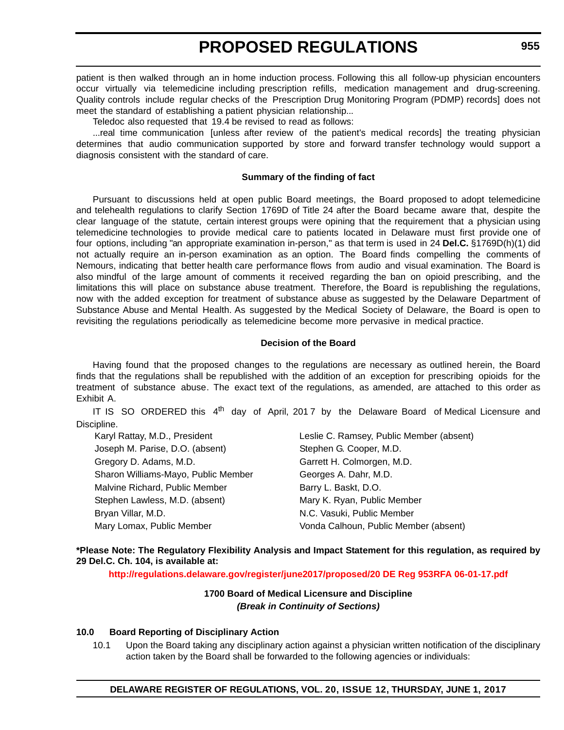patient is then walked through an in home induction process. Following this all follow-up physician encounters occur virtually via telemedicine including prescription refills, medication management and drug-screening. Quality controls include regular checks of the Prescription Drug Monitoring Program (PDMP) records] does not meet the standard of establishing a patient physician relationship...

Teledoc also requested that 19.4 be revised to read as follows:

...real time communication [unless after review of the patient's medical records] the treating physician determines that audio communication supported by store and forward transfer technology would support a diagnosis consistent with the standard of care.

### **Summary of the finding of fact**

Pursuant to discussions held at open public Board meetings, the Board proposed to adopt telemedicine and telehealth regulations to clarify Section 1769D of Title 24 after the Board became aware that, despite the clear language of the statute, certain interest groups were opining that the requirement that a physician using telemedicine technologies to provide medical care to patients located in Delaware must first provide one of four options, including "an appropriate examination in-person," as that term is used in 24 **Del.C.** §1769D(h)(1) did not actually require an in-person examination as an option. The Board finds compelling the comments of Nemours, indicating that better health care performance flows from audio and visual examination. The Board is also mindful of the large amount of comments it received regarding the ban on opioid prescribing, and the limitations this will place on substance abuse treatment. Therefore, the Board is republishing the regulations, now with the added exception for treatment of substance abuse as suggested by the Delaware Department of Substance Abuse and Mental Health. As suggested by the Medical Society of Delaware, the Board is open to revisiting the regulations periodically as telemedicine become more pervasive in medical practice.

### **Decision of the Board**

Having found that the proposed changes to the regulations are necessary as outlined herein, the Board finds that the regulations shall be republished with the addition of an exception for prescribing opioids for the treatment of substance abuse. The exact text of the regulations, as amended, are attached to this order as Exhibit A.

IT IS SO ORDERED this  $4<sup>th</sup>$  day of April, 2017 by the Delaware Board of Medical Licensure and Discipline.

| Karyl Rattay, M.D., President       | Leslie C. Ramsey, Public Member (absent) |
|-------------------------------------|------------------------------------------|
| Joseph M. Parise, D.O. (absent)     | Stephen G. Cooper, M.D.                  |
| Gregory D. Adams, M.D.              | Garrett H. Colmorgen, M.D.               |
| Sharon Williams-Mayo, Public Member | Georges A. Dahr, M.D.                    |
| Malvine Richard, Public Member      | Barry L. Baskt, D.O.                     |
| Stephen Lawless, M.D. (absent)      | Mary K. Ryan, Public Member              |
| Bryan Villar, M.D.                  | N.C. Vasuki, Public Member               |
| Mary Lomax, Public Member           | Vonda Calhoun, Public Member (absent)    |

**\*Please Note: The Regulatory Flexibility Analysis and Impact Statement for this regulation, as required by 29 Del.C. Ch. 104, is available at:**

**<http://regulations.delaware.gov/register/june2017/proposed/20 DE Reg 953RFA 06-01-17.pdf>**

### **1700 Board of Medical Licensure and Discipline** *(Break in Continuity of Sections)*

### **10.0 Board Reporting of Disciplinary Action**

10.1 Upon the Board taking any disciplinary action against a physician written notification of the disciplinary action taken by the Board shall be forwarded to the following agencies or individuals: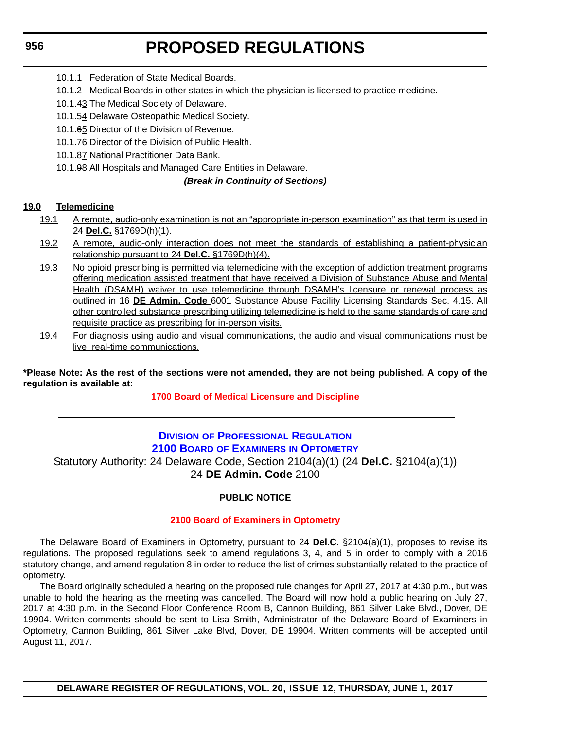- <span id="page-25-0"></span>10.1.1 Federation of State Medical Boards.
- 10.1.2 Medical Boards in other states in which the physician is licensed to practice medicine.
- 10.1.43 The Medical Society of Delaware.
- 10.1.54 Delaware Osteopathic Medical Society.
- 10.1.65 Director of the Division of Revenue.
- 10.1.76 Director of the Division of Public Health.
- 10.1.87 National Practitioner Data Bank.
- 10.1.98 All Hospitals and Managed Care Entities in Delaware.

### *(Break in Continuity of Sections)*

### **19.0 Telemedicine**

- 19.1 A remote, audio-only examination is not an "appropriate in-person examination" as that term is used in 24 **Del.C.** §1769D(h)(1).
- 19.2 A remote, audio-only interaction does not meet the standards of establishing a patient-physician relationship pursuant to 24 **Del.C.** §1769D(h)(4).
- 19.3 No opioid prescribing is permitted via telemedicine with the exception of addiction treatment programs offering medication assisted treatment that have received a Division of Substance Abuse and Mental Health (DSAMH) waiver to use telemedicine through DSAMH's licensure or renewal process as outlined in 16 **DE Admin. Code** 6001 Substance Abuse Facility Licensing Standards Sec. 4.15. All other controlled substance prescribing utilizing telemedicine is held to the same standards of care and requisite practice as prescribing for in-person visits.
- 19.4 For diagnosis using audio and visual communications, the audio and visual communications must be live, real-time communications.

**\*Please Note: As the rest of the sections were not amended, they are not being published. A copy of the regulation is available at:**

### **[1700 Board of Medical Licensure and Discipline](http://regulations.delaware.gov/register/june2017/proposed/20 DE Reg 953 06-01-17.htm)**

### **DIVISION [OF PROFESSIONAL REGULATION](http://dpr.delaware.gov/) 2100 BOARD OF EXAMINERS [IN OPTOMETRY](http://dpr.delaware.gov/boards/optometry/index.shtml)** Statutory Authority: 24 Delaware Code, Section 2104(a)(1) (24 **Del.C.** §2104(a)(1)) 24 **DE Admin. Code** 2100

### **PUBLIC NOTICE**

### **[2100 Board of Examiners in Optometry](#page-3-0)**

The Delaware Board of Examiners in Optometry, pursuant to 24 **Del.C.** §2104(a)(1), proposes to revise its regulations. The proposed regulations seek to amend regulations 3, 4, and 5 in order to comply with a 2016 statutory change, and amend regulation 8 in order to reduce the list of crimes substantially related to the practice of optometry.

The Board originally scheduled a hearing on the proposed rule changes for April 27, 2017 at 4:30 p.m., but was unable to hold the hearing as the meeting was cancelled. The Board will now hold a public hearing on July 27, 2017 at 4:30 p.m. in the Second Floor Conference Room B, Cannon Building, 861 Silver Lake Blvd., Dover, DE 19904. Written comments should be sent to Lisa Smith, Administrator of the Delaware Board of Examiners in Optometry, Cannon Building, 861 Silver Lake Blvd, Dover, DE 19904. Written comments will be accepted until August 11, 2017.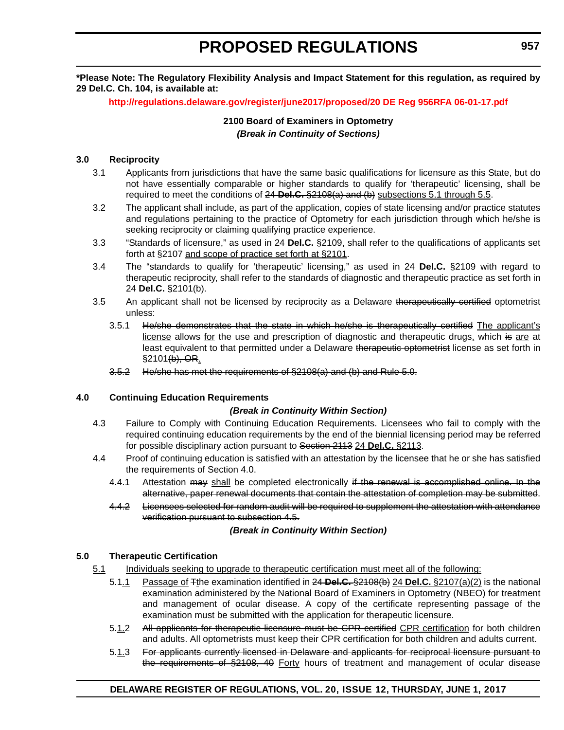**\*Please Note: The Regulatory Flexibility Analysis and Impact Statement for this regulation, as required by 29 Del.C. Ch. 104, is available at:**

**<http://regulations.delaware.gov/register/june2017/proposed/20 DE Reg 956RFA 06-01-17.pdf>**

### **2100 Board of Examiners in Optometry** *(Break in Continuity of Sections)*

### **3.0 Reciprocity**

- 3.1 Applicants from jurisdictions that have the same basic qualifications for licensure as this State, but do not have essentially comparable or higher standards to qualify for 'therapeutic' licensing, shall be required to meet the conditions of 24 **Del.C.** §2108(a) and (b) subsections 5.1 through 5.5.
- 3.2 The applicant shall include, as part of the application, copies of state licensing and/or practice statutes and regulations pertaining to the practice of Optometry for each jurisdiction through which he/she is seeking reciprocity or claiming qualifying practice experience.
- 3.3 "Standards of licensure," as used in 24 **Del.C.** §2109, shall refer to the qualifications of applicants set forth at §2107 and scope of practice set forth at §2101.
- 3.4 The "standards to qualify for 'therapeutic' licensing," as used in 24 **Del.C.** §2109 with regard to therapeutic reciprocity, shall refer to the standards of diagnostic and therapeutic practice as set forth in 24 **Del.C.** §2101(b).
- 3.5 An applicant shall not be licensed by reciprocity as a Delaware therapeutically certified optometrist unless:
	- 3.5.1 He/she demonstrates that the state in which he/she is therapeutically certified The applicant's license allows for the use and prescription of diagnostic and therapeutic drugs, which is are at least equivalent to that permitted under a Delaware therapeutic optometrist license as set forth in §2101(b), OR.
	- 3.5.2 He/she has met the requirements of §2108(a) and (b) and Rule 5.0.

### **4.0 Continuing Education Requirements**

### *(Break in Continuity Within Section)*

- 4.3 Failure to Comply with Continuing Education Requirements. Licensees who fail to comply with the required continuing education requirements by the end of the biennial licensing period may be referred for possible disciplinary action pursuant to Section 2113 24 **Del.C.** §2113.
- 4.4 Proof of continuing education is satisfied with an attestation by the licensee that he or she has satisfied the requirements of Section 4.0.
	- 4.4.1 Attestation may shall be completed electronically if the renewal is accomplished online. In the alternative, paper renewal documents that contain the attestation of completion may be submitted.
	- 4.4.2 Licensees selected for random audit will be required to supplement the attestation with attendance verification pursuant to subsection 4.5.

### *(Break in Continuity Within Section)*

### **5.0 Therapeutic Certification**

- 5.1 Individuals seeking to upgrade to therapeutic certification must meet all of the following:
	- 5.1.1 Passage of Tthe examination identified in 24 **Del.C.** §2108(b) 24 **Del.C.** §2107(a)(2) is the national examination administered by the National Board of Examiners in Optometry (NBEO) for treatment and management of ocular disease. A copy of the certificate representing passage of the examination must be submitted with the application for therapeutic licensure.
	- 5.1.2 All applicants for therapeutic licensure must be CPR certified CPR certification for both children and adults. All optometrists must keep their CPR certification for both children and adults current.
	- 5.1.3 For applicants currently licensed in Delaware and applicants for reciprocal licensure pursuant to the requirements of §2108, 40 Forty hours of treatment and management of ocular disease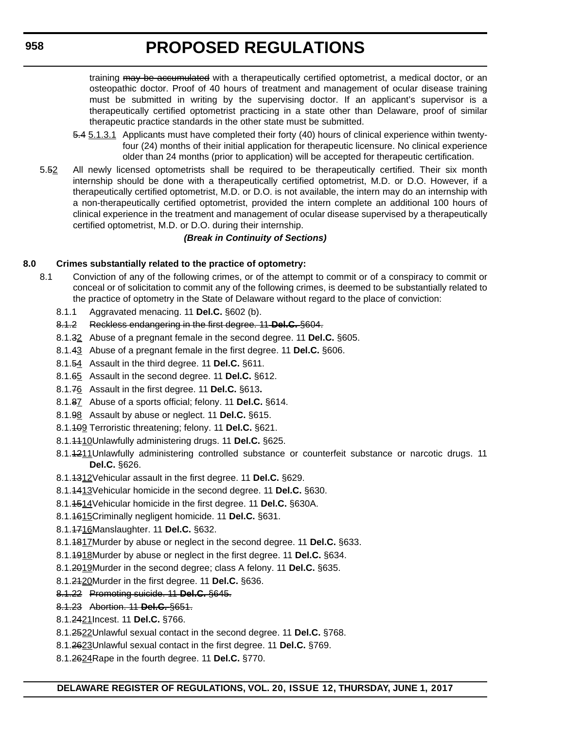training may be accumulated with a therapeutically certified optometrist, a medical doctor, or an osteopathic doctor. Proof of 40 hours of treatment and management of ocular disease training must be submitted in writing by the supervising doctor. If an applicant's supervisor is a therapeutically certified optometrist practicing in a state other than Delaware, proof of similar therapeutic practice standards in the other state must be submitted.

- 5.4 5.1.3.1 Applicants must have completed their forty (40) hours of clinical experience within twentyfour (24) months of their initial application for therapeutic licensure. No clinical experience older than 24 months (prior to application) will be accepted for therapeutic certification.
- 5.52 All newly licensed optometrists shall be required to be therapeutically certified. Their six month internship should be done with a therapeutically certified optometrist, M.D. or D.O. However, if a therapeutically certified optometrist, M.D. or D.O. is not available, the intern may do an internship with a non-therapeutically certified optometrist, provided the intern complete an additional 100 hours of clinical experience in the treatment and management of ocular disease supervised by a therapeutically certified optometrist, M.D. or D.O. during their internship.

### *(Break in Continuity of Sections)*

### **8.0 Crimes substantially related to the practice of optometry:**

- 8.1 Conviction of any of the following crimes, or of the attempt to commit or of a conspiracy to commit or conceal or of solicitation to commit any of the following crimes, is deemed to be substantially related to the practice of optometry in the State of Delaware without regard to the place of conviction:
	- 8.1.1 Aggravated menacing. 11 **Del.C.** §602 (b).
	- 8.1.2 Reckless endangering in the first degree. 11 **Del.C.** §604.
	- 8.1.32 Abuse of a pregnant female in the second degree. 11 **Del.C.** §605.
	- 8.1.43 Abuse of a pregnant female in the first degree. 11 **Del.C.** §606.
	- 8.1.54 Assault in the third degree. 11 **Del.C.** §611.
	- 8.1.65 Assault in the second degree. 11 **Del.C.** §612.
	- 8.1.76 Assault in the first degree. 11 **Del.C.** §613**.**
	- 8.1.87 Abuse of a sports official; felony. 11 **Del.C.** §614.
	- 8.1.98 Assault by abuse or neglect. 11 **Del.C.** §615.
	- 8.1.109 Terroristic threatening; felony. 11 **Del.C.** §621.
	- 8.1.1110Unlawfully administering drugs. 11 **Del.C.** §625.
	- 8.1.4211Unlawfully administering controlled substance or counterfeit substance or narcotic drugs. 11 **Del.C.** §626.
	- 8.1.1312Vehicular assault in the first degree. 11 **Del.C.** §629.
	- 8.1.1413Vehicular homicide in the second degree. 11 **Del.C.** §630.
	- 8.1.1514Vehicular homicide in the first degree. 11 **Del.C.** §630A.
	- 8.1.1615Criminally negligent homicide. 11 **Del.C.** §631.
	- 8.1.1716Manslaughter. 11 **Del.C.** §632.
	- 8.1.1817Murder by abuse or neglect in the second degree. 11 **Del.C.** §633.
	- 8.1.1918Murder by abuse or neglect in the first degree. 11 **Del.C.** §634.
	- 8.1.2019Murder in the second degree; class A felony. 11 **Del.C.** §635.
	- 8.1.2120Murder in the first degree. 11 **Del.C.** §636.
	- 8.1.22 Promoting suicide. 11 **Del.C.** §645.
	- 8.1.23 Abortion. 11 **Del.C.** §651.
	- 8.1.2421Incest. 11 **Del.C.** §766.
	- 8.1.2522Unlawful sexual contact in the second degree. 11 **Del.C.** §768.
	- 8.1.2623Unlawful sexual contact in the first degree. 11 **Del.C.** §769.
	- 8.1.2624Rape in the fourth degree. 11 **Del.C.** §770.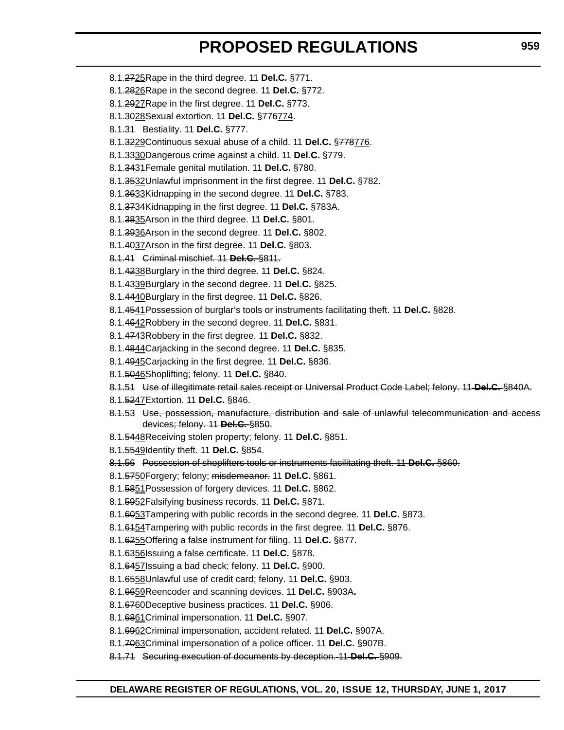- 8.1.2725Rape in the third degree. 11 **Del.C.** §771.
- 8.1.2826Rape in the second degree. 11 **Del.C.** §772.
- 8.1.2927Rape in the first degree. 11 **Del.C.** §773.
- 8.1.3028Sexual extortion. 11 **Del.C.** §776774.
- 8.1.31 Bestiality. 11 **Del.C.** §777.
- 8.1.3229Continuous sexual abuse of a child. 11 **Del.C.** §778776.
- 8.1.3330Dangerous crime against a child. 11 **Del.C.** §779.
- 8.1.3431Female genital mutilation. 11 **Del.C.** §780.
- 8.1.3532Unlawful imprisonment in the first degree. 11 **Del.C.** §782.
- 8.1.3633Kidnapping in the second degree. 11 **Del.C.** §783.
- 8.1.3734Kidnapping in the first degree. 11 **Del.C.** §783A.
- 8.1.3835Arson in the third degree. 11 **Del.C.** §801.
- 8.1.3936Arson in the second degree. 11 **Del.C.** §802.
- 8.1.4037Arson in the first degree. 11 **Del.C.** §803.

8.1.41 Criminal mischief. 11 **Del.C.** §811.

- 8.1.4238Burglary in the third degree. 11 **Del.C.** §824.
- 8.1.4339Burglary in the second degree. 11 **Del.C.** §825.
- 8.1.4440Burglary in the first degree. 11 **Del.C.** §826.
- 8.1.4541Possession of burglar's tools or instruments facilitating theft. 11 **Del.C.** §828.
- 8.1.4642Robbery in the second degree. 11 **Del.C.** §831.
- 8.1.4743Robbery in the first degree. 11 **Del.C.** §832.
- 8.1.4844Carjacking in the second degree. 11 **Del.C.** §835.
- 8.1.4945Carjacking in the first degree. 11 **Del.C.** §836.
- 8.1.5046Shoplifting; felony. 11 **Del.C.** §840.
- 8.1.51 Use of illegitimate retail sales receipt or Universal Product Code Label; felony. 11 **Del.C.** §840A.
- 8.1.5247Extortion. 11 **Del.C.** §846.
- 8.1.53 Use, possession, manufacture, distribution and sale of unlawful telecommunication and access devices; felony. 11 **Del.C.** §850.
- 8.1.5448Receiving stolen property; felony. 11 **Del.C.** §851.
- 8.1.5549Identity theft. 11 **Del.C.** §854.

8.1.56 Possession of shoplifters tools or instruments facilitating theft. 11 **Del.C.** §860.

- 8.1.5750Forgery; felony; misdemeanor. 11 **Del.C.** §861.
- 8.1.5851Possession of forgery devices. 11 **Del.C.** §862.
- 8.1.5952Falsifying business records. 11 **Del.C.** §871.
- 8.1.6053Tampering with public records in the second degree. 11 **Del.C.** §873.
- 8.1.6154Tampering with public records in the first degree. 11 **Del.C.** §876.
- 8.1.6255Offering a false instrument for filing. 11 **Del.C.** §877.
- 8.1.6356Issuing a false certificate. 11 **Del.C.** §878.
- 8.1.6457Issuing a bad check; felony. 11 **Del.C.** §900.
- 8.1.6558Unlawful use of credit card; felony. 11 **Del.C.** §903.
- 8.1.6659Reencoder and scanning devices. 11 **Del.C.** §903A**.**
- 8.1.6760Deceptive business practices. 11 **Del.C.** §906.
- 8.1.6861Criminal impersonation. 11 **Del.C.** §907.
- 8.1.6962Criminal impersonation, accident related. 11 **Del.C.** §907A.
- 8.1.7063Criminal impersonation of a police officer. 11 **Del.C.** §907B.
- 8.1.71 Securing execution of documents by deception. 11 **Del.C.** §909.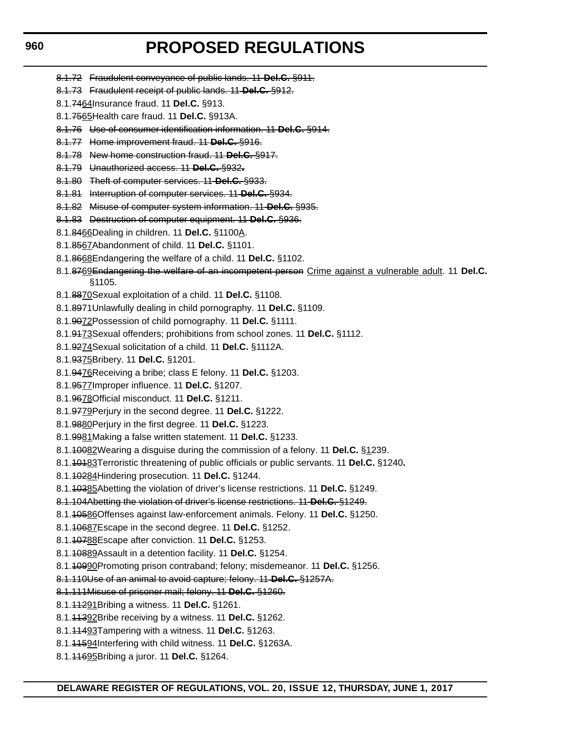- 8.1.72 Fraudulent conveyance of public lands. 11 **Del.C.** §911.
- 8.1.73 Fraudulent receipt of public lands. 11 **Del.C.** §912.
- 8.1.7464Insurance fraud. 11 **Del.C.** §913.
- 8.1.7565Health care fraud. 11 **Del.C.** §913A.
- 8.1.76 Use of consumer identification information. 11 **Del.C.** §914.
- 8.1.77 Home improvement fraud. 11 **Del.C.** §916.
- 8.1.78 New home construction fraud. 11 **Del.C.** §917.
- 8.1.79 Unauthorized access. 11 **Del.C.** §932**.**
- 8.1.80 Theft of computer services. 11 **Del.C.** §933.
- 8.1.81 Interruption of computer services. 11 **Del.C.** §934.
- 8.1.82 Misuse of computer system information. 11 **Del.C.** §935.
- 8.1.83 Destruction of computer equipment. 11 **Del.C.** §936.
- 8.1.8466Dealing in children. 11 **Del.C.** §1100A.
- 8.1.8567Abandonment of child. 11 **Del.C.** §1101.
- 8.1.8668Endangering the welfare of a child. 11 **Del.C.** §1102.
- 8.1.8769Endangering the welfare of an incompetent person Crime against a vulnerable adult. 11 **Del.C.** §1105.
- 8.1.8870Sexual exploitation of a child. 11 **Del.C.** §1108.
- 8.1.8971Unlawfully dealing in child pornography. 11 **Del.C.** §1109.
- 8.1.9072Possession of child pornography. 11 **Del.C.** §1111.
- 8.1.9173Sexual offenders; prohibitions from school zones. 11 **Del.C.** §1112.
- 8.1.9274Sexual solicitation of a child. 11 **Del.C.** §1112A.
- 8.1.9375Bribery. 11 **Del.C.** §1201.
- 8.1.9476Receiving a bribe; class E felony. 11 **Del.C.** §1203.
- 8.1.9577Improper influence. 11 **Del.C.** §1207.
- 8.1.9678Official misconduct. 11 **Del.C.** §1211.
- 8.1.9779Perjury in the second degree. 11 **Del.C.** §1222.
- 8.1.9880Perjury in the first degree. 11 **Del.C.** §1223.
- 8.1.9981Making a false written statement. 11 **Del.C.** §1233.
- 8.1.10082Wearing a disguise during the commission of a felony. 11 **Del.C.** §1239.
- 8.1.10183Terroristic threatening of public officials or public servants. 11 **Del.C.** §1240**.**
- 8.1.10284Hindering prosecution. 11 **Del.C.** §1244.
- 8.1.10385Abetting the violation of driver's license restrictions. 11 **Del.C.** §1249.
- 8.1.104Abetting the violation of driver's license restrictions. 11 **Del.C.** §1249.
- 8.1.10586Offenses against law-enforcement animals. Felony. 11 **Del.C.** §1250.
- 8.1.10687Escape in the second degree. 11 **Del.C.** §1252.
- 8.1.10788Escape after conviction. 11 **Del.C.** §1253.
- 8.1.10889Assault in a detention facility. 11 **Del.C.** §1254.
- 8.1.10990Promoting prison contraband; felony; misdemeanor. 11 **Del.C.** §1256.
- 8.1.110Use of an animal to avoid capture; felony. 11 **Del.C.** §1257A.
- 8.1.111Misuse of prisoner mail; felony. 11 **Del.C.** §1260.
- 8.1.11291Bribing a witness. 11 **Del.C.** §1261.
- 8.1.11392Bribe receiving by a witness. 11 **Del.C.** §1262.
- 8.1.11493Tampering with a witness. 11 **Del.C.** §1263.
- 8.1.11594Interfering with child witness. 11 **Del.C.** §1263A.
- 8.1.11695Bribing a juror. 11 **Del.C.** §1264.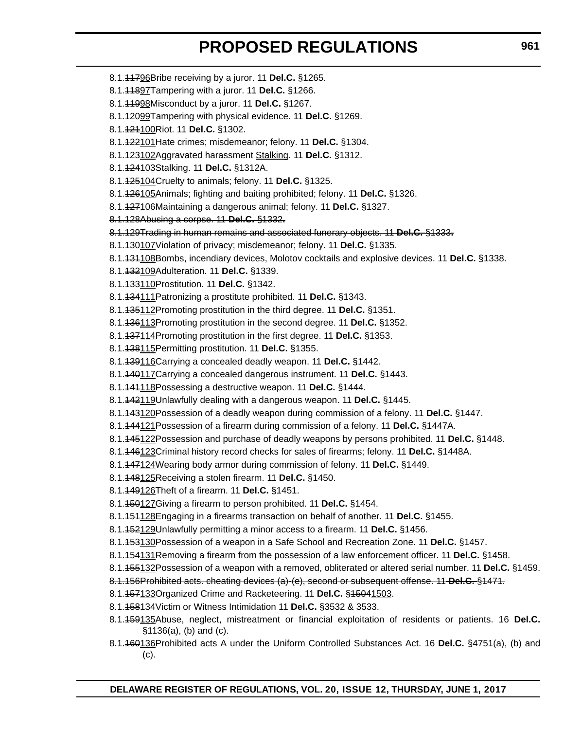- 8.1.11796Bribe receiving by a juror. 11 **Del.C.** §1265. 8.1.11897Tampering with a juror. 11 **Del.C.** §1266. 8.1.11998Misconduct by a juror. 11 **Del.C.** §1267. 8.1.12099Tampering with physical evidence. 11 **Del.C.** §1269. 8.1.121100Riot. 11 **Del.C.** §1302. 8.1.122101Hate crimes; misdemeanor; felony. 11 **Del.C.** §1304. 8.1.123102Aggravated harassment Stalking. 11 **Del.C.** §1312. 8.1.124103Stalking. 11 **Del.C.** §1312A. 8.1.125104Cruelty to animals; felony. 11 **Del.C.** §1325. 8.1.126105Animals; fighting and baiting prohibited; felony. 11 **Del.C.** §1326. 8.1.127106Maintaining a dangerous animal; felony. 11 **Del.C.** §1327. 8.1.128Abusing a corpse. 11 **Del.C.** §1332**.** 8.1.129Trading in human remains and associated funerary objects. 11 **Del.C.** §1333**.** 8.1.130107Violation of privacy; misdemeanor; felony. 11 **Del.C.** §1335. 8.1.131108Bombs, incendiary devices, Molotov cocktails and explosive devices. 11 **Del.C.** §1338. 8.1.132109Adulteration. 11 **Del.C.** §1339. 8.1.133110Prostitution. 11 **Del.C.** §1342. 8.1.134111Patronizing a prostitute prohibited. 11 **Del.C.** §1343. 8.1.135112Promoting prostitution in the third degree. 11 **Del.C.** §1351. 8.1.136113Promoting prostitution in the second degree. 11 **Del.C.** §1352. 8.1.137114Promoting prostitution in the first degree. 11 **Del.C.** §1353. 8.1.138115Permitting prostitution. 11 **Del.C.** §1355. 8.1.139116Carrying a concealed deadly weapon. 11 **Del.C.** §1442. 8.1.140117Carrying a concealed dangerous instrument. 11 **Del.C.** §1443. 8.1.141118Possessing a destructive weapon. 11 **Del.C.** §1444. 8.1.142119Unlawfully dealing with a dangerous weapon. 11 **Del.C.** §1445. 8.1.143120Possession of a deadly weapon during commission of a felony. 11 **Del.C.** §1447. 8.1.144121Possession of a firearm during commission of a felony. 11 **Del.C.** §1447A. 8.1.145122Possession and purchase of deadly weapons by persons prohibited. 11 **Del.C.** §1448. 8.1.146123Criminal history record checks for sales of firearms; felony. 11 **Del.C.** §1448A. 8.1.147124Wearing body armor during commission of felony. 11 **Del.C.** §1449. 8.1.148125Receiving a stolen firearm. 11 **Del.C.** §1450. 8.1.149126Theft of a firearm. 11 **Del.C.** §1451. 8.1.150127Giving a firearm to person prohibited. 11 **Del.C.** §1454. 8.1.151128Engaging in a firearms transaction on behalf of another. 11 **Del.C.** §1455. 8.1.152129Unlawfully permitting a minor access to a firearm. 11 **Del.C.** §1456. 8.1.153130Possession of a weapon in a Safe School and Recreation Zone. 11 **Del.C.** §1457. 8.1.154131Removing a firearm from the possession of a law enforcement officer. 11 **Del.C.** §1458. 8.1.155132Possession of a weapon with a removed, obliterated or altered serial number. 11 **Del.C.** §1459. 8.1.156Prohibited acts. cheating devices (a)-(e), second or subsequent offense. 11 **Del.C.** §1471. 8.1.157133Organized Crime and Racketeering. 11 **Del.C.** §15041503. 8.1.158134Victim or Witness Intimidation 11 **Del.C.** §3532 & 3533. 8.1.159135Abuse, neglect, mistreatment or financial exploitation of residents or patients. 16 **Del.C.** §1136(a), (b) and (c).
	- 8.1.160136Prohibited acts A under the Uniform Controlled Substances Act. 16 **Del.C.** §4751(a), (b) and (c).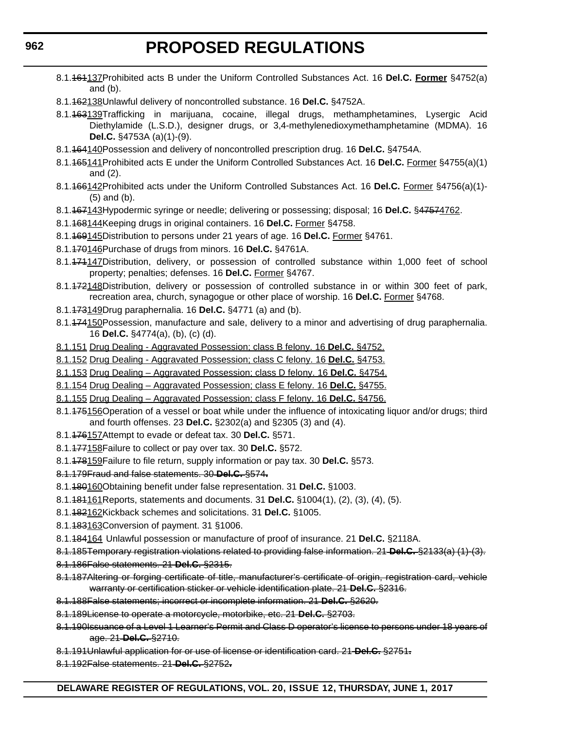- 8.1.161137Prohibited acts B under the Uniform Controlled Substances Act. 16 **Del.C. Former** §4752(a) and (b).
- 8.1.162138Unlawful delivery of noncontrolled substance. 16 **Del.C.** §4752A.
- 8.1.163139Trafficking in marijuana, cocaine, illegal drugs, methamphetamines, Lysergic Acid Diethylamide (L.S.D.), designer drugs, or 3,4-methylenedioxymethamphetamine (MDMA). 16 **Del.C.** §4753A (a)(1)-(9).
- 8.1.164140Possession and delivery of noncontrolled prescription drug. 16 **Del.C.** §4754A.
- 8.1.165141Prohibited acts E under the Uniform Controlled Substances Act. 16 **Del.C.** Former §4755(a)(1) and (2).
- 8.1.166142Prohibited acts under the Uniform Controlled Substances Act. 16 **Del.C.** Former §4756(a)(1)- (5) and (b).
- 8.1.167143Hypodermic syringe or needle; delivering or possessing; disposal; 16 **Del.C.** §47574762.
- 8.1.168144Keeping drugs in original containers. 16 **Del.C.** Former §4758.
- 8.1.169145Distribution to persons under 21 years of age. 16 **Del.C.** Former §4761.
- 8.1.170146Purchase of drugs from minors. 16 **Del.C.** §4761A.
- 8.1.474147Distribution, delivery, or possession of controlled substance within 1,000 feet of school property; penalties; defenses. 16 **Del.C.** Former §4767.
- 8.1.472148Distribution, delivery or possession of controlled substance in or within 300 feet of park, recreation area, church, synagogue or other place of worship. 16 **Del.C.** Former §4768.
- 8.1.173149Drug paraphernalia. 16 **Del.C.** §4771 (a) and (b).
- 8.1.474150 Possession, manufacture and sale, delivery to a minor and advertising of drug paraphernalia. 16 **Del.C.** §4774(a), (b), (c) (d).
- 8.1.151 Drug Dealing Aggravated Possession; class B felony. 16 **Del.C.** §4752.
- 8.1.152 Drug Dealing Aggravated Possession; class C felony. 16 **Del.C.** §4753.
- 8.1.153 Drug Dealing Aggravated Possession; class D felony. 16 **Del.C.** §4754.
- 8.1.154 Drug Dealing Aggravated Possession; class E felony. 16 **Del.C.** §4755.
- 8.1.155 Drug Dealing Aggravated Possession; class F felony. 16 **Del.C.** §4756.
- 8.1.475156 Operation of a vessel or boat while under the influence of intoxicating liquor and/or drugs; third and fourth offenses. 23 **Del.C.** §2302(a) and §2305 (3) and (4).
- 8.1.176157Attempt to evade or defeat tax. 30 **Del.C.** §571.
- 8.1.177158Failure to collect or pay over tax. 30 **Del.C.** §572.
- 8.1.178159Failure to file return, supply information or pay tax. 30 **Del.C.** §573.
- 8.1.179Fraud and false statements. 30 **Del.C.** §574**.**
- 8.1.180160Obtaining benefit under false representation. 31 **Del.C.** §1003.
- 8.1.181161Reports, statements and documents. 31 **Del.C.** §1004(1), (2), (3), (4), (5).
- 8.1.182162Kickback schemes and solicitations. 31 **Del.C.** §1005.
- 8.1.183163Conversion of payment. 31 §1006.
- 8.1.184164 Unlawful possession or manufacture of proof of insurance. 21 **Del.C.** §2118A.
- 8.1.185Temporary registration violations related to providing false information. 21 **Del.C.** §2133(a) (1)-(3).
- 8.1.186False statements. 21 **Del.C.** §2315.
- 8.1.187Altering or forging certificate of title, manufacturer's certificate of origin, registration card, vehicle warranty or certification sticker or vehicle identification plate. 21 **Del.C.** §2316.
- 8.1.188False statements; incorrect or incomplete information. 21 **Del.C.** §2620.
- 8.1.189License to operate a motorcycle, motorbike, etc. 21 **Del.C.** §2703.
- 8.1.190Issuance of a Level 1 Learner's Permit and Class D operator's license to persons under 18 years of age. 21 **Del.C.** §2710.
- 8.1.191Unlawful application for or use of license or identification card. 21 **Del.C.** §2751**.**
- 8.1.192False statements. 21 **Del.C.** §2752**.**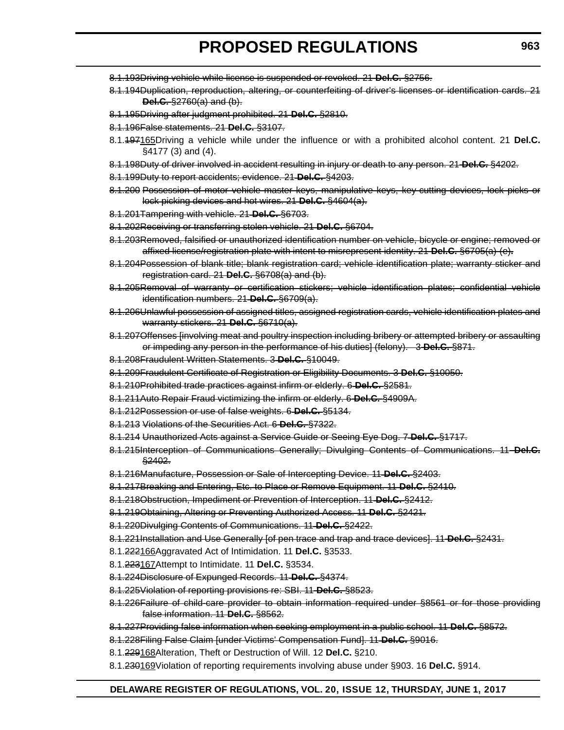- 8.1.193Driving vehicle while license is suspended or revoked. 21 **Del.C.** §2756.
- 8.1.194Duplication, reproduction, altering, or counterfeiting of driver's licenses or identification cards. 21 **Del.C.** §2760(a) and (b).
- 8.1.195Driving after judgment prohibited. 21 **Del.C.** §2810.
- 8.1.196False statements. 21 **Del.C.** §3107.
- 8.1.197165Driving a vehicle while under the influence or with a prohibited alcohol content. 21 **Del.C.** §4177 (3) and (4).
- 8.1.198Duty of driver involved in accident resulting in injury or death to any person. 21 **Del.C.** §4202.
- 8.1.199Duty to report accidents; evidence. 21 **Del.C.** §4203.
- 8.1.200 Possession of motor vehicle master keys, manipulative keys, key cutting devices, lock picks or lock picking devices and hot wires. 21 **Del.C.** §4604(a).
- 8.1.201Tampering with vehicle. 21 **Del.C.** §6703.
- 8.1.202Receiving or transferring stolen vehicle. 21 **Del.C.** §6704.
- 8.1.203Removed, falsified or unauthorized identification number on vehicle, bicycle or engine; removed or affixed license/registration plate with intent to misrepresent identity. 21 **Del.C.** §6705(a)-(e)**.**
- 8.1.204Possession of blank title; blank registration card; vehicle identification plate; warranty sticker and registration card. 21 **Del.C.** §6708(a) and (b).
- 8.1.205Removal of warranty or certification stickers; vehicle identification plates; confidential vehicle identification numbers. 21 **Del.C.** §6709(a).
- 8.1.206Unlawful possession of assigned titles, assigned registration cards, vehicle identification plates and warranty stickers. 21 **Del.C.** §6710(a).
- 8.1.207Offenses [involving meat and poultry inspection including bribery or attempted bribery or assaulting or impeding any person in the performance of his duties] (felony). 3 **Del.C.** §871.
- 8.1.208Fraudulent Written Statements. 3 **Del.C.** §10049.
- 8.1.209Fraudulent Certificate of Registration or Eligibility Documents. 3 **Del.C.** §10050.
- 8.1.210Prohibited trade practices against infirm or elderly. 6 **Del.C.** §2581.
- 8.1.211Auto Repair Fraud victimizing the infirm or elderly. 6 **Del.C.** §4909A.
- 8.1.212Possession or use of false weights. 6 **Del.C.** §5134.
- 8.1.213 Violations of the Securities Act. 6 **Del.C.** §7322.
- 8.1.214 Unauthorized Acts against a Service Guide or Seeing Eye Dog. 7 **Del.C.** §1717.
- 8.1.215Interception of Communications Generally; Divulging Contents of Communications. 11 **Del.C.** §2402.
- 8.1.216Manufacture, Possession or Sale of Intercepting Device. 11 **Del.C.** §2403.
- 8.1.217Breaking and Entering, Etc. to Place or Remove Equipment. 11 **Del.C.** §2410.
- 8.1.218Obstruction, Impediment or Prevention of Interception. 11 **Del.C.** §2412.
- 8.1.219Obtaining, Altering or Preventing Authorized Access. 11 **Del.C.** §2421.
- 8.1.220Divulging Contents of Communications. 11 **Del.C.** §2422.
- 8.1.221Installation and Use Generally [of pen trace and trap and trace devices]. 11 **Del.C.** §2431.
- 8.1.222166Aggravated Act of Intimidation. 11 **Del.C.** §3533.
- 8.1.223167Attempt to Intimidate. 11 **Del.C.** §3534.
- 8.1.224Disclosure of Expunged Records. 11 **Del.C.** §4374.
- 8.1.225Violation of reporting provisions re: SBI. 11 **Del.C.** §8523.
- 8.1.226Failure of child-care provider to obtain information required under §8561 or for those providing false information. 11 **Del.C.** §8562.
- 8.1.227Providing false information when seeking employment in a public school. 11 **Del.C.** §8572.
- 8.1.228Filing False Claim [under Victims' Compensation Fund]. 11 **Del.C.** §9016.
- 8.1.229168Alteration, Theft or Destruction of Will. 12 **Del.C.** §210.
- 8.1.230169Violation of reporting requirements involving abuse under §903. 16 **Del.C.** §914.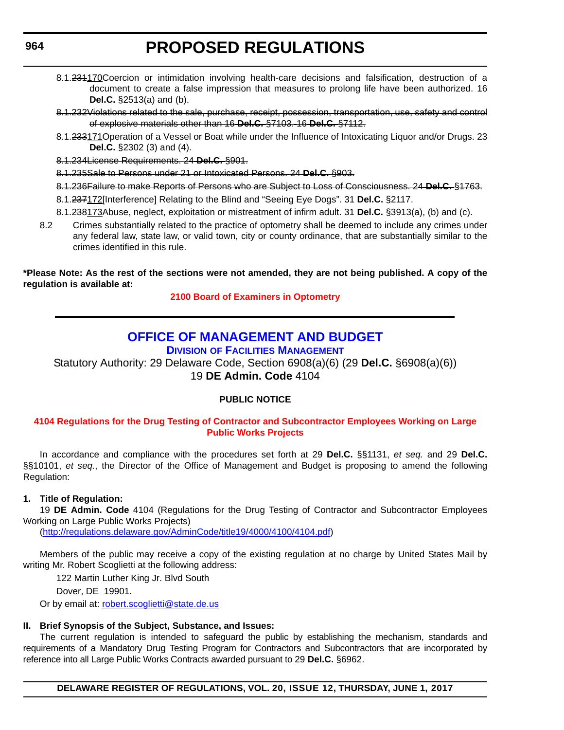- 8.1.231170Coercion or intimidation involving health-care decisions and falsification, destruction of a document to create a false impression that measures to prolong life have been authorized. 16 **Del.C.** §2513(a) and (b).
- 8.1.232Violations related to the sale, purchase, receipt, possession, transportation, use, safety and control of explosive materials other than 16 **Del.C.** §7103. 16 **Del.C.** §7112.
- 8.1.233171Operation of a Vessel or Boat while under the Influence of Intoxicating Liquor and/or Drugs. 23 **Del.C.** §2302 (3) and (4).
- 8.1.234License Requirements. 24 **Del.C.** §901.
- 8.1.235Sale to Persons under 21 or Intoxicated Persons. 24 **Del.C.** §903.
- 8.1.236Failure to make Reports of Persons who are Subject to Loss of Consciousness. 24 **Del.C.** §1763.
- 8.1.237172[Interference] Relating to the Blind and "Seeing Eye Dogs". 31 **Del.C.** §2117.
- 8.1.238173Abuse, neglect, exploitation or mistreatment of infirm adult. 31 **Del.C.** §3913(a), (b) and (c).
- 8.2 Crimes substantially related to the practice of optometry shall be deemed to include any crimes under any federal law, state law, or valid town, city or county ordinance, that are substantially similar to the crimes identified in this rule.

### **\*Please Note: As the rest of the sections were not amended, they are not being published. A copy of the regulation is available at:**

**[2100 Board of Examiners in Optometry](http://regulations.delaware.gov/register/june2017/proposed/20 DE Reg 956 06-01-17.htm)** 

### **[OFFICE OF MANAGEMENT AND BUDGET](http://omb.delaware.gov/)**

**DIVISION [OF FACILITIES MANAGEMENT](http://dfm.delaware.gov/)**

Statutory Authority: 29 Delaware Code, Section 6908(a)(6) (29 **Del.C.** §6908(a)(6)) 19 **DE Admin. Code** 4104

### **PUBLIC NOTICE**

### **[4104 Regulations for the Drug Testing of Contractor and Subcontractor Employees Working on Large](#page-3-0)  Public Works Projects**

In accordance and compliance with the procedures set forth at 29 **Del.C.** §§1131, *et seq.* and 29 **Del.C.** §§10101, *et seq.*, the Director of the Office of Management and Budget is proposing to amend the following Regulation:

### **1. Title of Regulation:**

19 **DE Admin. Code** 4104 (Regulations for the Drug Testing of Contractor and Subcontractor Employees Working on Large Public Works Projects)

(http://regulations.delaware.gov/AdminCode/title19/4000/4100/4104.pdf)

Members of the public may receive a copy of the existing regulation at no charge by United States Mail by writing Mr. Robert Scoglietti at the following address:

122 Martin Luther King Jr. Blvd South

Dover, DE 19901.

Or by email at: robert.scoglietti@state.de.us

### **II. Brief Synopsis of the Subject, Substance, and Issues:**

The current regulation is intended to safeguard the public by establishing the mechanism, standards and requirements of a Mandatory Drug Testing Program for Contractors and Subcontractors that are incorporated by reference into all Large Public Works Contracts awarded pursuant to 29 **Del.C.** §6962.

**DELAWARE REGISTER OF REGULATIONS, VOL. 20, ISSUE 12, THURSDAY, JUNE 1, 2017**

<span id="page-33-0"></span>**964**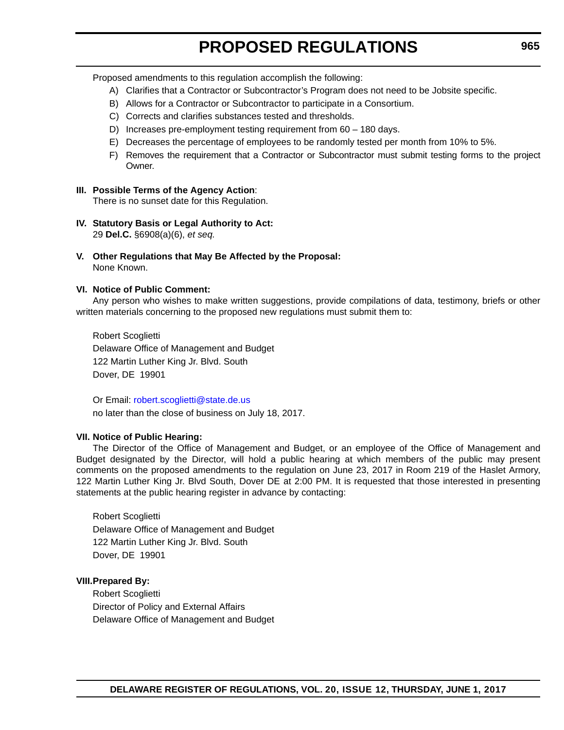Proposed amendments to this regulation accomplish the following:

- A) Clarifies that a Contractor or Subcontractor's Program does not need to be Jobsite specific.
- B) Allows for a Contractor or Subcontractor to participate in a Consortium.
- C) Corrects and clarifies substances tested and thresholds.
- D) Increases pre-employment testing requirement from 60 180 days.
- E) Decreases the percentage of employees to be randomly tested per month from 10% to 5%.
- F) Removes the requirement that a Contractor or Subcontractor must submit testing forms to the project Owner.

### **III. Possible Terms of the Agency Action**:

There is no sunset date for this Regulation.

- **IV. Statutory Basis or Legal Authority to Act:** 29 **Del.C.** §6908(a)(6), *et seq.*
- **V. Other Regulations that May Be Affected by the Proposal:** None Known.

### **VI. Notice of Public Comment:**

Any person who wishes to make written suggestions, provide compilations of data, testimony, briefs or other written materials concerning to the proposed new regulations must submit them to:

Robert Scoglietti Delaware Office of Management and Budget 122 Martin Luther King Jr. Blvd. South Dover, DE 19901

Or Email: robert.scoglietti@state.de.us no later than the close of business on July 18, 2017.

### **VII. Notice of Public Hearing:**

The Director of the Office of Management and Budget, or an employee of the Office of Management and Budget designated by the Director, will hold a public hearing at which members of the public may present comments on the proposed amendments to the regulation on June 23, 2017 in Room 219 of the Haslet Armory, 122 Martin Luther King Jr. Blvd South, Dover DE at 2:00 PM. It is requested that those interested in presenting statements at the public hearing register in advance by contacting:

Robert Scoglietti Delaware Office of Management and Budget 122 Martin Luther King Jr. Blvd. South Dover, DE 19901

### **VIII.Prepared By:**

Robert Scoglietti Director of Policy and External Affairs Delaware Office of Management and Budget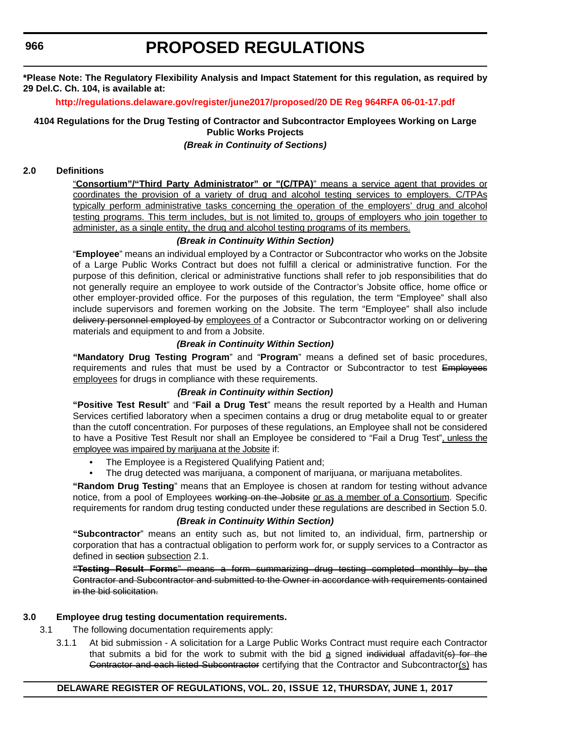**\*Please Note: The Regulatory Flexibility Analysis and Impact Statement for this regulation, as required by 29 Del.C. Ch. 104, is available at:**

**<http://regulations.delaware.gov/register/june2017/proposed/20 DE Reg 964RFA 06-01-17.pdf>**

**4104 Regulations for the Drug Testing of Contractor and Subcontractor Employees Working on Large Public Works Projects**

*(Break in Continuity of Sections)*

### **2.0 Definitions**

"**Consortium"/"Third Party Administrator" or "(C/TPA)**" means a service agent that provides or coordinates the provision of a variety of drug and alcohol testing services to employers. C/TPAs typically perform administrative tasks concerning the operation of the employers' drug and alcohol testing programs. This term includes, but is not limited to, groups of employers who join together to administer, as a single entity, the drug and alcohol testing programs of its members.

### *(Break in Continuity Within Section)*

"**Employee**" means an individual employed by a Contractor or Subcontractor who works on the Jobsite of a Large Public Works Contract but does not fulfill a clerical or administrative function. For the purpose of this definition, clerical or administrative functions shall refer to job responsibilities that do not generally require an employee to work outside of the Contractor's Jobsite office, home office or other employer-provided office. For the purposes of this regulation, the term "Employee" shall also include supervisors and foremen working on the Jobsite. The term "Employee" shall also include delivery personnel employed by employees of a Contractor or Subcontractor working on or delivering materials and equipment to and from a Jobsite.

### *(Break in Continuity Within Section)*

**"Mandatory Drug Testing Program**" and "**Program**" means a defined set of basic procedures, requirements and rules that must be used by a Contractor or Subcontractor to test Employees employees for drugs in compliance with these requirements.

### *(Break in Continuity within Section)*

**"Positive Test Result**" and "**Fail a Drug Test**" means the result reported by a Health and Human Services certified laboratory when a specimen contains a drug or drug metabolite equal to or greater than the cutoff concentration. For purposes of these regulations, an Employee shall not be considered to have a Positive Test Result nor shall an Employee be considered to "Fail a Drug Test", unless the employee was impaired by marijuana at the Jobsite if:

- The Employee is a Registered Qualifying Patient and;
- The drug detected was marijuana, a component of marijuana, or marijuana metabolites.

**"Random Drug Testing**" means that an Employee is chosen at random for testing without advance notice, from a pool of Employees working on the Jobsite or as a member of a Consortium. Specific requirements for random drug testing conducted under these regulations are described in Section 5.0.

### *(Break in Continuity Within Section)*

**"Subcontractor**" means an entity such as, but not limited to, an individual, firm, partnership or corporation that has a contractual obligation to perform work for, or supply services to a Contractor as defined in section subsection 2.1.

**"Testing Result Forms**" means a form summarizing drug testing completed monthly by the Contractor and Subcontractor and submitted to the Owner in accordance with requirements contained in the bid solicitation.

### **3.0 Employee drug testing documentation requirements.**

3.1 The following documentation requirements apply:

3.1.1 At bid submission - A solicitation for a Large Public Works Contract must require each Contractor that submits a bid for the work to submit with the bid  $a$  signed individual affadavit(s) for the Gontractor and each listed Subcontractor certifying that the Contractor and Subcontractor(s) has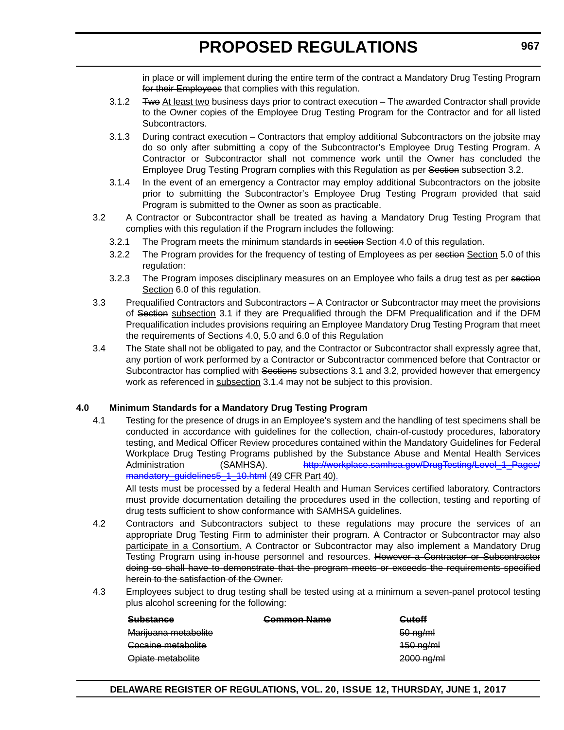in place or will implement during the entire term of the contract a Mandatory Drug Testing Program for their Employees that complies with this regulation.

- 3.1.2 <del>Two At least two</del> business days prior to contract execution The awarded Contractor shall provide to the Owner copies of the Employee Drug Testing Program for the Contractor and for all listed Subcontractors.
- 3.1.3 During contract execution Contractors that employ additional Subcontractors on the jobsite may do so only after submitting a copy of the Subcontractor's Employee Drug Testing Program. A Contractor or Subcontractor shall not commence work until the Owner has concluded the Employee Drug Testing Program complies with this Regulation as per Section subsection 3.2.
- 3.1.4 In the event of an emergency a Contractor may employ additional Subcontractors on the jobsite prior to submitting the Subcontractor's Employee Drug Testing Program provided that said Program is submitted to the Owner as soon as practicable.
- 3.2 A Contractor or Subcontractor shall be treated as having a Mandatory Drug Testing Program that complies with this regulation if the Program includes the following:
	- 3.2.1 The Program meets the minimum standards in section Section 4.0 of this regulation.
	- 3.2.2 The Program provides for the frequency of testing of Employees as per section Section 5.0 of this regulation:
	- 3.2.3 The Program imposes disciplinary measures on an Employee who fails a drug test as per section Section 6.0 of this regulation.
- 3.3 Prequalified Contractors and Subcontractors A Contractor or Subcontractor may meet the provisions of Section subsection 3.1 if they are Prequalified through the DFM Prequalification and if the DFM Prequalification includes provisions requiring an Employee Mandatory Drug Testing Program that meet the requirements of Sections 4.0, 5.0 and 6.0 of this Regulation
- 3.4 The State shall not be obligated to pay, and the Contractor or Subcontractor shall expressly agree that, any portion of work performed by a Contractor or Subcontractor commenced before that Contractor or Subcontractor has complied with Sections subsections 3.1 and 3.2, provided however that emergency work as referenced in subsection 3.1.4 may not be subject to this provision.

### **4.0 Minimum Standards for a Mandatory Drug Testing Program**

4.1 Testing for the presence of drugs in an Employee's system and the handling of test specimens shall be conducted in accordance with guidelines for the collection, chain-of-custody procedures, laboratory testing, and Medical Officer Review procedures contained within the Mandatory Guidelines for Federal Workplace Drug Testing Programs published by the Substance Abuse and Mental Health Services Administration (SAMHSA). http://workplace.samhsa.gov/DrugTesting/Level 1 Pages/ [mandatory\\_guidelines5\\_1\\_10.html](http://workplace.samhsa.gov/DrugTesting/Level_1_Pages/mandatory_guidelines5_1_10.html) (49 CFR Part 40).

All tests must be processed by a federal Health and Human Services certified laboratory. Contractors must provide documentation detailing the procedures used in the collection, testing and reporting of drug tests sufficient to show conformance with SAMHSA guidelines.

- 4.2 Contractors and Subcontractors subject to these regulations may procure the services of an appropriate Drug Testing Firm to administer their program. A Contractor or Subcontractor may also participate in a Consortium. A Contractor or Subcontractor may also implement a Mandatory Drug Testing Program using in-house personnel and resources. However a Contractor or Subcontractor doing so shall have to demonstrate that the program meets or exceeds the requirements specified herein to the satisfaction of the Owner.
- 4.3 Employees subject to drug testing shall be tested using at a minimum a seven-panel protocol testing plus alcohol screening for the following:

| Substance<br><del>ouvstance</del> | <b>Gommon Name</b> | $r_{\rm intoff}$<br><del>outon</del> |
|-----------------------------------|--------------------|--------------------------------------|
| Marijuana metabolite              |                    | $50$ ng/m                            |
| Cocaine metabolite                |                    | $150$ ng/ml                          |
| Opiate metabolite                 |                    | $2000$ ng/ml                         |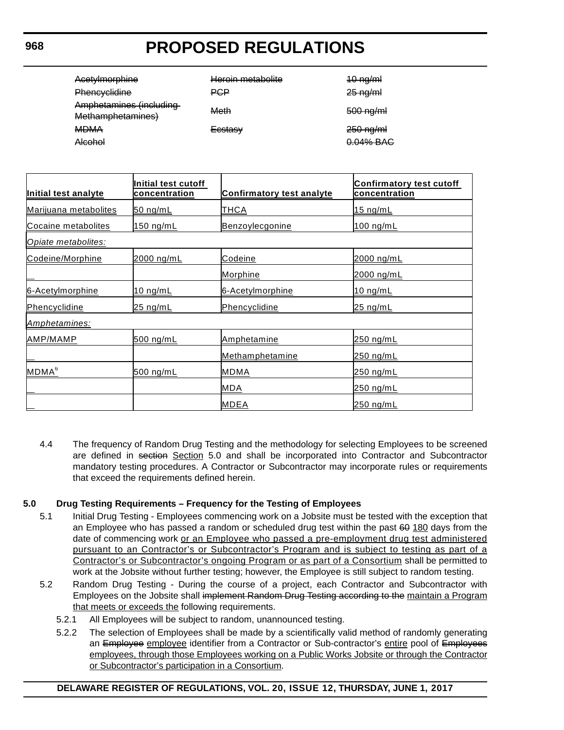| Acetylmorphine<br>Phencyclidine              | Heroin metabolite<br>₽G₽ | $40$ ng/m<br>$25 \nrightarrow$ ng/ml |
|----------------------------------------------|--------------------------|--------------------------------------|
| Amphetamines (including<br>Methamphetamines) | Meth                     | $500$ ng/ml                          |
| <b>MDMA</b><br>Alcohol                       | <del>Ecstasv</del>       | $250$ ng/ml<br>0.04% BAC             |

| Initial test analyte  | Initial test cutoff<br><u>concentration</u> | <b>Confirmatory test analyte</b> | <b>Confirmatory test cutoff</b><br>concentration |
|-----------------------|---------------------------------------------|----------------------------------|--------------------------------------------------|
| Marijuana metabolites | 50 ng/mL                                    | <u>THCA</u>                      | <u>15 ng/mL</u>                                  |
| Cocaine metabolites   | 150 ng/mL                                   | Benzoylecgonine                  | 100 ng/mL                                        |
| Opiate metabolites:   |                                             |                                  |                                                  |
| Codeine/Morphine      | 2000 ng/mL                                  | Codeine                          | 2000 ng/mL                                       |
|                       |                                             | <b>Morphine</b>                  | <u>2000 ng/mL</u>                                |
| 6-Acetylmorphine      | <u>10 ng/mL</u>                             | 6-Acetylmorphine                 | <u>10 ng/mL</u>                                  |
| Phencyclidine         | <u>25 ng/mL</u>                             | Phencyclidine                    | <u>25 ng/mL</u>                                  |
| Amphetamines:         |                                             |                                  |                                                  |
| AMP/MAMP              | 500 ng/mL                                   | Amphetamine                      | 250 ng/mL                                        |
|                       |                                             | Methamphetamine                  | 250 ng/mL                                        |
| MDMA <sup>6</sup>     | 500 ng/mL                                   | <b>MDMA</b>                      | <u>250 ng/mL</u>                                 |
|                       |                                             | <b>MDA</b>                       | 250 ng/mL                                        |
|                       |                                             | <b>MDEA</b>                      | 250 ng/mL                                        |

4.4 The frequency of Random Drug Testing and the methodology for selecting Employees to be screened are defined in section Section 5.0 and shall be incorporated into Contractor and Subcontractor mandatory testing procedures. A Contractor or Subcontractor may incorporate rules or requirements that exceed the requirements defined herein.

### **5.0 Drug Testing Requirements – Frequency for the Testing of Employees**

- 5.1 Initial Drug Testing Employees commencing work on a Jobsite must be tested with the exception that an Employee who has passed a random or scheduled drug test within the past 60 180 days from the date of commencing work or an Employee who passed a pre-employment drug test administered pursuant to an Contractor's or Subcontractor's Program and is subject to testing as part of a Contractor's or Subcontractor's ongoing Program or as part of a Consortium shall be permitted to work at the Jobsite without further testing; however, the Employee is still subject to random testing.
- 5.2 Random Drug Testing During the course of a project, each Contractor and Subcontractor with Employees on the Jobsite shall implement Random Drug Testing according to the maintain a Program that meets or exceeds the following requirements.
	- 5.2.1 All Employees will be subject to random, unannounced testing.
	- 5.2.2 The selection of Employees shall be made by a scientifically valid method of randomly generating an Employee employee identifier from a Contractor or Sub-contractor's entire pool of Employees employees, through those Employees working on a Public Works Jobsite or through the Contractor or Subcontractor's participation in a Consortium.

### **968**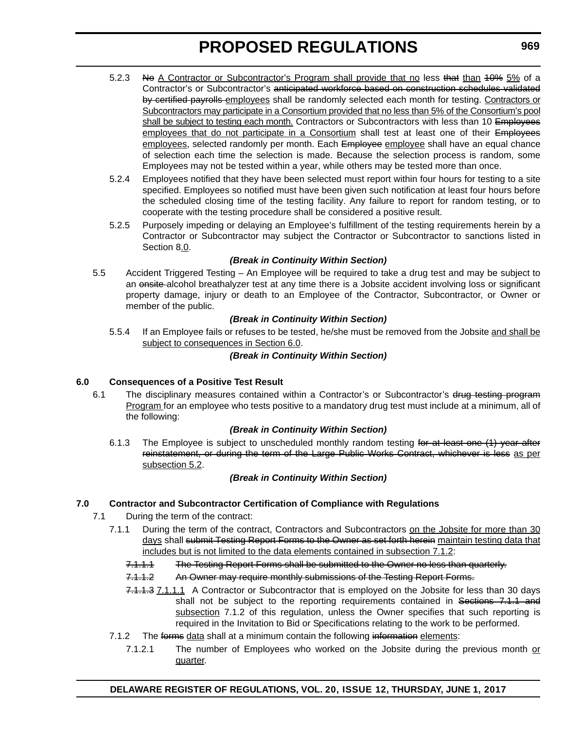- 5.2.3 No A Contractor or Subcontractor's Program shall provide that no less that than 40% 5% of a Contractor's or Subcontractor's anticipated workforce based on construction schedules validated by certified payrolls employees shall be randomly selected each month for testing. Contractors or Subcontractors may participate in a Consortium provided that no less than 5% of the Consortium's pool shall be subject to testing each month. Contractors or Subcontractors with less than 10 Employees employees that do not participate in a Consortium shall test at least one of their Employees employees, selected randomly per month. Each Employee employee shall have an equal chance of selection each time the selection is made. Because the selection process is random, some Employees may not be tested within a year, while others may be tested more than once.
- 5.2.4 Employees notified that they have been selected must report within four hours for testing to a site specified. Employees so notified must have been given such notification at least four hours before the scheduled closing time of the testing facility. Any failure to report for random testing, or to cooperate with the testing procedure shall be considered a positive result.
- 5.2.5 Purposely impeding or delaying an Employee's fulfillment of the testing requirements herein by a Contractor or Subcontractor may subject the Contractor or Subcontractor to sanctions listed in Section 8.0.

### *(Break in Continuity Within Section)*

5.5 Accident Triggered Testing – An Employee will be required to take a drug test and may be subject to an onsite-alcohol breathalyzer test at any time there is a Jobsite accident involving loss or significant property damage, injury or death to an Employee of the Contractor, Subcontractor, or Owner or member of the public.

### *(Break in Continuity Within Section)*

5.5.4 If an Employee fails or refuses to be tested, he/she must be removed from the Jobsite and shall be subject to consequences in Section 6.0.

### *(Break in Continuity Within Section)*

### **6.0 Consequences of a Positive Test Result**

6.1 The disciplinary measures contained within a Contractor's or Subcontractor's drug testing program Program for an employee who tests positive to a mandatory drug test must include at a minimum, all of the following:

### *(Break in Continuity Within Section)*

6.1.3 The Employee is subject to unscheduled monthly random testing for at least one (1) year after reinstatement, or during the term of the Large Public Works Contract, whichever is less as per subsection 5.2.

### *(Break in Continuity Within Section)*

### **7.0 Contractor and Subcontractor Certification of Compliance with Regulations**

- 7.1 During the term of the contract:
	- 7.1.1 During the term of the contract, Contractors and Subcontractors on the Jobsite for more than 30 days shall submit Testing Report Forms to the Owner as set forth herein maintain testing data that includes but is not limited to the data elements contained in subsection 7.1.2:
		- 7.1.1.1 The Testing Report Forms shall be submitted to the Owner no less than quarterly.
		- 7.1.1.2 An Owner may require monthly submissions of the Testing Report Forms.
		- 7.1.1.3 7.1.1.1 A Contractor or Subcontractor that is employed on the Jobsite for less than 30 days shall not be subject to the reporting requirements contained in Sections 7.1.1 and subsection 7.1.2 of this regulation, unless the Owner specifies that such reporting is required in the Invitation to Bid or Specifications relating to the work to be performed.
	- 7.1.2 The forms data shall at a minimum contain the following information elements:
		- 7.1.2.1 The number of Employees who worked on the Jobsite during the previous month or quarter.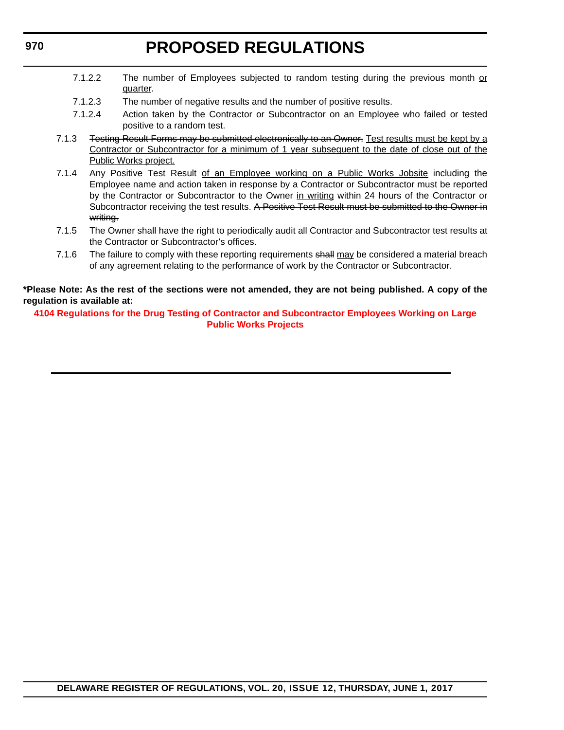- 7.1.2.2 The number of Employees subjected to random testing during the previous month or quarter.
- 7.1.2.3 The number of negative results and the number of positive results.
- 7.1.2.4 Action taken by the Contractor or Subcontractor on an Employee who failed or tested positive to a random test.
- 7.1.3 Festing Result Forms may be submitted electronically to an Owner. Test results must be kept by a Contractor or Subcontractor for a minimum of 1 year subsequent to the date of close out of the Public Works project.
- 7.1.4 Any Positive Test Result of an Employee working on a Public Works Jobsite including the Employee name and action taken in response by a Contractor or Subcontractor must be reported by the Contractor or Subcontractor to the Owner in writing within 24 hours of the Contractor or Subcontractor receiving the test results. A Positive Test Result must be submitted to the Owner in writing.
- 7.1.5 The Owner shall have the right to periodically audit all Contractor and Subcontractor test results at the Contractor or Subcontractor's offices.
- 7.1.6 The failure to comply with these reporting requirements shall may be considered a material breach of any agreement relating to the performance of work by the Contractor or Subcontractor.

**\*Please Note: As the rest of the sections were not amended, they are not being published. A copy of the regulation is available at:**

**[4104 Regulations for the Drug Testing of Contractor and Subcontractor Employees Working on Large](http://regulations.delaware.gov/register/june2017/proposed/20 DE Reg 964 06-01-17.htm)  Public Works Projects** 

**970**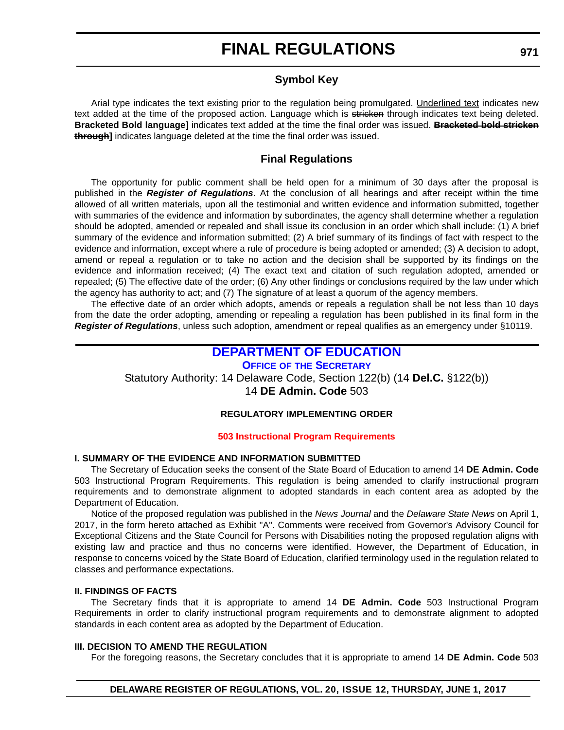### **Symbol Key**

<span id="page-40-0"></span>Arial type indicates the text existing prior to the regulation being promulgated. Underlined text indicates new text added at the time of the proposed action. Language which is stricken through indicates text being deleted. **Bracketed Bold language]** indicates text added at the time the final order was issued. **Bracketed bold stricken through]** indicates language deleted at the time the final order was issued.

### **Final Regulations**

The opportunity for public comment shall be held open for a minimum of 30 days after the proposal is published in the *Register of Regulations*. At the conclusion of all hearings and after receipt within the time allowed of all written materials, upon all the testimonial and written evidence and information submitted, together with summaries of the evidence and information by subordinates, the agency shall determine whether a regulation should be adopted, amended or repealed and shall issue its conclusion in an order which shall include: (1) A brief summary of the evidence and information submitted; (2) A brief summary of its findings of fact with respect to the evidence and information, except where a rule of procedure is being adopted or amended; (3) A decision to adopt, amend or repeal a regulation or to take no action and the decision shall be supported by its findings on the evidence and information received; (4) The exact text and citation of such regulation adopted, amended or repealed; (5) The effective date of the order; (6) Any other findings or conclusions required by the law under which the agency has authority to act; and (7) The signature of at least a quorum of the agency members.

The effective date of an order which adopts, amends or repeals a regulation shall be not less than 10 days from the date the order adopting, amending or repealing a regulation has been published in its final form in the *Register of Regulations*, unless such adoption, amendment or repeal qualifies as an emergency under §10119.

### **[DEPARTMENT OF EDUCATION](https://www.doe.k12.de.us/)**

**OFFICE OF [THE SECRETARY](https://pubapps.doe.k12.de.us/EducationalDirectoryPublic/pages/DDOE/Branches.aspx)** Statutory Authority: 14 Delaware Code, Section 122(b) (14 **Del.C.** §122(b))

14 **DE Admin. Code** 503

### **REGULATORY IMPLEMENTING ORDER**

### **[503 Instructional Program Requirements](#page-3-0)**

### **I. SUMMARY OF THE EVIDENCE AND INFORMATION SUBMITTED**

The Secretary of Education seeks the consent of the State Board of Education to amend 14 **DE Admin. Code** 503 Instructional Program Requirements. This regulation is being amended to clarify instructional program requirements and to demonstrate alignment to adopted standards in each content area as adopted by the Department of Education.

Notice of the proposed regulation was published in the *News Journal* and the *Delaware State News* on April 1, 2017, in the form hereto attached as Exhibit "A". Comments were received from Governor's Advisory Council for Exceptional Citizens and the State Council for Persons with Disabilities noting the proposed regulation aligns with existing law and practice and thus no concerns were identified. However, the Department of Education, in response to concerns voiced by the State Board of Education, clarified terminology used in the regulation related to classes and performance expectations.

### **II. FINDINGS OF FACTS**

The Secretary finds that it is appropriate to amend 14 **DE Admin. Code** 503 Instructional Program Requirements in order to clarify instructional program requirements and to demonstrate alignment to adopted standards in each content area as adopted by the Department of Education.

### **III. DECISION TO AMEND THE REGULATION**

For the foregoing reasons, the Secretary concludes that it is appropriate to amend 14 **DE Admin. Code** 503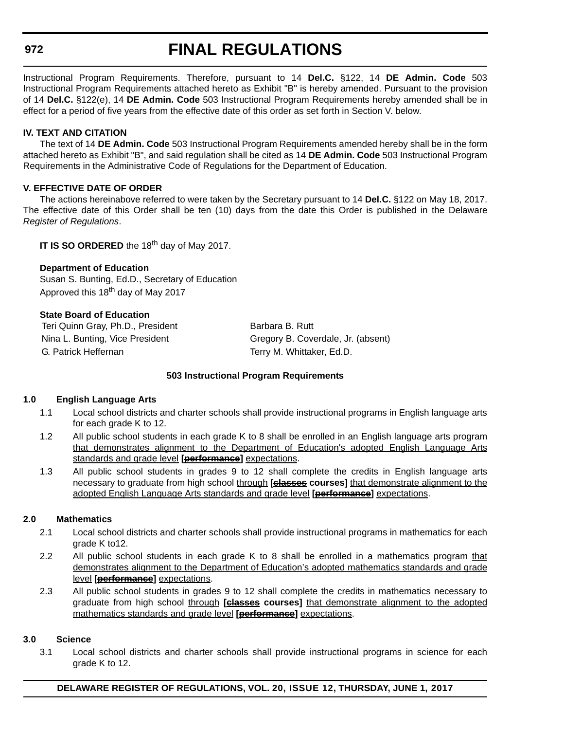# **FINAL REGULATIONS**

Instructional Program Requirements. Therefore, pursuant to 14 **Del.C.** §122, 14 **DE Admin. Code** 503 Instructional Program Requirements attached hereto as Exhibit "B" is hereby amended. Pursuant to the provision of 14 **Del.C.** §122(e), 14 **DE Admin. Code** 503 Instructional Program Requirements hereby amended shall be in effect for a period of five years from the effective date of this order as set forth in Section V. below.

### **IV. TEXT AND CITATION**

The text of 14 **DE Admin. Code** 503 Instructional Program Requirements amended hereby shall be in the form attached hereto as Exhibit "B", and said regulation shall be cited as 14 **DE Admin. Code** 503 Instructional Program Requirements in the Administrative Code of Regulations for the Department of Education.

### **V. EFFECTIVE DATE OF ORDER**

The actions hereinabove referred to were taken by the Secretary pursuant to 14 **Del.C.** §122 on May 18, 2017. The effective date of this Order shall be ten (10) days from the date this Order is published in the Delaware *Register of Regulations*.

**IT IS SO ORDERED** the 18<sup>th</sup> day of May 2017.

### **Department of Education**

Susan S. Bunting, Ed.D., Secretary of Education Approved this 18<sup>th</sup> day of May 2017

### **State Board of Education**

Teri Quinn Gray, Ph.D., President Barbara B. Rutt G. Patrick Heffernan Terry M. Whittaker, Ed.D.

Nina L. Bunting, Vice President Gregory B. Coverdale, Jr. (absent)

### **503 Instructional Program Requirements**

### **1.0 English Language Arts**

- 1.1 Local school districts and charter schools shall provide instructional programs in English language arts for each grade K to 12.
- 1.2 All public school students in each grade K to 8 shall be enrolled in an English language arts program that demonstrates alignment to the Department of Education's adopted English Language Arts standards and grade level **[performance]** expectations.
- 1.3 All public school students in grades 9 to 12 shall complete the credits in English language arts necessary to graduate from high school through **[classes courses]** that demonstrate alignment to the adopted English Language Arts standards and grade level **[performance]** expectations.

### **2.0 Mathematics**

- 2.1 Local school districts and charter schools shall provide instructional programs in mathematics for each grade K to12.
- 2.2 All public school students in each grade K to 8 shall be enrolled in a mathematics program that demonstrates alignment to the Department of Education's adopted mathematics standards and grade level **[performance]** expectations.
- 2.3 All public school students in grades 9 to 12 shall complete the credits in mathematics necessary to graduate from high school through **[classes courses]** that demonstrate alignment to the adopted mathematics standards and grade level **[performance]** expectations.

### **3.0 Science**

3.1 Local school districts and charter schools shall provide instructional programs in science for each grade K to 12.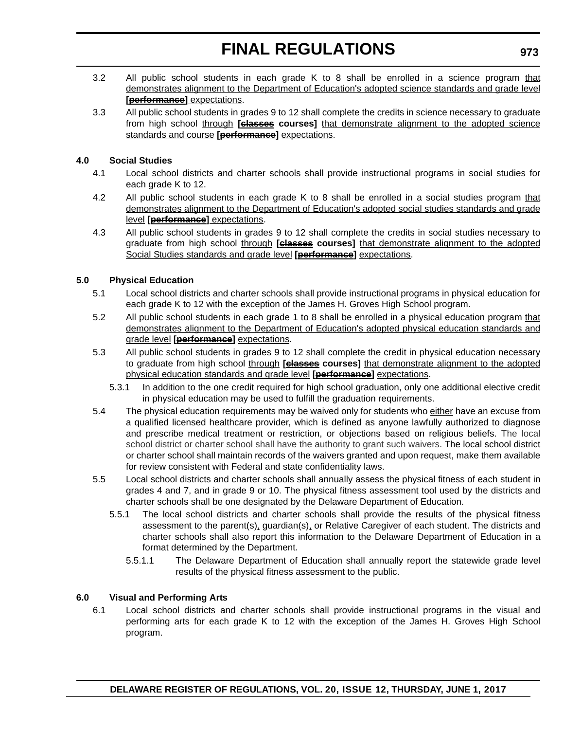- 3.2 All public school students in each grade K to 8 shall be enrolled in a science program that demonstrates alignment to the Department of Education's adopted science standards and grade level **[performance]** expectations.
- 3.3 All public school students in grades 9 to 12 shall complete the credits in science necessary to graduate from high school through **[classes courses]** that demonstrate alignment to the adopted science standards and course **[performance]** expectations.

### **4.0 Social Studies**

- 4.1 Local school districts and charter schools shall provide instructional programs in social studies for each grade K to 12.
- 4.2 All public school students in each grade K to 8 shall be enrolled in a social studies program that demonstrates alignment to the Department of Education's adopted social studies standards and grade level **[performance]** expectations.
- 4.3 All public school students in grades 9 to 12 shall complete the credits in social studies necessary to graduate from high school through **[classes courses]** that demonstrate alignment to the adopted Social Studies standards and grade level **[performance]** expectations.

### **5.0 Physical Education**

- 5.1 Local school districts and charter schools shall provide instructional programs in physical education for each grade K to 12 with the exception of the James H. Groves High School program.
- 5.2 All public school students in each grade 1 to 8 shall be enrolled in a physical education program that demonstrates alignment to the Department of Education's adopted physical education standards and grade level **[performance]** expectations.
- 5.3 All public school students in grades 9 to 12 shall complete the credit in physical education necessary to graduate from high school *through* **[classes courses]** that demonstrate alignment to the adopted physical education standards and grade level **[performance]** expectations.
	- 5.3.1 In addition to the one credit required for high school graduation, only one additional elective credit in physical education may be used to fulfill the graduation requirements.
- 5.4 The physical education requirements may be waived only for students who either have an excuse from a qualified licensed healthcare provider, which is defined as anyone lawfully authorized to diagnose and prescribe medical treatment or restriction, or objections based on religious beliefs. The local school district or charter school shall have the authority to grant such waivers. The local school district or charter school shall maintain records of the waivers granted and upon request, make them available for review consistent with Federal and state confidentiality laws.
- 5.5 Local school districts and charter schools shall annually assess the physical fitness of each student in grades 4 and 7, and in grade 9 or 10. The physical fitness assessment tool used by the districts and charter schools shall be one designated by the Delaware Department of Education.
	- 5.5.1 The local school districts and charter schools shall provide the results of the physical fitness assessment to the parent(s), guardian(s), or Relative Caregiver of each student. The districts and charter schools shall also report this information to the Delaware Department of Education in a format determined by the Department.
		- 5.5.1.1 The Delaware Department of Education shall annually report the statewide grade level results of the physical fitness assessment to the public.

### **6.0 Visual and Performing Arts**

6.1 Local school districts and charter schools shall provide instructional programs in the visual and performing arts for each grade K to 12 with the exception of the James H. Groves High School program.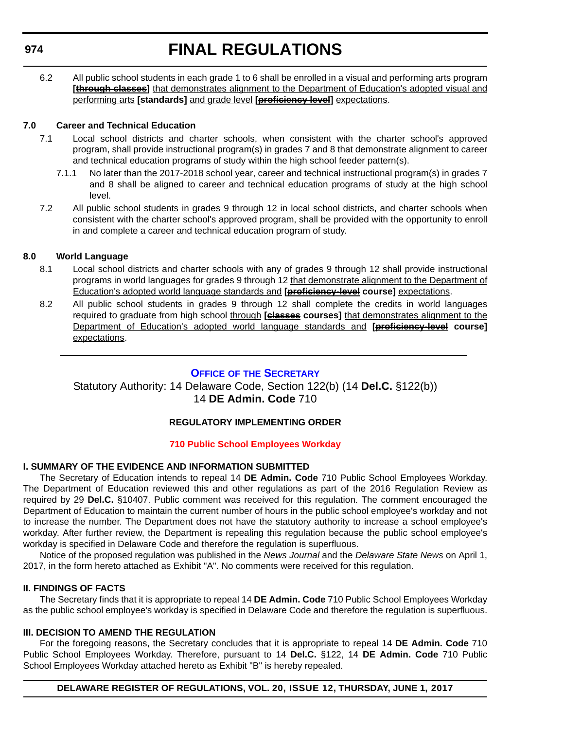# **FINAL REGULATIONS**

<span id="page-43-0"></span>6.2 All public school students in each grade 1 to 6 shall be enrolled in a visual and performing arts program **[through classes]** that demonstrates alignment to the Department of Education's adopted visual and performing arts **[standards]** and grade level **[proficiency level]** expectations.

### **7.0 Career and Technical Education**

- 7.1 Local school districts and charter schools, when consistent with the charter school's approved program, shall provide instructional program(s) in grades 7 and 8 that demonstrate alignment to career and technical education programs of study within the high school feeder pattern(s).
	- 7.1.1 No later than the 2017-2018 school year, career and technical instructional program(s) in grades 7 and 8 shall be aligned to career and technical education programs of study at the high school level.
- 7.2 All public school students in grades 9 through 12 in local school districts, and charter schools when consistent with the charter school's approved program, shall be provided with the opportunity to enroll in and complete a career and technical education program of study.

### **8.0 World Language**

- 8.1 Local school districts and charter schools with any of grades 9 through 12 shall provide instructional programs in world languages for grades 9 through 12 that demonstrate alignment to the Department of Education's adopted world language standards and **[proficiency-level course]** expectations.
- 8.2 All public school students in grades 9 through 12 shall complete the credits in world languages required to graduate from high school through **[classes courses]** that demonstrates alignment to the Department of Education's adopted world language standards and **[proficiency-level course]** expectations.

### **OFFICE OF [THE SECRETARY](https://pubapps.doe.k12.de.us/EducationalDirectoryPublic/pages/DDOE/Branches.aspx)**

### Statutory Authority: 14 Delaware Code, Section 122(b) (14 **Del.C.** §122(b)) 14 **DE Admin. Code** 710

### **REGULATORY IMPLEMENTING ORDER**

### **[710 Public School Employees Workday](#page-3-0)**

### **I. SUMMARY OF THE EVIDENCE AND INFORMATION SUBMITTED**

The Secretary of Education intends to repeal 14 **DE Admin. Code** 710 Public School Employees Workday. The Department of Education reviewed this and other regulations as part of the 2016 Regulation Review as required by 29 **Del.C.** §10407. Public comment was received for this regulation. The comment encouraged the Department of Education to maintain the current number of hours in the public school employee's workday and not to increase the number. The Department does not have the statutory authority to increase a school employee's workday. After further review, the Department is repealing this regulation because the public school employee's workday is specified in Delaware Code and therefore the regulation is superfluous.

Notice of the proposed regulation was published in the *News Journal* and the *Delaware State News* on April 1, 2017, in the form hereto attached as Exhibit "A". No comments were received for this regulation.

### **II. FINDINGS OF FACTS**

The Secretary finds that it is appropriate to repeal 14 **DE Admin. Code** 710 Public School Employees Workday as the public school employee's workday is specified in Delaware Code and therefore the regulation is superfluous.

### **III. DECISION TO AMEND THE REGULATION**

For the foregoing reasons, the Secretary concludes that it is appropriate to repeal 14 **DE Admin. Code** 710 Public School Employees Workday. Therefore, pursuant to 14 **Del.C.** §122, 14 **DE Admin. Code** 710 Public School Employees Workday attached hereto as Exhibit "B" is hereby repealed.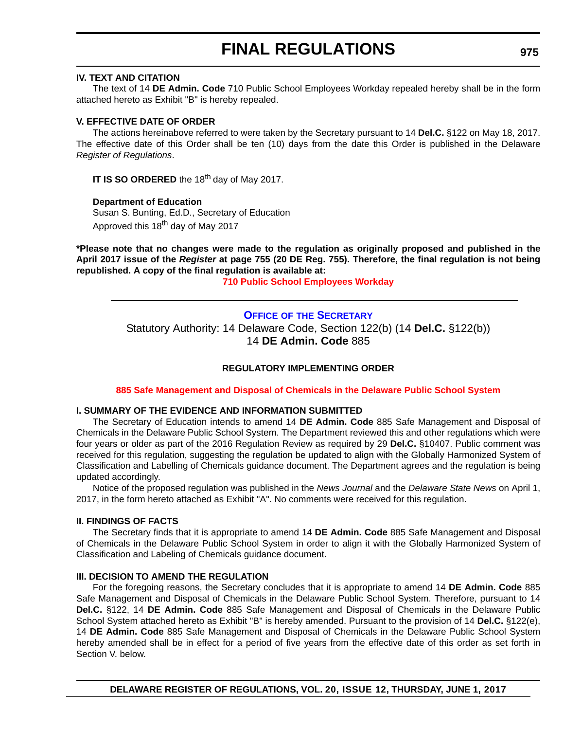### <span id="page-44-0"></span>**IV. TEXT AND CITATION**

The text of 14 **DE Admin. Code** 710 Public School Employees Workday repealed hereby shall be in the form attached hereto as Exhibit "B" is hereby repealed.

### **V. EFFECTIVE DATE OF ORDER**

The actions hereinabove referred to were taken by the Secretary pursuant to 14 **Del.C.** §122 on May 18, 2017. The effective date of this Order shall be ten (10) days from the date this Order is published in the Delaware *Register of Regulations*.

**IT IS SO ORDERED** the 18<sup>th</sup> day of May 2017.

**Department of Education** Susan S. Bunting, Ed.D., Secretary of Education Approved this 18<sup>th</sup> day of May 2017

**\*Please note that no changes were made to the regulation as originally proposed and published in the April 2017 issue of the** *Register* **at page 755 (20 DE Reg. 755). Therefore, the final regulation is not being republished. A copy of the final regulation is available at:**

**[710 Public School Employees Workday](http://regulations.delaware.gov/register/june2017/final/20 DE Reg 974 06-01-17.htm)** 

### **OFFICE OF [THE SECRETARY](https://pubapps.doe.k12.de.us/EducationalDirectoryPublic/pages/DDOE/Branches.aspx)**

Statutory Authority: 14 Delaware Code, Section 122(b) (14 **Del.C.** §122(b)) 14 **DE Admin. Code** 885

### **REGULATORY IMPLEMENTING ORDER**

### **[885 Safe Management and Disposal of Chemicals in the Delaware Public School System](#page-3-0)**

### **I. SUMMARY OF THE EVIDENCE AND INFORMATION SUBMITTED**

The Secretary of Education intends to amend 14 **DE Admin. Code** 885 Safe Management and Disposal of Chemicals in the Delaware Public School System. The Department reviewed this and other regulations which were four years or older as part of the 2016 Regulation Review as required by 29 **Del.C.** §10407. Public comment was received for this regulation, suggesting the regulation be updated to align with the Globally Harmonized System of Classification and Labelling of Chemicals guidance document. The Department agrees and the regulation is being updated accordingly.

Notice of the proposed regulation was published in the *News Journal* and the *Delaware State News* on April 1, 2017, in the form hereto attached as Exhibit "A". No comments were received for this regulation.

### **II. FINDINGS OF FACTS**

The Secretary finds that it is appropriate to amend 14 **DE Admin. Code** 885 Safe Management and Disposal of Chemicals in the Delaware Public School System in order to align it with the Globally Harmonized System of Classification and Labeling of Chemicals guidance document.

### **III. DECISION TO AMEND THE REGULATION**

For the foregoing reasons, the Secretary concludes that it is appropriate to amend 14 **DE Admin. Code** 885 Safe Management and Disposal of Chemicals in the Delaware Public School System. Therefore, pursuant to 14 **Del.C.** §122, 14 **DE Admin. Code** 885 Safe Management and Disposal of Chemicals in the Delaware Public School System attached hereto as Exhibit "B" is hereby amended. Pursuant to the provision of 14 **Del.C.** §122(e), 14 **DE Admin. Code** 885 Safe Management and Disposal of Chemicals in the Delaware Public School System hereby amended shall be in effect for a period of five years from the effective date of this order as set forth in Section V. below.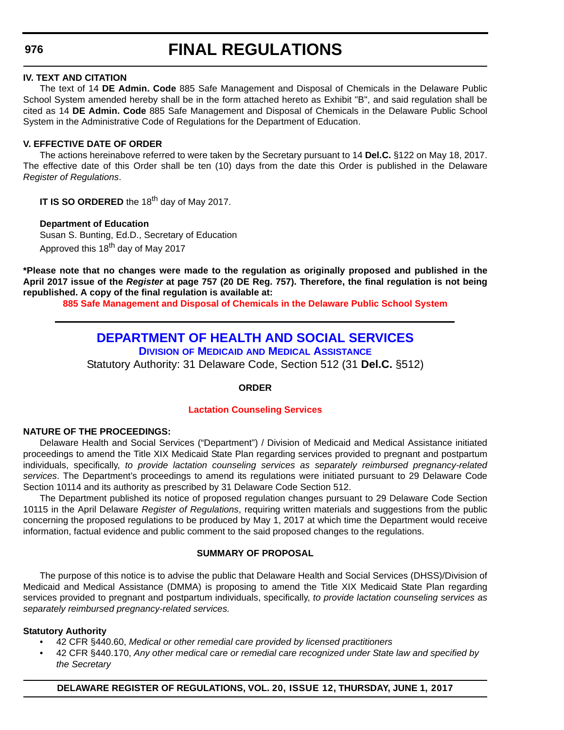### **IV. TEXT AND CITATION**

The text of 14 **DE Admin. Code** 885 Safe Management and Disposal of Chemicals in the Delaware Public School System amended hereby shall be in the form attached hereto as Exhibit "B", and said regulation shall be cited as 14 **DE Admin. Code** 885 Safe Management and Disposal of Chemicals in the Delaware Public School System in the Administrative Code of Regulations for the Department of Education.

### **V. EFFECTIVE DATE OF ORDER**

The actions hereinabove referred to were taken by the Secretary pursuant to 14 **Del.C.** §122 on May 18, 2017. The effective date of this Order shall be ten (10) days from the date this Order is published in the Delaware *Register of Regulations*.

**IT IS SO ORDERED** the 18<sup>th</sup> day of May 2017.

**Department of Education** Susan S. Bunting, Ed.D., Secretary of Education Approved this 18<sup>th</sup> day of May 2017

**\*Please note that no changes were made to the regulation as originally proposed and published in the April 2017 issue of the** *Register* **at page 757 (20 DE Reg. 757). Therefore, the final regulation is not being republished. A copy of the final regulation is available at:**

**[885 Safe Management and Disposal of Chemicals in the Delaware Public School System](http://regulations.delaware.gov/register/june2017/final/20 DE Reg 975 06-01-17.htm)** 

### **[DEPARTMENT OF HEALTH AND SOCIAL SERVICES](http://www.dhss.delaware.gov/dhss/index.html)**

**DIVISION OF MEDICAID [AND MEDICAL ASSISTANCE](http://www.dhss.delaware.gov/dhss/dmma/)**

Statutory Authority: 31 Delaware Code, Section 512 (31 **Del.C.** §512)

### **ORDER**

### **[Lactation Counseling Services](#page-3-0)**

### **NATURE OF THE PROCEEDINGS:**

Delaware Health and Social Services ("Department") / Division of Medicaid and Medical Assistance initiated proceedings to amend the Title XIX Medicaid State Plan regarding services provided to pregnant and postpartum individuals, specifically, *to provide lactation counseling services as separately reimbursed pregnancy-related services*. The Department's proceedings to amend its regulations were initiated pursuant to 29 Delaware Code Section 10114 and its authority as prescribed by 31 Delaware Code Section 512.

The Department published its notice of proposed regulation changes pursuant to 29 Delaware Code Section 10115 in the April Delaware *Register of Regulations*, requiring written materials and suggestions from the public concerning the proposed regulations to be produced by May 1, 2017 at which time the Department would receive information, factual evidence and public comment to the said proposed changes to the regulations.

### **SUMMARY OF PROPOSAL**

The purpose of this notice is to advise the public that Delaware Health and Social Services (DHSS)/Division of Medicaid and Medical Assistance (DMMA) is proposing to amend the Title XIX Medicaid State Plan regarding services provided to pregnant and postpartum individuals, specifically, *to provide lactation counseling services as separately reimbursed pregnancy-related services.*

### **Statutory Authority**

- 42 CFR §440.60, *Medical or other remedial care provided by licensed practitioners*
- 42 CFR §440.170, *Any other medical care or remedial care recognized under State law and specified by the Secretary*

### **DELAWARE REGISTER OF REGULATIONS, VOL. 20, ISSUE 12, THURSDAY, JUNE 1, 2017**

### <span id="page-45-0"></span>**976**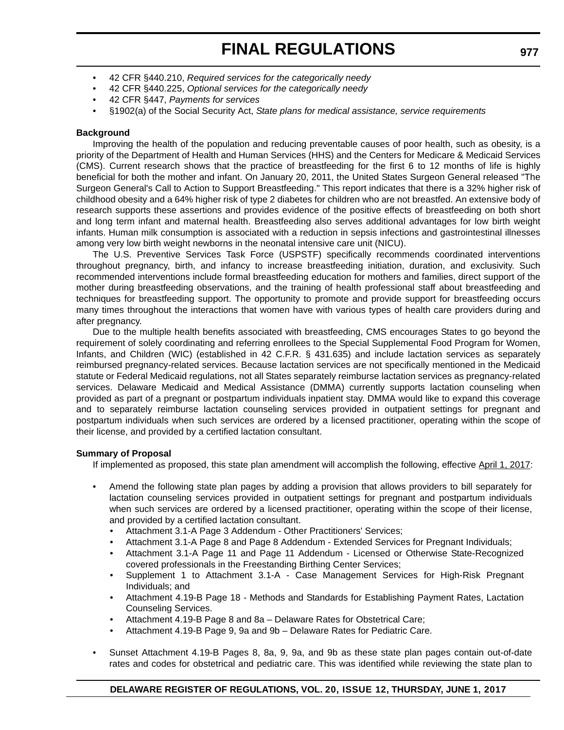- 42 CFR §440.210, *Required services for the categorically needy*
- 42 CFR §440.225, *Optional services for the categorically needy*
- 42 CFR §447, *Payments for services*
- §1902(a) of the Social Security Act, *State plans for medical assistance, service requirements*

### **Background**

Improving the health of the population and reducing preventable causes of poor health, such as obesity, is a priority of the Department of Health and Human Services (HHS) and the Centers for Medicare & Medicaid Services (CMS). Current research shows that the practice of breastfeeding for the first 6 to 12 months of life is highly beneficial for both the mother and infant. On January 20, 2011, the United States Surgeon General released "The Surgeon General's Call to Action to Support Breastfeeding." This report indicates that there is a 32% higher risk of childhood obesity and a 64% higher risk of type 2 diabetes for children who are not breastfed. An extensive body of research supports these assertions and provides evidence of the positive effects of breastfeeding on both short and long term infant and maternal health. Breastfeeding also serves additional advantages for low birth weight infants. Human milk consumption is associated with a reduction in sepsis infections and gastrointestinal illnesses among very low birth weight newborns in the neonatal intensive care unit (NICU).

The U.S. Preventive Services Task Force (USPSTF) specifically recommends coordinated interventions throughout pregnancy, birth, and infancy to increase breastfeeding initiation, duration, and exclusivity. Such recommended interventions include formal breastfeeding education for mothers and families, direct support of the mother during breastfeeding observations, and the training of health professional staff about breastfeeding and techniques for breastfeeding support. The opportunity to promote and provide support for breastfeeding occurs many times throughout the interactions that women have with various types of health care providers during and after pregnancy.

Due to the multiple health benefits associated with breastfeeding, CMS encourages States to go beyond the requirement of solely coordinating and referring enrollees to the Special Supplemental Food Program for Women, Infants, and Children (WIC) (established in 42 C.F.R. § 431.635) and include lactation services as separately reimbursed pregnancy-related services. Because lactation services are not specifically mentioned in the Medicaid statute or Federal Medicaid regulations, not all States separately reimburse lactation services as pregnancy-related services. Delaware Medicaid and Medical Assistance (DMMA) currently supports lactation counseling when provided as part of a pregnant or postpartum individuals inpatient stay. DMMA would like to expand this coverage and to separately reimburse lactation counseling services provided in outpatient settings for pregnant and postpartum individuals when such services are ordered by a licensed practitioner, operating within the scope of their license, and provided by a certified lactation consultant.

### **Summary of Proposal**

If implemented as proposed, this state plan amendment will accomplish the following, effective April 1, 2017:

- Amend the following state plan pages by adding a provision that allows providers to bill separately for lactation counseling services provided in outpatient settings for pregnant and postpartum individuals when such services are ordered by a licensed practitioner, operating within the scope of their license, and provided by a certified lactation consultant.
	- Attachment 3.1-A Page 3 Addendum Other Practitioners' Services;
	- Attachment 3.1-A Page 8 and Page 8 Addendum Extended Services for Pregnant Individuals;
	- Attachment 3.1-A Page 11 and Page 11 Addendum Licensed or Otherwise State-Recognized covered professionals in the Freestanding Birthing Center Services;
	- Supplement 1 to Attachment 3.1-A Case Management Services for High-Risk Pregnant Individuals; and
	- Attachment 4.19-B Page 18 Methods and Standards for Establishing Payment Rates, Lactation Counseling Services.
	- Attachment 4.19-B Page 8 and 8a Delaware Rates for Obstetrical Care;
	- Attachment 4.19-B Page 9, 9a and 9b Delaware Rates for Pediatric Care.
- Sunset Attachment 4.19-B Pages 8, 8a, 9, 9a, and 9b as these state plan pages contain out-of-date rates and codes for obstetrical and pediatric care. This was identified while reviewing the state plan to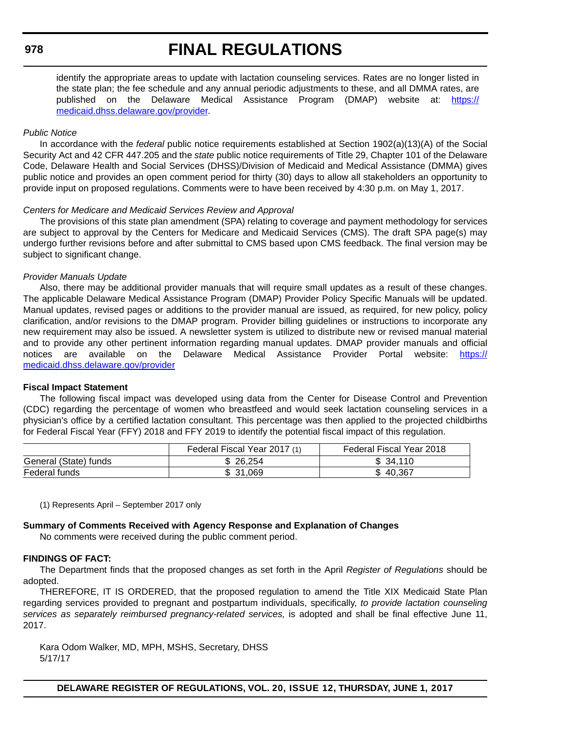# **FINAL REGULATIONS**

identify the appropriate areas to update with lactation counseling services. Rates are no longer listed in the state plan; the fee schedule and any annual periodic adjustments to these, and all DMMA rates, are published on the Delaware Medical Assistance Program (DMAP) website at: [https://](https://medicaid.dhss.delaware.gov/provider) [medicaid.dhss.delaware.gov/provider.](https://medicaid.dhss.delaware.gov/provider)

### *Public Notice*

In accordance with the *federal* public notice requirements established at Section 1902(a)(13)(A) of the Social Security Act and 42 CFR 447.205 and the *state* public notice requirements of Title 29, Chapter 101 of the Delaware Code, Delaware Health and Social Services (DHSS)/Division of Medicaid and Medical Assistance (DMMA) gives public notice and provides an open comment period for thirty (30) days to allow all stakeholders an opportunity to provide input on proposed regulations. Comments were to have been received by 4:30 p.m. on May 1, 2017.

### *Centers for Medicare and Medicaid Services Review and Approval*

The provisions of this state plan amendment (SPA) relating to coverage and payment methodology for services are subject to approval by the Centers for Medicare and Medicaid Services (CMS). The draft SPA page(s) may undergo further revisions before and after submittal to CMS based upon CMS feedback. The final version may be subject to significant change.

### *Provider Manuals Update*

Also, there may be additional provider manuals that will require small updates as a result of these changes. The applicable Delaware Medical Assistance Program (DMAP) Provider Policy Specific Manuals will be updated. Manual updates, revised pages or additions to the provider manual are issued, as required, for new policy, policy clarification, and/or revisions to the DMAP program. Provider billing guidelines or instructions to incorporate any new requirement may also be issued. A newsletter system is utilized to distribute new or revised manual material and to provide any other pertinent information regarding manual updates. DMAP provider manuals and official notices are available on the Delaware Medical Assistance Provider Portal website: [https://](https://medicaid.dhss.delaware.gov/provider) [medicaid.dhss.delaware.gov/provider](https://medicaid.dhss.delaware.gov/provider)

### **Fiscal Impact Statement**

The following fiscal impact was developed using data from the Center for Disease Control and Prevention (CDC) regarding the percentage of women who breastfeed and would seek lactation counseling services in a physician's office by a certified lactation consultant. This percentage was then applied to the projected childbirths for Federal Fiscal Year (FFY) 2018 and FFY 2019 to identify the potential fiscal impact of this regulation.

|                       | Federal Fiscal Year 2017 (1) | Federal Fiscal Year 2018 |
|-----------------------|------------------------------|--------------------------|
| General (State) funds | 26.254<br>ъ.                 | \$34.110                 |
| Federal funds         | \$ 31.069                    | \$40.367                 |

(1) Represents April – September 2017 only

### **Summary of Comments Received with Agency Response and Explanation of Changes**

No comments were received during the public comment period.

### **FINDINGS OF FACT:**

The Department finds that the proposed changes as set forth in the April *Register of Regulations* should be adopted.

THEREFORE, IT IS ORDERED, that the proposed regulation to amend the Title XIX Medicaid State Plan regarding services provided to pregnant and postpartum individuals, specifically, *to provide lactation counseling services as separately reimbursed pregnancy-related services,* is adopted and shall be final effective June 11, 2017.

Kara Odom Walker, MD, MPH, MSHS, Secretary, DHSS 5/17/17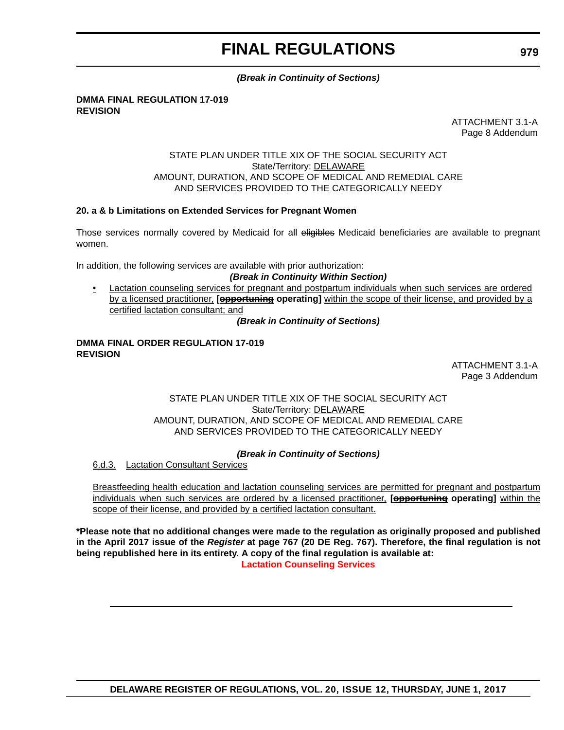### *(Break in Continuity of Sections)*

#### **DMMA FINAL REGULATION 17-019 REVISION**

ATTACHMENT 3.1-A Page 8 Addendum

### STATE PLAN UNDER TITLE XIX OF THE SOCIAL SECURITY ACT State/Territory: DELAWARE AMOUNT, DURATION, AND SCOPE OF MEDICAL AND REMEDIAL CARE AND SERVICES PROVIDED TO THE CATEGORICALLY NEEDY

### **20. a & b Limitations on Extended Services for Pregnant Women**

Those services normally covered by Medicaid for all eligibles Medicaid beneficiaries are available to pregnant women.

In addition, the following services are available with prior authorization:

### *(Break in Continuity Within Section)*

• Lactation counseling services for pregnant and postpartum individuals when such services are ordered by a licensed practitioner, **[opportuning operating]** within the scope of their license, and provided by a certified lactation consultant; and

*(Break in Continuity of Sections)*

#### **DMMA FINAL ORDER REGULATION 17-019 REVISION**

ATTACHMENT 3.1-A Page 3 Addendum

### STATE PLAN UNDER TITLE XIX OF THE SOCIAL SECURITY ACT State/Territory: DELAWARE AMOUNT, DURATION, AND SCOPE OF MEDICAL AND REMEDIAL CARE AND SERVICES PROVIDED TO THE CATEGORICALLY NEEDY

### *(Break in Continuity of Sections)*

6.d.3. Lactation Consultant Services

Breastfeeding health education and lactation counseling services are permitted for pregnant and postpartum individuals when such services are ordered by a licensed practitioner, **[opportuning operating]** within the scope of their license, and provided by a certified lactation consultant.

**\*Please note that no additional changes were made to the regulation as originally proposed and published in the April 2017 issue of the** *Register* **at page 767 (20 DE Reg. 767). Therefore, the final regulation is not being republished here in its entirety. A copy of the final regulation is available at: [Lactation Counseling Services](http://regulations.delaware.gov/register/june2017/final/20 DE Reg 976 06-01-17.htm)** 

**979**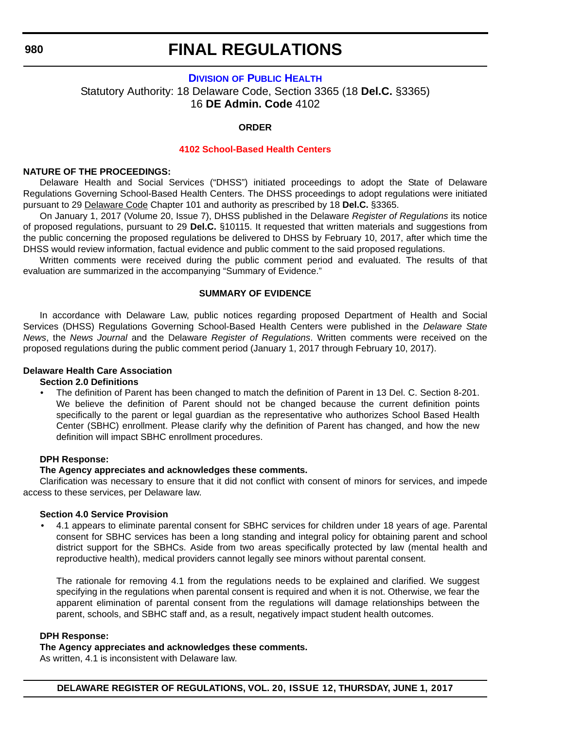### **FINAL REGULATIONS**

### **DIVISION [OF PUBLIC HEALTH](http://www.dhss.delaware.gov/dhss/dph/index.html)**

<span id="page-49-0"></span>Statutory Authority: 18 Delaware Code, Section 3365 (18 **Del.C.** §3365) 16 **DE Admin. Code** 4102

### **ORDER**

#### **[4102 School-Based Health Centers](#page-3-0)**

### **NATURE OF THE PROCEEDINGS:**

Delaware Health and Social Services ("DHSS") initiated proceedings to adopt the State of Delaware Regulations Governing School-Based Health Centers. The DHSS proceedings to adopt regulations were initiated pursuant to 29 Delaware Code Chapter 101 and authority as prescribed by 18 **Del.C.** §3365.

On January 1, 2017 (Volume 20, Issue 7), DHSS published in the Delaware *Register of Regulations* its notice of proposed regulations, pursuant to 29 **Del.C.** §10115. It requested that written materials and suggestions from the public concerning the proposed regulations be delivered to DHSS by February 10, 2017, after which time the DHSS would review information, factual evidence and public comment to the said proposed regulations.

Written comments were received during the public comment period and evaluated. The results of that evaluation are summarized in the accompanying "Summary of Evidence."

### **SUMMARY OF EVIDENCE**

In accordance with Delaware Law, public notices regarding proposed Department of Health and Social Services (DHSS) Regulations Governing School-Based Health Centers were published in the *Delaware State News*, the *News Journal* and the Delaware *Register of Regulations*. Written comments were received on the proposed regulations during the public comment period (January 1, 2017 through February 10, 2017).

### **Delaware Health Care Association**

### **Section 2.0 Definitions**

• The definition of Parent has been changed to match the definition of Parent in 13 Del. C. Section 8-201. We believe the definition of Parent should not be changed because the current definition points specifically to the parent or legal guardian as the representative who authorizes School Based Health Center (SBHC) enrollment. Please clarify why the definition of Parent has changed, and how the new definition will impact SBHC enrollment procedures.

#### **DPH Response:**

### **The Agency appreciates and acknowledges these comments.**

Clarification was necessary to ensure that it did not conflict with consent of minors for services, and impede access to these services, per Delaware law.

#### **Section 4.0 Service Provision**

• 4.1 appears to eliminate parental consent for SBHC services for children under 18 years of age. Parental consent for SBHC services has been a long standing and integral policy for obtaining parent and school district support for the SBHCs. Aside from two areas specifically protected by law (mental health and reproductive health), medical providers cannot legally see minors without parental consent.

The rationale for removing 4.1 from the regulations needs to be explained and clarified. We suggest specifying in the regulations when parental consent is required and when it is not. Otherwise, we fear the apparent elimination of parental consent from the regulations will damage relationships between the parent, schools, and SBHC staff and, as a result, negatively impact student health outcomes.

#### **DPH Response:**

**The Agency appreciates and acknowledges these comments.**

As written, 4.1 is inconsistent with Delaware law.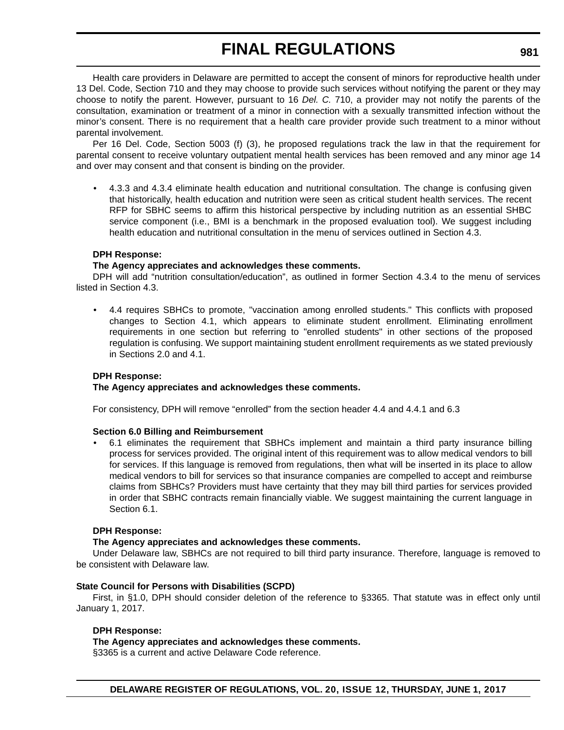Health care providers in Delaware are permitted to accept the consent of minors for reproductive health under 13 Del. Code, Section 710 and they may choose to provide such services without notifying the parent or they may choose to notify the parent. However, pursuant to 16 *Del. C.* 710, a provider may not notify the parents of the consultation, examination or treatment of a minor in connection with a sexually transmitted infection without the minor's consent. There is no requirement that a health care provider provide such treatment to a minor without parental involvement.

Per 16 Del. Code, Section 5003 (f) (3), he proposed regulations track the law in that the requirement for parental consent to receive voluntary outpatient mental health services has been removed and any minor age 14 and over may consent and that consent is binding on the provider.

• 4.3.3 and 4.3.4 eliminate health education and nutritional consultation. The change is confusing given that historically, health education and nutrition were seen as critical student health services. The recent RFP for SBHC seems to affirm this historical perspective by including nutrition as an essential SHBC service component (i.e., BMI is a benchmark in the proposed evaluation tool). We suggest including health education and nutritional consultation in the menu of services outlined in Section 4.3.

### **DPH Response:**

### **The Agency appreciates and acknowledges these comments.**

DPH will add "nutrition consultation/education", as outlined in former Section 4.3.4 to the menu of services listed in Section 4.3.

• 4.4 requires SBHCs to promote, "vaccination among enrolled students." This conflicts with proposed changes to Section 4.1, which appears to eliminate student enrollment. Eliminating enrollment requirements in one section but referring to "enrolled students" in other sections of the proposed regulation is confusing. We support maintaining student enrollment requirements as we stated previously in Sections 2.0 and 4.1.

### **DPH Response:**

### **The Agency appreciates and acknowledges these comments.**

For consistency, DPH will remove "enrolled" from the section header 4.4 and 4.4.1 and 6.3

### **Section 6.0 Billing and Reimbursement**

• 6.1 eliminates the requirement that SBHCs implement and maintain a third party insurance billing process for services provided. The original intent of this requirement was to allow medical vendors to bill for services. If this language is removed from regulations, then what will be inserted in its place to allow medical vendors to bill for services so that insurance companies are compelled to accept and reimburse claims from SBHCs? Providers must have certainty that they may bill third parties for services provided in order that SBHC contracts remain financially viable. We suggest maintaining the current language in Section 6.1.

### **DPH Response:**

### **The Agency appreciates and acknowledges these comments.**

Under Delaware law, SBHCs are not required to bill third party insurance. Therefore, language is removed to be consistent with Delaware law.

### **State Council for Persons with Disabilities (SCPD)**

First, in §1.0, DPH should consider deletion of the reference to §3365. That statute was in effect only until January 1, 2017.

### **DPH Response:**

### **The Agency appreciates and acknowledges these comments.**

§3365 is a current and active Delaware Code reference.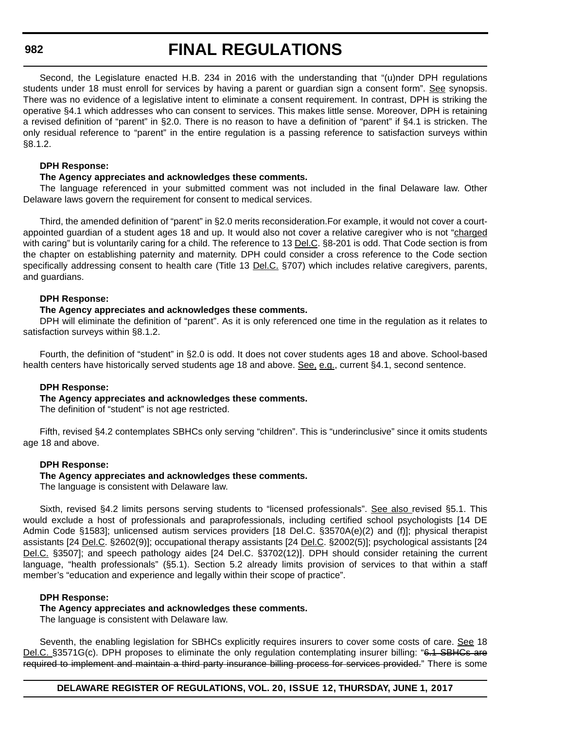# **FINAL REGULATIONS**

Second, the Legislature enacted H.B. 234 in 2016 with the understanding that "(u)nder DPH regulations students under 18 must enroll for services by having a parent or guardian sign a consent form". See synopsis. There was no evidence of a legislative intent to eliminate a consent requirement. In contrast, DPH is striking the operative §4.1 which addresses who can consent to services. This makes little sense. Moreover, DPH is retaining a revised definition of "parent" in §2.0. There is no reason to have a definition of "parent" if §4.1 is stricken. The only residual reference to "parent" in the entire regulation is a passing reference to satisfaction surveys within §8.1.2.

### **DPH Response:**

### **The Agency appreciates and acknowledges these comments.**

The language referenced in your submitted comment was not included in the final Delaware law. Other Delaware laws govern the requirement for consent to medical services.

Third, the amended definition of "parent" in §2.0 merits reconsideration.For example, it would not cover a courtappointed guardian of a student ages 18 and up. It would also not cover a relative caregiver who is not "charged with caring" but is voluntarily caring for a child. The reference to 13 Del.C. §8-201 is odd. That Code section is from the chapter on establishing paternity and maternity. DPH could consider a cross reference to the Code section specifically addressing consent to health care (Title 13 Del.C. §707) which includes relative caregivers, parents, and guardians.

### **DPH Response:**

### **The Agency appreciates and acknowledges these comments.**

DPH will eliminate the definition of "parent". As it is only referenced one time in the regulation as it relates to satisfaction surveys within §8.1.2.

Fourth, the definition of "student" in §2.0 is odd. It does not cover students ages 18 and above. School-based health centers have historically served students age 18 and above. See, e.g., current §4.1, second sentence.

### **DPH Response:**

### **The Agency appreciates and acknowledges these comments.**

The definition of "student" is not age restricted.

Fifth, revised §4.2 contemplates SBHCs only serving "children". This is "underinclusive" since it omits students age 18 and above.

### **DPH Response:**

### **The Agency appreciates and acknowledges these comments.**

The language is consistent with Delaware law.

Sixth, revised §4.2 limits persons serving students to "licensed professionals". See also revised §5.1. This would exclude a host of professionals and paraprofessionals, including certified school psychologists [14 DE Admin Code §1583]; unlicensed autism services providers [18 Del.C. §3570A(e)(2) and (f)]; physical therapist assistants [24 Del.C. §2602(9)]; occupational therapy assistants [24 Del.C. §2002(5)]; psychological assistants [24 Del.C. §3507]; and speech pathology aides [24 Del.C. §3702(12)]. DPH should consider retaining the current language, "health professionals" (§5.1). Section 5.2 already limits provision of services to that within a staff member's "education and experience and legally within their scope of practice".

### **DPH Response:**

### **The Agency appreciates and acknowledges these comments.**

The language is consistent with Delaware law.

Seventh, the enabling legislation for SBHCs explicitly requires insurers to cover some costs of care. See 18 Del.C. §3571G(c). DPH proposes to eliminate the only regulation contemplating insurer billing: "6.1 SBHCs are required to implement and maintain a third party insurance billing process for services provided." There is some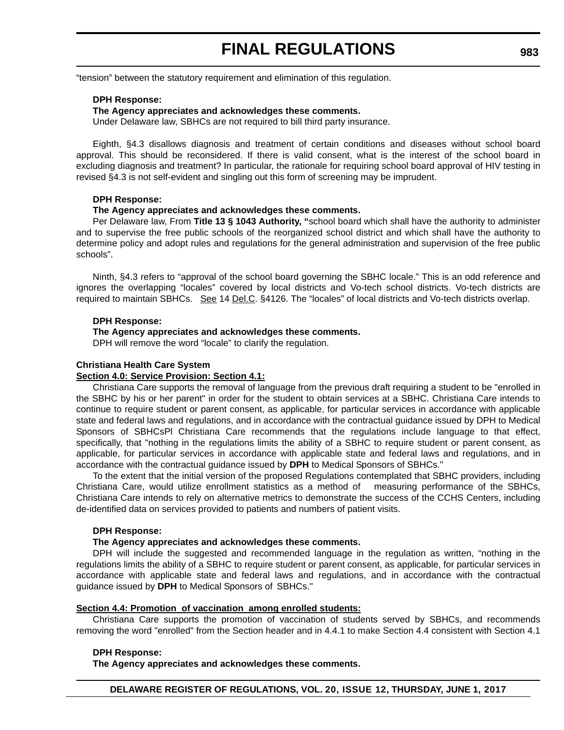"tension" between the statutory requirement and elimination of this regulation.

#### **DPH Response:**

#### **The Agency appreciates and acknowledges these comments.**

Under Delaware law, SBHCs are not required to bill third party insurance.

Eighth, §4.3 disallows diagnosis and treatment of certain conditions and diseases without school board approval. This should be reconsidered. If there is valid consent, what is the interest of the school board in excluding diagnosis and treatment? In particular, the rationale for requiring school board approval of HIV testing in revised §4.3 is not self-evident and singling out this form of screening may be imprudent.

#### **DPH Response:**

#### **The Agency appreciates and acknowledges these comments.**

Per Delaware law, From **Title 13 § 1043 Authority, "**school board which shall have the authority to administer and to supervise the free public schools of the reorganized school district and which shall have the authority to determine policy and adopt rules and regulations for the general administration and supervision of the free public schools".

Ninth, §4.3 refers to "approval of the school board governing the SBHC locale." This is an odd reference and ignores the overlapping "locales" covered by local districts and Vo-tech school districts. Vo-tech districts are required to maintain SBHCs. See 14 Del.C. §4126. The "locales" of local districts and Vo-tech districts overlap.

#### **DPH Response:**

#### **The Agency appreciates and acknowledges these comments.**

DPH will remove the word "locale" to clarify the regulation.

### **Christiana Health Care System**

#### **Section 4.0: Service Provision: Section 4.1:**

Christiana Care supports the removal of language from the previous draft requiring a student to be "enrolled in the SBHC by his or her parent" in order for the student to obtain services at a SBHC. Christiana Care intends to continue to require student or parent consent, as applicable, for particular services in accordance with applicable state and federal laws and regulations, and in accordance with the contractual guidance issued by DPH to Medical Sponsors of SBHCsPl Christiana Care recommends that the regulations include language to that effect, specifically, that "nothing in the regulations limits the ability of a SBHC to require student or parent consent, as applicable, for particular services in accordance with applicable state and federal laws and regulations, and in accordance with the contractual guidance issued by **DPH** to Medical Sponsors of SBHCs."

To the extent that the initial version of the proposed Regulations contemplated that SBHC providers, including Christiana Care, would utilize enrollment statistics as a method of measuring performance of the SBHCs, Christiana Care intends to rely on alternative metrics to demonstrate the success of the CCHS Centers, including de-identified data on services provided to patients and numbers of patient visits.

#### **DPH Response:**

### **The Agency appreciates and acknowledges these comments.**

DPH will include the suggested and recommended language in the regulation as written, "nothing in the regulations limits the ability of a SBHC to require student or parent consent, as applicable, for particular services in accordance with applicable state and federal laws and regulations, and in accordance with the contractual guidance issued by **DPH** to Medical Sponsors of SBHCs."

### **Section 4.4: Promotion of vaccination among enrolled students:**

Christiana Care supports the promotion of vaccination of students served by SBHCs, and recommends removing the word "enrolled" from the Section header and in 4.4.1 to make Section 4.4 consistent with Section 4.1

#### **DPH Response:**

**The Agency appreciates and acknowledges these comments.**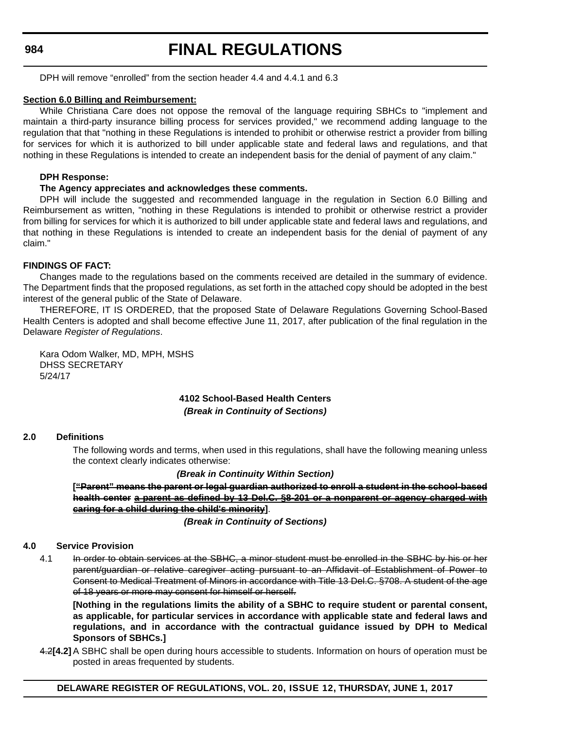# **FINAL REGULATIONS**

DPH will remove "enrolled" from the section header 4.4 and 4.4.1 and 6.3

### **Section 6.0 Billing and Reimbursement:**

While Christiana Care does not oppose the removal of the language requiring SBHCs to "implement and maintain a third-party insurance billing process for services provided," we recommend adding language to the regulation that that "nothing in these Regulations is intended to prohibit or otherwise restrict a provider from billing for services for which it is authorized to bill under applicable state and federal laws and regulations, and that nothing in these Regulations is intended to create an independent basis for the denial of payment of any claim."

### **DPH Response:**

### **The Agency appreciates and acknowledges these comments.**

DPH will include the suggested and recommended language in the regulation in Section 6.0 Billing and Reimbursement as written, "nothing in these Regulations is intended to prohibit or otherwise restrict a provider from billing for services for which it is authorized to bill under applicable state and federal laws and regulations, and that nothing in these Regulations is intended to create an independent basis for the denial of payment of any claim."

### **FINDINGS OF FACT:**

Changes made to the regulations based on the comments received are detailed in the summary of evidence. The Department finds that the proposed regulations, as set forth in the attached copy should be adopted in the best interest of the general public of the State of Delaware.

THEREFORE, IT IS ORDERED, that the proposed State of Delaware Regulations Governing School-Based Health Centers is adopted and shall become effective June 11, 2017, after publication of the final regulation in the Delaware *Register of Regulations*.

Kara Odom Walker, MD, MPH, MSHS DHSS SECRETARY 5/24/17

### **4102 School-Based Health Centers** *(Break in Continuity of Sections)*

### **2.0 Definitions**

The following words and terms, when used in this regulations, shall have the following meaning unless the context clearly indicates otherwise:

### *(Break in Continuity Within Section)*

**["Parent" means the parent or legal guardian authorized to enroll a student in the school-based health center a parent as defined by 13 Del.C. §8-201 or a nonparent or agency charged with caring for a child during the child's minority]**.

*(Break in Continuity of Sections)*

### **4.0 Service Provision**

4.1 In order to obtain services at the SBHC, a minor student must be enrolled in the SBHC by his or her parent/guardian or relative caregiver acting pursuant to an Affidavit of Establishment of Power to Consent to Medical Treatment of Minors in accordance with Title 13 Del.C. §708. A student of the age of 18 years or more may consent for himself or herself.

**[Nothing in the regulations limits the ability of a SBHC to require student or parental consent, as applicable, for particular services in accordance with applicable state and federal laws and regulations, and in accordance with the contractual guidance issued by DPH to Medical Sponsors of SBHCs.]**

4.2**[4.2]**A SBHC shall be open during hours accessible to students. Information on hours of operation must be posted in areas frequented by students.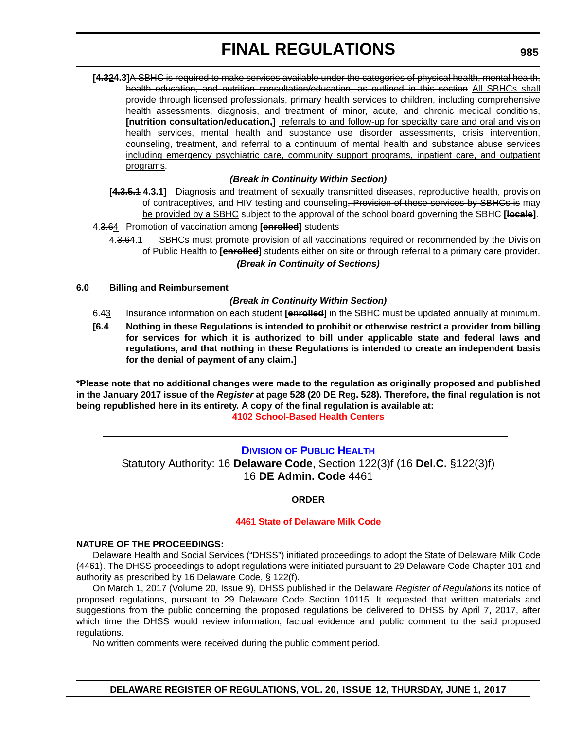<span id="page-54-0"></span>**[4.324.3]**A SBHC is required to make services available under the categories of physical health, mental health, health education, and nutrition consultation/education, as outlined in this section All SBHCs shall provide through licensed professionals, primary health services to children, including comprehensive health assessments, diagnosis, and treatment of minor, acute, and chronic medical conditions, **[nutrition consultation/education,]** referrals to and follow-up for specialty care and oral and vision health services, mental health and substance use disorder assessments, crisis intervention, counseling, treatment, and referral to a continuum of mental health and substance abuse services including emergency psychiatric care, community support programs, inpatient care, and outpatient programs.

### *(Break in Continuity Within Section)*

**[4.3.5.1 4.3.1]** Diagnosis and treatment of sexually transmitted diseases, reproductive health, provision of contraceptives, and HIV testing and counseling. Provision of these services by SBHCs is may be provided by a SBHC subject to the approval of the school board governing the SBHC **[locale]**.

4.3.64 Promotion of vaccination among **[enrolled]** students

4.3.64.1 SBHCs must promote provision of all vaccinations required or recommended by the Division of Public Health to **[enrolled]** students either on site or through referral to a primary care provider. *(Break in Continuity of Sections)*

### **6.0 Billing and Reimbursement**

### *(Break in Continuity Within Section)*

- 6.43 Insurance information on each student **[enrolled]** in the SBHC must be updated annually at minimum.
- **[6.4 Nothing in these Regulations is intended to prohibit or otherwise restrict a provider from billing for services for which it is authorized to bill under applicable state and federal laws and regulations, and that nothing in these Regulations is intended to create an independent basis for the denial of payment of any claim.]**

**\*Please note that no additional changes were made to the regulation as originally proposed and published in the January 2017 issue of the** *Register* **at page 528 (20 DE Reg. 528). Therefore, the final regulation is not being republished here in its entirety. A copy of the final regulation is available at: [4102 School-Based Health Centers](http://regulations.delaware.gov/register/june2017/final/20 DE Reg 980 06-01-17.htm)** 

### **DIVISION [OF PUBLIC HEALTH](http://www.dhss.delaware.gov/dhss/dph/index.html)**

Statutory Authority: 16 **Delaware Code**, Section 122(3)f (16 **Del.C.** §122(3)f) 16 **DE Admin. Code** 4461

### **ORDER**

### **[4461 State of Delaware Milk Code](#page-3-0)**

### **NATURE OF THE PROCEEDINGS:**

Delaware Health and Social Services ("DHSS") initiated proceedings to adopt the State of Delaware Milk Code (4461). The DHSS proceedings to adopt regulations were initiated pursuant to 29 Delaware Code Chapter 101 and authority as prescribed by 16 Delaware Code, § 122(f).

On March 1, 2017 (Volume 20, Issue 9), DHSS published in the Delaware *Register of Regulations* its notice of proposed regulations, pursuant to 29 Delaware Code Section 10115. It requested that written materials and suggestions from the public concerning the proposed regulations be delivered to DHSS by April 7, 2017, after which time the DHSS would review information, factual evidence and public comment to the said proposed regulations.

No written comments were received during the public comment period.

### **985**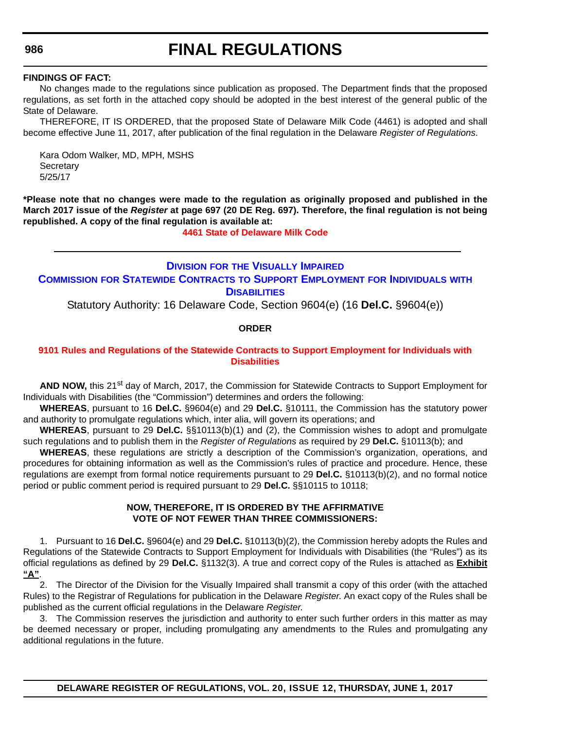### **FINDINGS OF FACT:**

No changes made to the regulations since publication as proposed. The Department finds that the proposed regulations, as set forth in the attached copy should be adopted in the best interest of the general public of the State of Delaware.

THEREFORE, IT IS ORDERED, that the proposed State of Delaware Milk Code (4461) is adopted and shall become effective June 11, 2017, after publication of the final regulation in the Delaware *Register of Regulations*.

Kara Odom Walker, MD, MPH, MSHS **Secretary** 5/25/17

**\*Please note that no changes were made to the regulation as originally proposed and published in the March 2017 issue of the** *Register* **at page 697 (20 DE Reg. 697). Therefore, the final regulation is not being republished. A copy of the final regulation is available at:**

**[4461 State of Delaware Milk Code](http://regulations.delaware.gov/register/june2017/final/20 DE Reg 985 06-01-17.htm)** 

### **DIVISION FOR [THE VISUALLY IMPAIRED](http://www.dhss.delaware.gov/dhss/dvi/) COMMISSION [FOR STATEWIDE CONTRACTS](http://www.dhss.delaware.gov/dhss/dvi/) TO SUPPORT EMPLOYMENT FOR INDIVIDUALS WITH DISABILITIES**

Statutory Authority: 16 Delaware Code, Section 9604(e) (16 **Del.C.** §9604(e))

### **ORDER**

### **[9101 Rules and Regulations of the Statewide Contracts to Support Employment for Individuals with](#page-3-0)  Disabilities**

AND NOW, this 21<sup>st</sup> day of March, 2017, the Commission for Statewide Contracts to Support Employment for Individuals with Disabilities (the "Commission") determines and orders the following:

**WHEREAS**, pursuant to 16 **Del.C.** §9604(e) and 29 **Del.C.** §10111, the Commission has the statutory power and authority to promulgate regulations which, inter alia, will govern its operations; and

**WHEREAS**, pursuant to 29 **Del.C.** §§10113(b)(1) and (2), the Commission wishes to adopt and promulgate such regulations and to publish them in the *Register of Regulations* as required by 29 **Del.C.** §10113(b); and

**WHEREAS**, these regulations are strictly a description of the Commission's organization, operations, and procedures for obtaining information as well as the Commission's rules of practice and procedure. Hence, these regulations are exempt from formal notice requirements pursuant to 29 **Del.C.** §10113(b)(2), and no formal notice period or public comment period is required pursuant to 29 **Del.C.** §§10115 to 10118;

### **NOW, THEREFORE, IT IS ORDERED BY THE AFFIRMATIVE VOTE OF NOT FEWER THAN THREE COMMISSIONERS:**

1. Pursuant to 16 **Del.C.** §9604(e) and 29 **Del.C.** §10113(b)(2), the Commission hereby adopts the Rules and Regulations of the Statewide Contracts to Support Employment for Individuals with Disabilities (the "Rules") as its official regulations as defined by 29 **Del.C.** §1132(3). A true and correct copy of the Rules is attached as **Exhibit "A"**.

2. The Director of the Division for the Visually Impaired shall transmit a copy of this order (with the attached Rules) to the Registrar of Regulations for publication in the Delaware *Register*. An exact copy of the Rules shall be published as the current official regulations in the Delaware *Register*.

3. The Commission reserves the jurisdiction and authority to enter such further orders in this matter as may be deemed necessary or proper, including promulgating any amendments to the Rules and promulgating any additional regulations in the future.

#### <span id="page-55-0"></span>**986**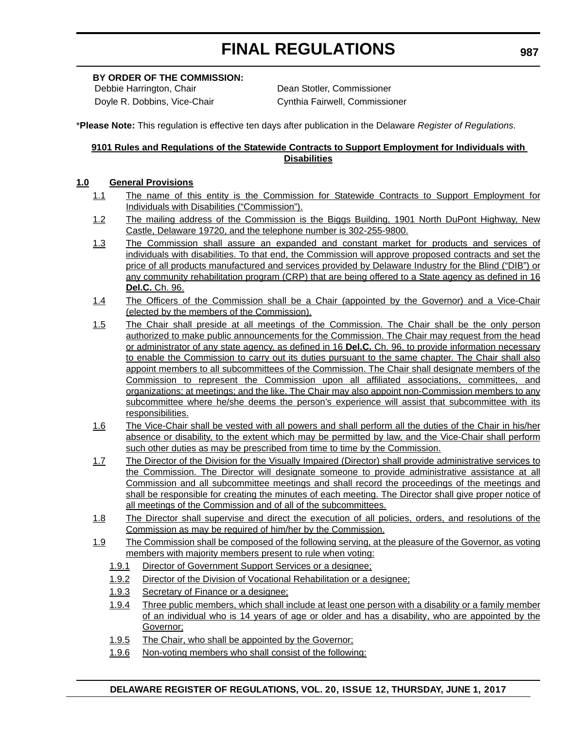### **BY ORDER OF THE COMMISSION:**

Debbie Harrington, Chair **Dean Stotler, Commissioner** Doyle R. Dobbins, Vice-Chair Cynthia Fairwell, Commissioner

\***Please Note:** This regulation is effective ten days after publication in the Delaware *Register of Regulations*.

### **9101 Rules and Regulations of the Statewide Contracts to Support Employment for Individuals with Disabilities**

### **1.0 General Provisions**

- 1.1 The name of this entity is the Commission for Statewide Contracts to Support Employment for Individuals with Disabilities ("Commission").
- 1.2 The mailing address of the Commission is the Biggs Building, 1901 North DuPont Highway, New Castle, Delaware 19720, and the telephone number is 302-255-9800.
- 1.3 The Commission shall assure an expanded and constant market for products and services of individuals with disabilities. To that end, the Commission will approve proposed contracts and set the price of all products manufactured and services provided by Delaware Industry for the Blind ("DIB") or any community rehabilitation program (CRP) that are being offered to a State agency as defined in 16 **Del.C.** Ch. 96.
- 1.4 The Officers of the Commission shall be a Chair (appointed by the Governor) and a Vice-Chair (elected by the members of the Commission).
- 1.5 The Chair shall preside at all meetings of the Commission. The Chair shall be the only person authorized to make public announcements for the Commission. The Chair may request from the head or administrator of any state agency, as defined in 16 **Del.C.** Ch. 96, to provide information necessary to enable the Commission to carry out its duties pursuant to the same chapter. The Chair shall also appoint members to all subcommittees of the Commission. The Chair shall designate members of the Commission to represent the Commission upon all affiliated associations, committees, and organizations; at meetings; and the like. The Chair may also appoint non-Commission members to any subcommittee where he/she deems the person's experience will assist that subcommittee with its responsibilities.
- 1.6 The Vice-Chair shall be vested with all powers and shall perform all the duties of the Chair in his/her absence or disability, to the extent which may be permitted by law, and the Vice-Chair shall perform such other duties as may be prescribed from time to time by the Commission.
- 1.7 The Director of the Division for the Visually Impaired (Director) shall provide administrative services to the Commission. The Director will designate someone to provide administrative assistance at all Commission and all subcommittee meetings and shall record the proceedings of the meetings and shall be responsible for creating the minutes of each meeting. The Director shall give proper notice of all meetings of the Commission and of all of the subcommittees.
- 1.8 The Director shall supervise and direct the execution of all policies, orders, and resolutions of the Commission as may be required of him/her by the Commission.
- 1.9 The Commission shall be composed of the following serving, at the pleasure of the Governor, as voting members with majority members present to rule when voting:
	- 1.9.1 Director of Government Support Services or a designee;
	- 1.9.2 Director of the Division of Vocational Rehabilitation or a designee;
	- 1.9.3 Secretary of Finance or a designee;
	- 1.9.4 Three public members, which shall include at least one person with a disability or a family member of an individual who is 14 years of age or older and has a disability, who are appointed by the Governor;
	- 1.9.5 The Chair, who shall be appointed by the Governor;
	- 1.9.6 Non-voting members who shall consist of the following: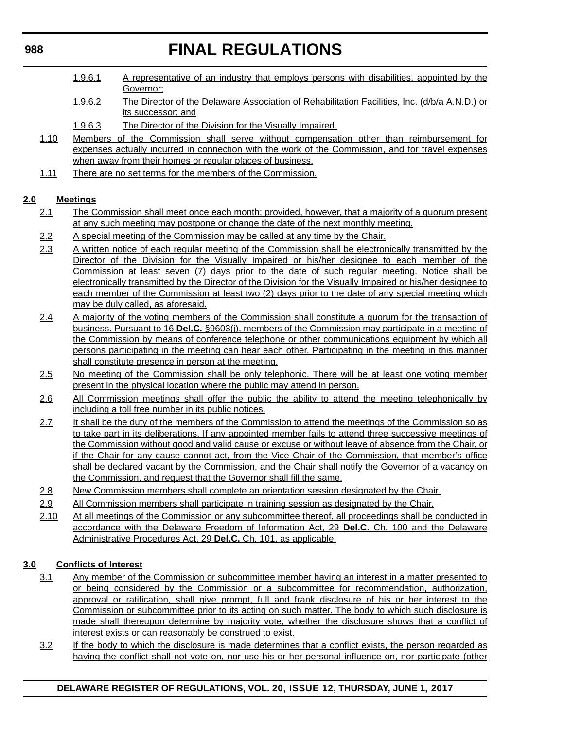- 1.9.6.1 A representative of an industry that employs persons with disabilities, appointed by the Governor;
- 1.9.6.2 The Director of the Delaware Association of Rehabilitation Facilities, Inc. (d/b/a A.N.D.) or its successor; and
- 1.9.6.3 The Director of the Division for the Visually Impaired.
- 1.10 Members of the Commission shall serve without compensation other than reimbursement for expenses actually incurred in connection with the work of the Commission, and for travel expenses when away from their homes or regular places of business.
- 1.11 There are no set terms for the members of the Commission.

### **2.0 Meetings**

- 2.1 The Commission shall meet once each month; provided, however, that a majority of a quorum present at any such meeting may postpone or change the date of the next monthly meeting.
- 2.2 A special meeting of the Commission may be called at any time by the Chair.
- 2.3 A written notice of each regular meeting of the Commission shall be electronically transmitted by the Director of the Division for the Visually Impaired or his/her designee to each member of the Commission at least seven (7) days prior to the date of such regular meeting. Notice shall be electronically transmitted by the Director of the Division for the Visually Impaired or his/her designee to each member of the Commission at least two (2) days prior to the date of any special meeting which may be duly called, as aforesaid.
- 2.4 A majority of the voting members of the Commission shall constitute a quorum for the transaction of business. Pursuant to 16 **Del.C.** §9603(j), members of the Commission may participate in a meeting of the Commission by means of conference telephone or other communications equipment by which all persons participating in the meeting can hear each other. Participating in the meeting in this manner shall constitute presence in person at the meeting.
- 2.5 No meeting of the Commission shall be only telephonic. There will be at least one voting member present in the physical location where the public may attend in person.
- 2.6 All Commission meetings shall offer the public the ability to attend the meeting telephonically by including a toll free number in its public notices.
- 2.7 It shall be the duty of the members of the Commission to attend the meetings of the Commission so as to take part in its deliberations. If any appointed member fails to attend three successive meetings of the Commission without good and valid cause or excuse or without leave of absence from the Chair, or if the Chair for any cause cannot act, from the Vice Chair of the Commission, that member's office shall be declared vacant by the Commission, and the Chair shall notify the Governor of a vacancy on the Commission, and request that the Governor shall fill the same.
- 2.8 New Commission members shall complete an orientation session designated by the Chair.
- 2.9 All Commission members shall participate in training session as designated by the Chair.
- 2.10 At all meetings of the Commission or any subcommittee thereof, all proceedings shall be conducted in accordance with the Delaware Freedom of Information Act, 29 **Del.C.** Ch. 100 and the Delaware Administrative Procedures Act, 29 **Del.C.** Ch. 101, as applicable.

### **3.0 Conflicts of Interest**

- 3.1 Any member of the Commission or subcommittee member having an interest in a matter presented to or being considered by the Commission or a subcommittee for recommendation, authorization, approval or ratification, shall give prompt, full and frank disclosure of his or her interest to the Commission or subcommittee prior to its acting on such matter. The body to which such disclosure is made shall thereupon determine by majority vote, whether the disclosure shows that a conflict of interest exists or can reasonably be construed to exist.
- 3.2 If the body to which the disclosure is made determines that a conflict exists, the person regarded as having the conflict shall not vote on, nor use his or her personal influence on, nor participate (other

### **988**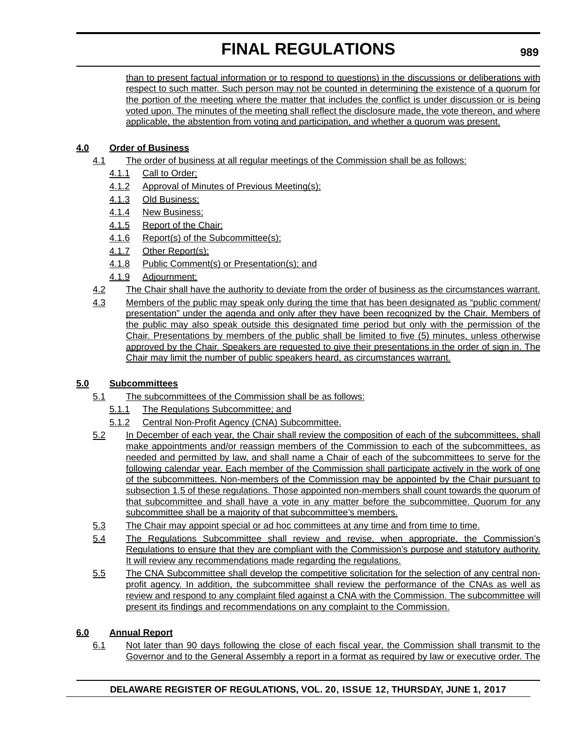than to present factual information or to respond to questions) in the discussions or deliberations with respect to such matter. Such person may not be counted in determining the existence of a quorum for the portion of the meeting where the matter that includes the conflict is under discussion or is being voted upon. The minutes of the meeting shall reflect the disclosure made, the vote thereon, and where applicable, the abstention from voting and participation, and whether a quorum was present.

### **4.0 Order of Business**

- 4.1 The order of business at all regular meetings of the Commission shall be as follows:
	- 4.1.1 Call to Order;
	- 4.1.2 Approval of Minutes of Previous Meeting(s);
	- 4.1.3 Old Business;
	- 4.1.4 New Business;
	- 4.1.5 Report of the Chair;
	- 4.1.6 Report(s) of the Subcommittee(s);
	- 4.1.7 Other Report(s);
	- 4.1.8 Public Comment(s) or Presentation(s); and
	- 4.1.9 Adjournment;
- 4.2 The Chair shall have the authority to deviate from the order of business as the circumstances warrant.
- 4.3 Members of the public may speak only during the time that has been designated as "public comment/ presentation" under the agenda and only after they have been recognized by the Chair. Members of the public may also speak outside this designated time period but only with the permission of the Chair. Presentations by members of the public shall be limited to five (5) minutes, unless otherwise approved by the Chair. Speakers are requested to give their presentations in the order of sign in. The Chair may limit the number of public speakers heard, as circumstances warrant.

### **5.0 Subcommittees**

- 5.1 The subcommittees of the Commission shall be as follows:
	- 5.1.1 The Regulations Subcommittee; and
	- 5.1.2 Central Non-Profit Agency (CNA) Subcommittee.
- 5.2 In December of each year, the Chair shall review the composition of each of the subcommittees, shall make appointments and/or reassign members of the Commission to each of the subcommittees, as needed and permitted by law, and shall name a Chair of each of the subcommittees to serve for the following calendar year. Each member of the Commission shall participate actively in the work of one of the subcommittees. Non-members of the Commission may be appointed by the Chair pursuant to subsection 1.5 of these regulations. Those appointed non-members shall count towards the quorum of that subcommittee and shall have a vote in any matter before the subcommittee. Quorum for any subcommittee shall be a majority of that subcommittee's members.
- 5.3 The Chair may appoint special or ad hoc committees at any time and from time to time.
- 5.4 The Regulations Subcommittee shall review and revise, when appropriate, the Commission's Regulations to ensure that they are compliant with the Commission's purpose and statutory authority. It will review any recommendations made regarding the regulations.
- 5.5 The CNA Subcommittee shall develop the competitive solicitation for the selection of any central nonprofit agency. In addition, the subcommittee shall review the performance of the CNAs as well as review and respond to any complaint filed against a CNA with the Commission. The subcommittee will present its findings and recommendations on any complaint to the Commission.

### **6.0 Annual Report**

6.1 Not later than 90 days following the close of each fiscal year, the Commission shall transmit to the Governor and to the General Assembly a report in a format as required by law or executive order. The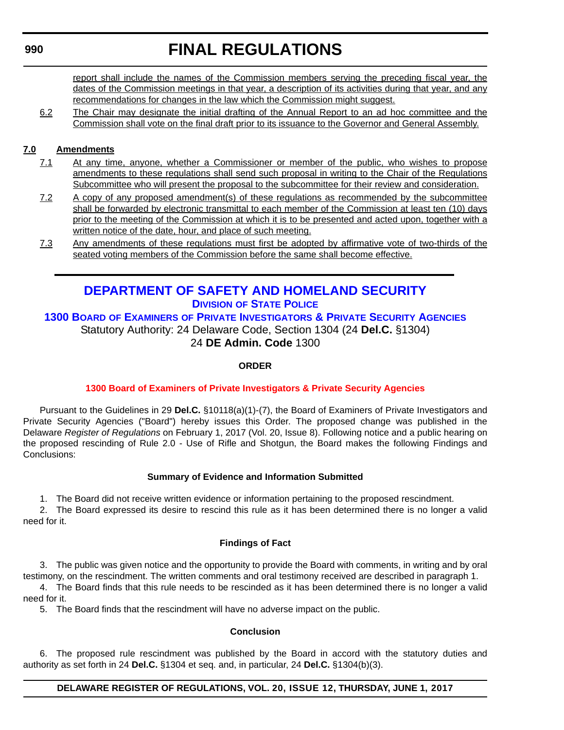# **FINAL REGULATIONS**

<span id="page-59-0"></span>report shall include the names of the Commission members serving the preceding fiscal year, the dates of the Commission meetings in that year, a description of its activities during that year, and any recommendations for changes in the law which the Commission might suggest.

6.2 The Chair may designate the initial drafting of the Annual Report to an ad hoc committee and the Commission shall vote on the final draft prior to its issuance to the Governor and General Assembly.

### **7.0 Amendments**

- 7.1 At any time, anyone, whether a Commissioner or member of the public, who wishes to propose amendments to these regulations shall send such proposal in writing to the Chair of the Regulations Subcommittee who will present the proposal to the subcommittee for their review and consideration.
- 7.2 A copy of any proposed amendment(s) of these regulations as recommended by the subcommittee shall be forwarded by electronic transmittal to each member of the Commission at least ten (10) days prior to the meeting of the Commission at which it is to be presented and acted upon, together with a written notice of the date, hour, and place of such meeting.
- 7.3 Any amendments of these regulations must first be adopted by affirmative vote of two-thirds of the seated voting members of the Commission before the same shall become effective.

### **[DEPARTMENT OF SAFETY AND HOMELAND SECURITY](http://dshs.delaware.gov/) DIVISION [OF STATE POLICE](http://dsp.delaware.gov/)**

**1300 BOARD OF EXAMINERS [OF PRIVATE INVESTIGATORS & PRIVATE SECURITY AGENCIES](http://dsp.delaware.gov/)** Statutory Authority: 24 Delaware Code, Section 1304 (24 **Del.C.** §1304) 24 **DE Admin. Code** 1300

### **ORDER**

### **[1300 Board of Examiners of Private Investigators & Private Security Agencies](#page-3-0)**

Pursuant to the Guidelines in 29 **Del.C.** §10118(a)(1)-(7), the Board of Examiners of Private Investigators and Private Security Agencies ("Board") hereby issues this Order. The proposed change was published in the Delaware *Register of Regulations* on February 1, 2017 (Vol. 20, Issue 8). Following notice and a public hearing on the proposed rescinding of Rule 2.0 - Use of Rifle and Shotgun, the Board makes the following Findings and Conclusions:

### **Summary of Evidence and Information Submitted**

1. The Board did not receive written evidence or information pertaining to the proposed rescindment.

2. The Board expressed its desire to rescind this rule as it has been determined there is no longer a valid need for it.

### **Findings of Fact**

3. The public was given notice and the opportunity to provide the Board with comments, in writing and by oral testimony, on the rescindment. The written comments and oral testimony received are described in paragraph 1.

4. The Board finds that this rule needs to be rescinded as it has been determined there is no longer a valid need for it.

5. The Board finds that the rescindment will have no adverse impact on the public.

### **Conclusion**

6. The proposed rule rescindment was published by the Board in accord with the statutory duties and authority as set forth in 24 **Del.C.** §1304 et seq. and, in particular, 24 **Del.C.** §1304(b)(3).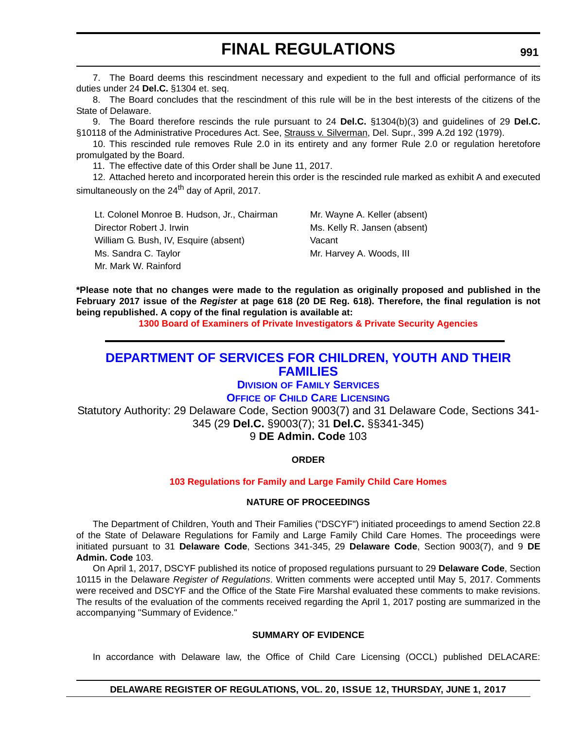<span id="page-60-0"></span>7. The Board deems this rescindment necessary and expedient to the full and official performance of its duties under 24 **Del.C.** §1304 et. seq.

8. The Board concludes that the rescindment of this rule will be in the best interests of the citizens of the State of Delaware.

9. The Board therefore rescinds the rule pursuant to 24 **Del.C.** §1304(b)(3) and guidelines of 29 **Del.C.** §10118 of the Administrative Procedures Act. See, Strauss v. Silverman, Del. Supr., 399 A.2d 192 (1979).

10. This rescinded rule removes Rule 2.0 in its entirety and any former Rule 2.0 or regulation heretofore promulgated by the Board.

11. The effective date of this Order shall be June 11, 2017.

12. Attached hereto and incorporated herein this order is the rescinded rule marked as exhibit A and executed simultaneously on the 24<sup>th</sup> day of April, 2017.

Lt. Colonel Monroe B. Hudson, Jr., Chairman Mr. Wayne A. Keller (absent) Director Robert J. Irwin Ms. Kelly R. Jansen (absent) William G. Bush, IV, Esquire (absent) Vacant Ms. Sandra C. Taylor Mr. Harvey A. Woods, III Mr. Mark W. Rainford

**\*Please note that no changes were made to the regulation as originally proposed and published in the February 2017 issue of the** *Register* **at page 618 (20 DE Reg. 618). Therefore, the final regulation is not being republished. A copy of the final regulation is available at:**

**[1300 Board of Examiners of Private Investigators & Private Security Agencies](http://regulations.delaware.gov/register/june2017/final/20 DE Reg 990 06-01-17.htm)** 

### **[DEPARTMENT OF SERVICES FOR CHILDREN, YOUTH AND THEIR](http://kids.delaware.gov/)  FAMILIES**

### **DIVISION [OF FAMILY SERVICES](http://kids.delaware.gov/fs/fs.shtml)**

### **OFFICE [OF CHILD CARE LICENSING](http://kids.delaware.gov/occl/occl.shtml)**

Statutory Authority: 29 Delaware Code, Section 9003(7) and 31 Delaware Code, Sections 341- 345 (29 **Del.C.** §9003(7); 31 **Del.C.** §§341-345)

### 9 **DE Admin. Code** 103

### **ORDER**

### **[103 Regulations for Family and Large Family Child Care Homes](#page-3-0)**

### **NATURE OF PROCEEDINGS**

The Department of Children, Youth and Their Families ("DSCYF") initiated proceedings to amend Section 22.8 of the State of Delaware Regulations for Family and Large Family Child Care Homes. The proceedings were initiated pursuant to 31 **Delaware Code**, Sections 341-345, 29 **Delaware Code**, Section 9003(7), and 9 **DE Admin. Code** 103.

On April 1, 2017, DSCYF published its notice of proposed regulations pursuant to 29 **Delaware Code**, Section 10115 in the Delaware *Register of Regulations*. Written comments were accepted until May 5, 2017. Comments were received and DSCYF and the Office of the State Fire Marshal evaluated these comments to make revisions. The results of the evaluation of the comments received regarding the April 1, 2017 posting are summarized in the accompanying "Summary of Evidence."

### **SUMMARY OF EVIDENCE**

In accordance with Delaware law, the Office of Child Care Licensing (OCCL) published DELACARE: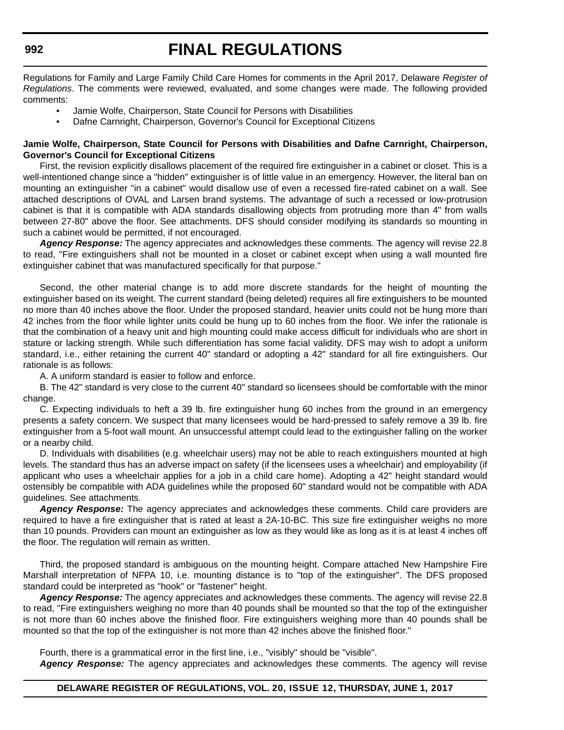Regulations for Family and Large Family Child Care Homes for comments in the April 2017, Delaware *Register of Regulations*. The comments were reviewed, evaluated, and some changes were made. The following provided comments:

- Jamie Wolfe, Chairperson, State Council for Persons with Disabilities
- Dafne Carnright, Chairperson, Governor's Council for Exceptional Citizens

### **Jamie Wolfe, Chairperson, State Council for Persons with Disabilities and Dafne Carnright, Chairperson, Governor's Council for Exceptional Citizens**

First, the revision explicitly disallows placement of the required fire extinguisher in a cabinet or closet. This is a well-intentioned change since a "hidden" extinguisher is of little value in an emergency. However, the literal ban on mounting an extinguisher "in a cabinet" would disallow use of even a recessed fire-rated cabinet on a wall. See attached descriptions of OVAL and Larsen brand systems. The advantage of such a recessed or low-protrusion cabinet is that it is compatible with ADA standards disallowing objects from protruding more than 4" from walls between 27-80" above the floor. See attachments. DFS should consider modifying its standards so mounting in such a cabinet would be permitted, if not encouraged.

*Agency Response:* The agency appreciates and acknowledges these comments. The agency will revise 22.8 to read, "Fire extinguishers shall not be mounted in a closet or cabinet except when using a wall mounted fire extinguisher cabinet that was manufactured specifically for that purpose."

Second, the other material change is to add more discrete standards for the height of mounting the extinguisher based on its weight. The current standard (being deleted) requires all fire extinguishers to be mounted no more than 40 inches above the floor. Under the proposed standard, heavier units could not be hung more than 42 inches from the floor while lighter units could be hung up to 60 inches from the floor. We infer the rationale is that the combination of a heavy unit and high mounting could make access difficult for individuals who are short in stature or lacking strength. While such differentiation has some facial validity, DFS may wish to adopt a uniform standard, i.e., either retaining the current 40" standard or adopting a 42" standard for all fire extinguishers. Our rationale is as follows:

A. A uniform standard is easier to follow and enforce.

B. The 42" standard is very close to the current 40" standard so licensees should be comfortable with the minor change.

C. Expecting individuals to heft a 39 lb. fire extinguisher hung 60 inches from the ground in an emergency presents a safety concern. We suspect that many licensees would be hard-pressed to safely remove a 39 lb. fire extinguisher from a 5-foot wall mount. An unsuccessful attempt could lead to the extinguisher falling on the worker or a nearby child.

D. Individuals with disabilities (e.g. wheelchair users) may not be able to reach extinguishers mounted at high levels. The standard thus has an adverse impact on safety (if the licensees uses a wheelchair) and employability (if applicant who uses a wheelchair applies for a job in a child care home). Adopting a 42" height standard would ostensibly be compatible with ADA guidelines while the proposed 60" standard would not be compatible with ADA guidelines. See attachments.

Agency Response: The agency appreciates and acknowledges these comments. Child care providers are required to have a fire extinguisher that is rated at least a 2A-10-BC. This size fire extinguisher weighs no more than 10 pounds. Providers can mount an extinguisher as low as they would like as long as it is at least 4 inches off the floor. The regulation will remain as written.

Third, the proposed standard is ambiguous on the mounting height. Compare attached New Hampshire Fire Marshall interpretation of NFPA 10, i.e. mounting distance is to "top of the extinguisher". The DFS proposed standard could be interpreted as "hook" or "fastener" height.

*Agency Response:* The agency appreciates and acknowledges these comments. The agency will revise 22.8 to read, "Fire extinguishers weighing no more than 40 pounds shall be mounted so that the top of the extinguisher is not more than 60 inches above the finished floor. Fire extinguishers weighing more than 40 pounds shall be mounted so that the top of the extinguisher is not more than 42 inches above the finished floor."

Fourth, there is a grammatical error in the first line, i.e., "visibly" should be "visible".

Agency Response: The agency appreciates and acknowledges these comments. The agency will revise

### **DELAWARE REGISTER OF REGULATIONS, VOL. 20, ISSUE 12, THURSDAY, JUNE 1, 2017**

#### **992**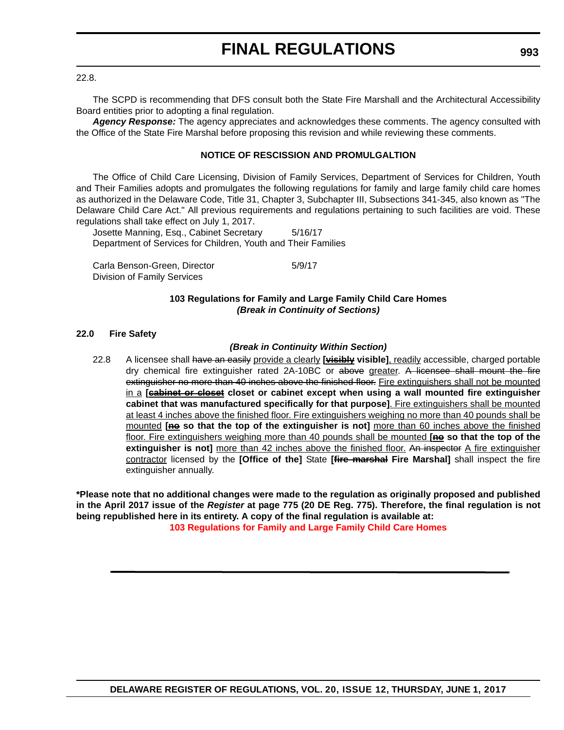22.8.

The SCPD is recommending that DFS consult both the State Fire Marshall and the Architectural Accessibility Board entities prior to adopting a final regulation.

*Agency Response:* The agency appreciates and acknowledges these comments. The agency consulted with the Office of the State Fire Marshal before proposing this revision and while reviewing these comments.

### **NOTICE OF RESCISSION AND PROMULGALTION**

The Office of Child Care Licensing, Division of Family Services, Department of Services for Children, Youth and Their Families adopts and promulgates the following regulations for family and large family child care homes as authorized in the Delaware Code, Title 31, Chapter 3, Subchapter III, Subsections 341-345, also known as "The Delaware Child Care Act." All previous requirements and regulations pertaining to such facilities are void. These regulations shall take effect on July 1, 2017.

Josette Manning, Esq., Cabinet Secretary 5/16/17 Department of Services for Children, Youth and Their Families

Carla Benson-Green, Director 6/9/17 Division of Family Services

### **103 Regulations for Family and Large Family Child Care Homes** *(Break in Continuity of Sections)*

### **22.0 Fire Safety**

### *(Break in Continuity Within Section)*

22.8 A licensee shall have an easily provide a clearly **[visibly visible]**, readily accessible, charged portable dry chemical fire extinguisher rated 2A-10BC or above greater. A licensee shall mount the fire extinguisher no more than 40 inches above the finished floor. Fire extinguishers shall not be mounted in a **[cabinet or closet closet or cabinet except when using a wall mounted fire extinguisher cabinet that was manufactured specifically for that purpose]**. Fire extinguishers shall be mounted at least 4 inches above the finished floor. Fire extinguishers weighing no more than 40 pounds shall be mounted [ne so that the top of the extinguisher is not] more than 60 inches above the finished floor. Fire extinguishers weighing more than 40 pounds shall be mounted **[no so that the top of the** extinguisher is not] more than 42 inches above the finished floor. An inspector A fire extinguisher contractor licensed by the **[Office of the]** State **[fire marshal Fire Marshal]** shall inspect the fire extinguisher annually.

**\*Please note that no additional changes were made to the regulation as originally proposed and published in the April 2017 issue of the** *Register* **at page 775 (20 DE Reg. 775). Therefore, the final regulation is not being republished here in its entirety. A copy of the final regulation is available at: [103 Regulations for Family and Large Family Child Care Homes](http://regulations.delaware.gov/register/june2017/final/20 DE Reg 991 06-01-17.htm)**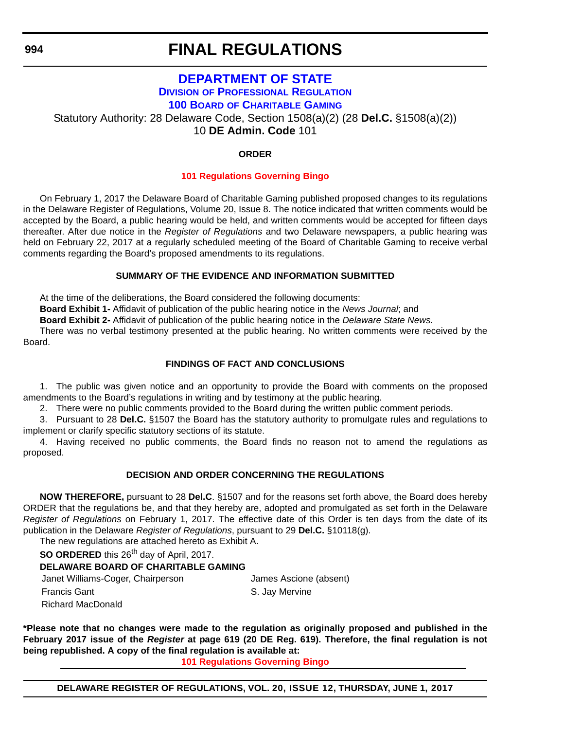# **FINAL REGULATIONS**

### **[DEPARTMENT OF STATE](http://sos.delaware.gov/) DIVISION [OF PROFESSIONAL REGULATION](http://dpr.delaware.gov/) 100 BOARD [OF CHARITABLE GAMING](http://dpr.delaware.gov/boards/gaming/index.shtml)**

<span id="page-63-0"></span>Statutory Authority: 28 Delaware Code, Section 1508(a)(2) (28 **Del.C.** §1508(a)(2))

10 **DE Admin. Code** 101

### **ORDER**

### **[101 Regulations Governing Bingo](#page-4-0)**

On February 1, 2017 the Delaware Board of Charitable Gaming published proposed changes to its regulations in the Delaware Register of Regulations, Volume 20, Issue 8. The notice indicated that written comments would be accepted by the Board, a public hearing would be held, and written comments would be accepted for fifteen days thereafter. After due notice in the *Register of Regulations* and two Delaware newspapers, a public hearing was held on February 22, 2017 at a regularly scheduled meeting of the Board of Charitable Gaming to receive verbal comments regarding the Board's proposed amendments to its regulations.

### **SUMMARY OF THE EVIDENCE AND INFORMATION SUBMITTED**

At the time of the deliberations, the Board considered the following documents:

**Board Exhibit 1-** Affidavit of publication of the public hearing notice in the *News Journal*; and

**Board Exhibit 2-** Affidavit of publication of the public hearing notice in the *Delaware State News*.

There was no verbal testimony presented at the public hearing. No written comments were received by the Board.

### **FINDINGS OF FACT AND CONCLUSIONS**

1. The public was given notice and an opportunity to provide the Board with comments on the proposed amendments to the Board's regulations in writing and by testimony at the public hearing.

2. There were no public comments provided to the Board during the written public comment periods.

3. Pursuant to 28 **Del.C.** §1507 the Board has the statutory authority to promulgate rules and regulations to implement or clarify specific statutory sections of its statute.

4. Having received no public comments, the Board finds no reason not to amend the regulations as proposed.

### **DECISION AND ORDER CONCERNING THE REGULATIONS**

**NOW THEREFORE,** pursuant to 28 **Del.C**. §1507 and for the reasons set forth above, the Board does hereby ORDER that the regulations be, and that they hereby are, adopted and promulgated as set forth in the Delaware *Register of Regulations* on February 1, 2017. The effective date of this Order is ten days from the date of its publication in the Delaware *Register of Regulations*, pursuant to 29 **Del.C.** §10118(g).

The new regulations are attached hereto as Exhibit A.

**SO ORDERED** this 26<sup>th</sup> day of April, 2017.

### **DELAWARE BOARD OF CHARITABLE GAMING**

Janet Williams-Coger, Chairperson James Ascione (absent) Francis Gant **S. Jay Mervine** 

Richard MacDonald

**\*Please note that no changes were made to the regulation as originally proposed and published in the February 2017 issue of the** *Register* **at page 619 (20 DE Reg. 619). Therefore, the final regulation is not being republished. A copy of the final regulation is available at:**

**[101 Regulations Governing Bingo](http://regulations.delaware.gov/register/june2017/final/20 DE Reg 994 06-01-17.htm)**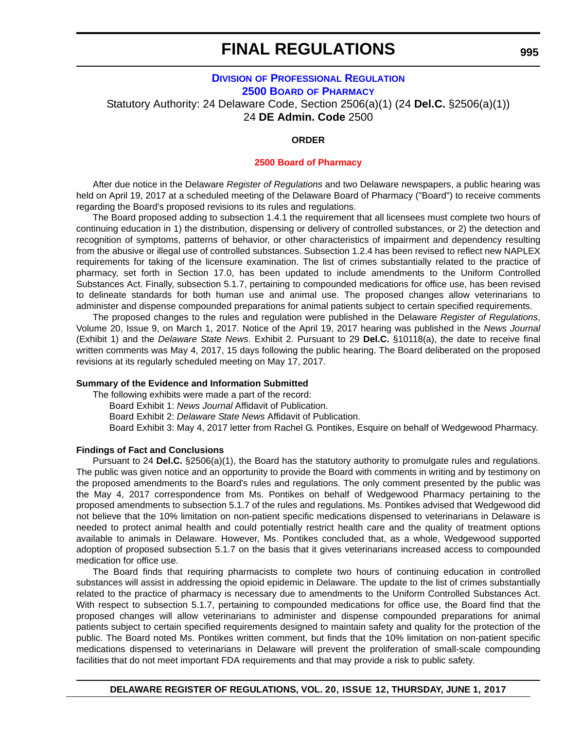### **DIVISION [OF PROFESSIONAL REGULATION](http://dpr.delaware.gov/) 2500 BOARD [OF PHARMACY](http://dpr.delaware.gov/boards/pharmacy/index.shtml)**

<span id="page-64-0"></span>Statutory Authority: 24 Delaware Code, Section 2506(a)(1) (24 **Del.C.** §2506(a)(1)) 24 **DE Admin. Code** 2500

### **ORDER**

### **[2500 Board of Pharmacy](#page-4-0)**

After due notice in the Delaware *Register of Regulations* and two Delaware newspapers, a public hearing was held on April 19, 2017 at a scheduled meeting of the Delaware Board of Pharmacy ("Board") to receive comments regarding the Board's proposed revisions to its rules and regulations.

The Board proposed adding to subsection 1.4.1 the requirement that all licensees must complete two hours of continuing education in 1) the distribution, dispensing or delivery of controlled substances, or 2) the detection and recognition of symptoms, patterns of behavior, or other characteristics of impairment and dependency resulting from the abusive or illegal use of controlled substances. Subsection 1.2.4 has been revised to reflect new NAPLEX requirements for taking of the licensure examination. The list of crimes substantially related to the practice of pharmacy, set forth in Section 17.0, has been updated to include amendments to the Uniform Controlled Substances Act. Finally, subsection 5.1.7, pertaining to compounded medications for office use, has been revised to delineate standards for both human use and animal use. The proposed changes allow veterinarians to administer and dispense compounded preparations for animal patients subject to certain specified requirements.

The proposed changes to the rules and regulation were published in the Delaware *Register of Regulations*, Volume 20, Issue 9, on March 1, 2017. Notice of the April 19, 2017 hearing was published in the *News Journal* (Exhibit 1) and the *Delaware State News*. Exhibit 2. Pursuant to 29 **Del.C.** §10118(a), the date to receive final written comments was May 4, 2017, 15 days following the public hearing. The Board deliberated on the proposed revisions at its regularly scheduled meeting on May 17, 2017.

#### **Summary of the Evidence and Information Submitted**

The following exhibits were made a part of the record:

Board Exhibit 1: *News Journal* Affidavit of Publication.

Board Exhibit 2: *Delaware State News* Affidavit of Publication.

Board Exhibit 3: May 4, 2017 letter from Rachel G. Pontikes, Esquire on behalf of Wedgewood Pharmacy.

#### **Findings of Fact and Conclusions**

Pursuant to 24 **Del.C.** §2506(a)(1), the Board has the statutory authority to promulgate rules and regulations. The public was given notice and an opportunity to provide the Board with comments in writing and by testimony on the proposed amendments to the Board's rules and regulations. The only comment presented by the public was the May 4, 2017 correspondence from Ms. Pontikes on behalf of Wedgewood Pharmacy pertaining to the proposed amendments to subsection 5.1.7 of the rules and regulations. Ms. Pontikes advised that Wedgewood did not believe that the 10% limitation on non-patient specific medications dispensed to veterinarians in Delaware is needed to protect animal health and could potentially restrict health care and the quality of treatment options available to animals in Delaware. However, Ms. Pontikes concluded that, as a whole, Wedgewood supported adoption of proposed subsection 5.1.7 on the basis that it gives veterinarians increased access to compounded medication for office use.

The Board finds that requiring pharmacists to complete two hours of continuing education in controlled substances will assist in addressing the opioid epidemic in Delaware. The update to the list of crimes substantially related to the practice of pharmacy is necessary due to amendments to the Uniform Controlled Substances Act. With respect to subsection 5.1.7, pertaining to compounded medications for office use, the Board find that the proposed changes will allow veterinarians to administer and dispense compounded preparations for animal patients subject to certain specified requirements designed to maintain safety and quality for the protection of the public. The Board noted Ms. Pontikes written comment, but finds that the 10% limitation on non-patient specific medications dispensed to veterinarians in Delaware will prevent the proliferation of small-scale compounding facilities that do not meet important FDA requirements and that may provide a risk to public safety.

**995**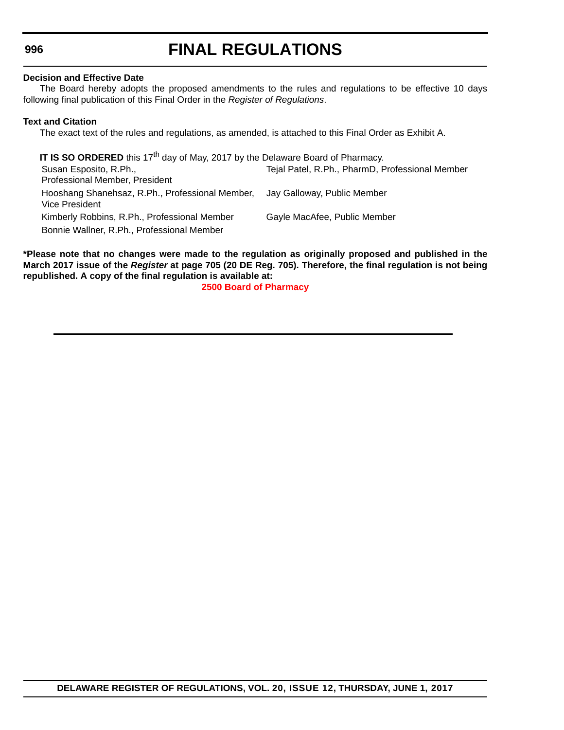# **FINAL REGULATIONS**

### **Decision and Effective Date**

The Board hereby adopts the proposed amendments to the rules and regulations to be effective 10 days following final publication of this Final Order in the *Register of Regulations*.

### **Text and Citation**

The exact text of the rules and regulations, as amended, is attached to this Final Order as Exhibit A.

**IT IS SO ORDERED** this 17<sup>th</sup> day of May, 2017 by the Delaware Board of Pharmacy. Susan Esposito, R.Ph., Professional Member, President Tejal Patel, R.Ph., PharmD, Professional Member Hooshang Shanehsaz, R.Ph., Professional Member, Vice President Jay Galloway, Public Member Kimberly Robbins, R.Ph., Professional Member Gayle MacAfee, Public Member Bonnie Wallner, R.Ph., Professional Member

**\*Please note that no changes were made to the regulation as originally proposed and published in the March 2017 issue of the** *Register* **at page 705 (20 DE Reg. 705). Therefore, the final regulation is not being republished. A copy of the final regulation is available at:**

**[2500 Board of Pharmacy](http://regulations.delaware.gov/register/june2017/final/20 DE Reg 995 06-01-17.htm)**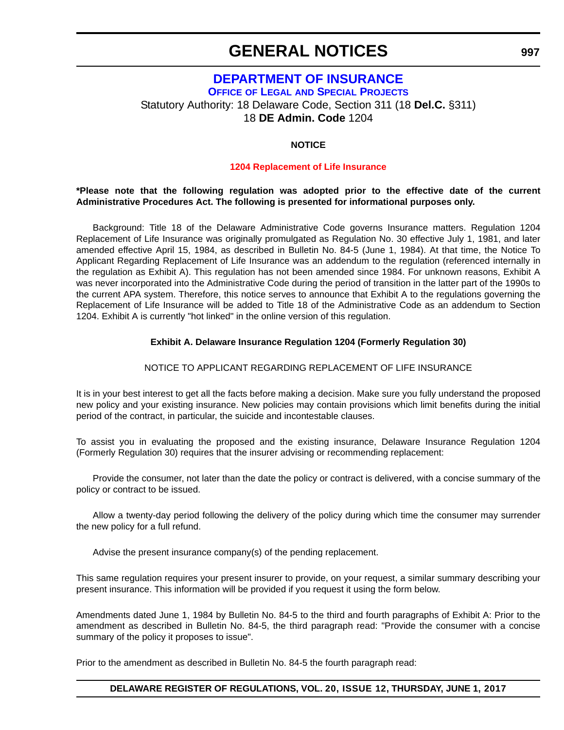### **GENERAL NOTICES**

### <span id="page-66-0"></span>**[DEPARTMENT OF INSURANCE](http://insurance.delaware.gov/) OFFICE OF LEGAL [AND SPECIAL PROJECTS](http://insurance.delaware.gov/divisions/)** Statutory Authority: 18 Delaware Code, Section 311 (18 **Del.C.** §311) 18 **DE Admin. Code** 1204

### **NOTICE**

### **[1204 Replacement of Life Insurance](#page-4-0)**

### **\*Please note that the following regulation was adopted prior to the effective date of the current Administrative Procedures Act. The following is presented for informational purposes only.**

Background: Title 18 of the Delaware Administrative Code governs Insurance matters. Regulation 1204 Replacement of Life Insurance was originally promulgated as Regulation No. 30 effective July 1, 1981, and later amended effective April 15, 1984, as described in Bulletin No. 84-5 (June 1, 1984). At that time, the Notice To Applicant Regarding Replacement of Life Insurance was an addendum to the regulation (referenced internally in the regulation as Exhibit A). This regulation has not been amended since 1984. For unknown reasons, Exhibit A was never incorporated into the Administrative Code during the period of transition in the latter part of the 1990s to the current APA system. Therefore, this notice serves to announce that Exhibit A to the regulations governing the Replacement of Life Insurance will be added to Title 18 of the Administrative Code as an addendum to Section 1204. Exhibit A is currently "hot linked" in the online version of this regulation.

### **Exhibit A. Delaware Insurance Regulation 1204 (Formerly Regulation 30)**

### NOTICE TO APPLICANT REGARDING REPLACEMENT OF LIFE INSURANCE

It is in your best interest to get all the facts before making a decision. Make sure you fully understand the proposed new policy and your existing insurance. New policies may contain provisions which limit benefits during the initial period of the contract, in particular, the suicide and incontestable clauses.

To assist you in evaluating the proposed and the existing insurance, Delaware Insurance Regulation 1204 (Formerly Regulation 30) requires that the insurer advising or recommending replacement:

Provide the consumer, not later than the date the policy or contract is delivered, with a concise summary of the policy or contract to be issued.

Allow a twenty-day period following the delivery of the policy during which time the consumer may surrender the new policy for a full refund.

Advise the present insurance company(s) of the pending replacement.

This same regulation requires your present insurer to provide, on your request, a similar summary describing your present insurance. This information will be provided if you request it using the form below.

Amendments dated June 1, 1984 by Bulletin No. 84-5 to the third and fourth paragraphs of Exhibit A: Prior to the amendment as described in Bulletin No. 84-5, the third paragraph read: "Provide the consumer with a concise summary of the policy it proposes to issue".

Prior to the amendment as described in Bulletin No. 84-5 the fourth paragraph read:

**997**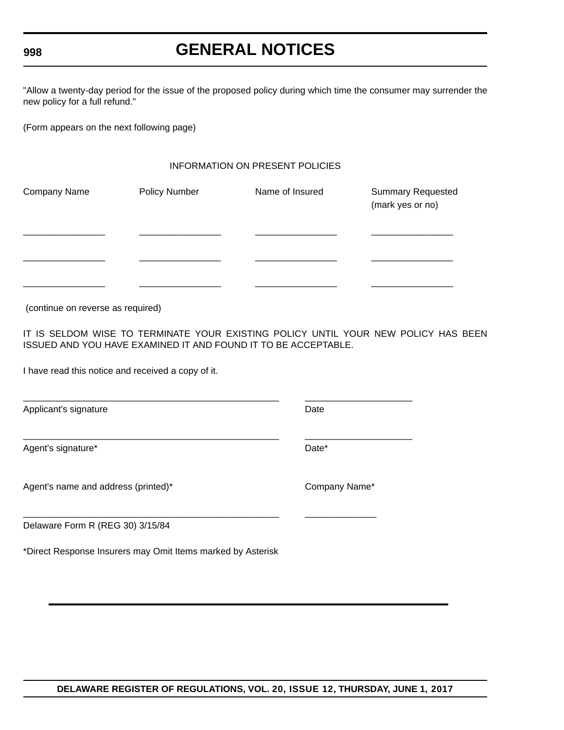### **GENERAL NOTICES**

"Allow a twenty-day period for the issue of the proposed policy during which time the consumer may surrender the new policy for a full refund."

(Form appears on the next following page)

### INFORMATION ON PRESENT POLICIES

| Company Name | <b>Policy Number</b> | Name of Insured | <b>Summary Requested</b><br>(mark yes or no) |
|--------------|----------------------|-----------------|----------------------------------------------|
|              |                      |                 |                                              |
|              |                      |                 |                                              |
|              |                      |                 |                                              |

(continue on reverse as required)

IT IS SELDOM WISE TO TERMINATE YOUR EXISTING POLICY UNTIL YOUR NEW POLICY HAS BEEN ISSUED AND YOU HAVE EXAMINED IT AND FOUND IT TO BE ACCEPTABLE.

\_\_\_\_\_\_\_\_\_\_\_\_\_\_\_\_\_\_\_\_\_\_\_\_\_\_\_\_\_\_\_\_\_\_\_\_\_\_\_\_\_\_\_\_\_\_\_\_\_\_ \_\_\_\_\_\_\_\_\_\_\_\_\_\_\_\_\_\_\_\_\_

\_\_\_\_\_\_\_\_\_\_\_\_\_\_\_\_\_\_\_\_\_\_\_\_\_\_\_\_\_\_\_\_\_\_\_\_\_\_\_\_\_\_\_\_\_\_\_\_\_\_ \_\_\_\_\_\_\_\_\_\_\_\_\_\_\_\_\_\_\_\_\_

\_\_\_\_\_\_\_\_\_\_\_\_\_\_\_\_\_\_\_\_\_\_\_\_\_\_\_\_\_\_\_\_\_\_\_\_\_\_\_\_\_\_\_\_\_\_\_\_\_\_ \_\_\_\_\_\_\_\_\_\_\_\_\_\_

I have read this notice and received a copy of it.

Applicant's signature Date Date

Agent's signature\* Date **Date Date Date Date Date Date Date Date Date Date Date Date Date Date D** 

Agent's name and address (printed)\* Company Name\*

Delaware Form R (REG 30) 3/15/84

\*Direct Response Insurers may Omit Items marked by Asterisk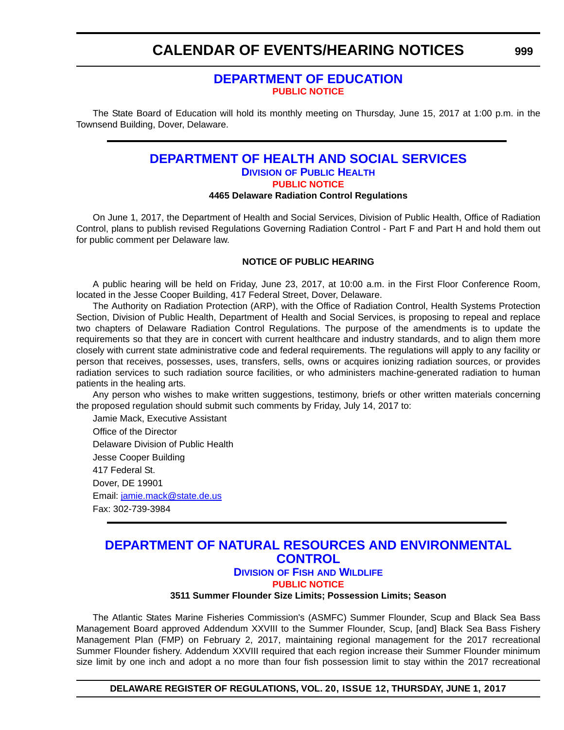### <span id="page-68-0"></span>**CALENDAR OF EVENTS/HEARING NOTICES**

### **[DEPARTMENT OF EDUCATION](https://www.doe.k12.de.us/) [PUBLIC NOTICE](#page-4-0)**

The State Board of Education will hold its monthly meeting on Thursday, June 15, 2017 at 1:00 p.m. in the Townsend Building, Dover, Delaware.

### **[DEPARTMENT OF HEALTH AND SOCIAL SERVICES](http://www.dhss.delaware.gov/dhss/index.html) DIVISION [OF PUBLIC HEALTH](http://www.dhss.delaware.gov/dhss/dph/index.html) [PUBLIC NOTICE](#page-4-0) 4465 Delaware Radiation Control Regulations**

On June 1, 2017, the Department of Health and Social Services, Division of Public Health, Office of Radiation Control, plans to publish revised Regulations Governing Radiation Control - Part F and Part H and hold them out for public comment per Delaware law.

### **NOTICE OF PUBLIC HEARING**

A public hearing will be held on Friday, June 23, 2017, at 10:00 a.m. in the First Floor Conference Room, located in the Jesse Cooper Building, 417 Federal Street, Dover, Delaware.

The Authority on Radiation Protection (ARP), with the Office of Radiation Control, Health Systems Protection Section, Division of Public Health, Department of Health and Social Services, is proposing to repeal and replace two chapters of Delaware Radiation Control Regulations. The purpose of the amendments is to update the requirements so that they are in concert with current healthcare and industry standards, and to align them more closely with current state administrative code and federal requirements. The regulations will apply to any facility or person that receives, possesses, uses, transfers, sells, owns or acquires ionizing radiation sources, or provides radiation services to such radiation source facilities, or who administers machine-generated radiation to human patients in the healing arts.

Any person who wishes to make written suggestions, testimony, briefs or other written materials concerning the proposed regulation should submit such comments by Friday, July 14, 2017 to:

Jamie Mack, Executive Assistant Office of the Director Delaware Division of Public Health Jesse Cooper Building 417 Federal St. Dover, DE 19901 Email: [jamie.mack@state.de.us](mailto:jamie.mack@state.de.us) Fax: 302-739-3984

### **[DEPARTMENT OF NATURAL RESOURCES AND ENVIRONMENTAL](http://www.dnrec.delaware.gov/Pages/Portal.aspx)  CONTROL**

### **DIVISION OF FISH [AND WILDLIFE](http://www.dnrec.delaware.gov/fw/Pages/DFW-Portal.aspx)**

**[PUBLIC NOTICE](#page-4-0)**

**3511 Summer Flounder Size Limits; Possession Limits; Season**

The Atlantic States Marine Fisheries Commission's (ASMFC) Summer Flounder, Scup and Black Sea Bass Management Board approved Addendum XXVIII to the Summer Flounder, Scup, [and] Black Sea Bass Fishery Management Plan (FMP) on February 2, 2017, maintaining regional management for the 2017 recreational Summer Flounder fishery. Addendum XXVIII required that each region increase their Summer Flounder minimum size limit by one inch and adopt a no more than four fish possession limit to stay within the 2017 recreational

**DELAWARE REGISTER OF REGULATIONS, VOL. 20, ISSUE 12, THURSDAY, JUNE 1, 2017**

**999**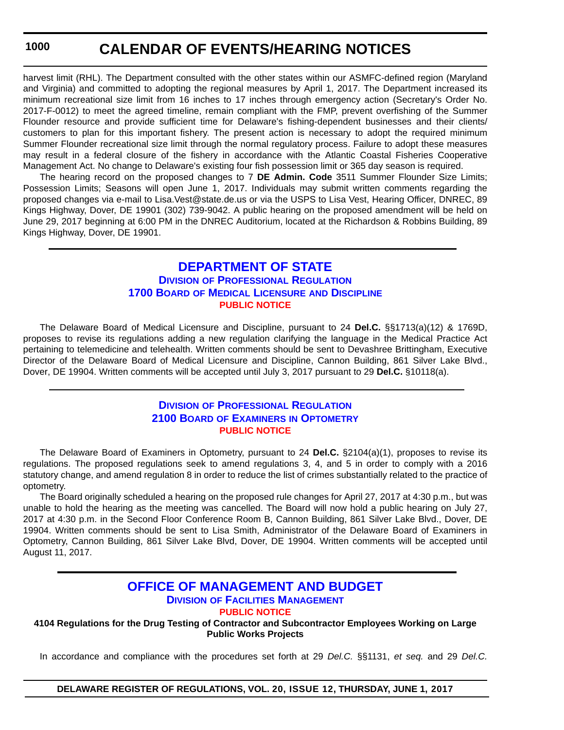### **CALENDAR OF EVENTS/HEARING NOTICES**

<span id="page-69-0"></span>harvest limit (RHL). The Department consulted with the other states within our ASMFC-defined region (Maryland and Virginia) and committed to adopting the regional measures by April 1, 2017. The Department increased its minimum recreational size limit from 16 inches to 17 inches through emergency action (Secretary's Order No. 2017-F-0012) to meet the agreed timeline, remain compliant with the FMP, prevent overfishing of the Summer Flounder resource and provide sufficient time for Delaware's fishing-dependent businesses and their clients/ customers to plan for this important fishery. The present action is necessary to adopt the required minimum Summer Flounder recreational size limit through the normal regulatory process. Failure to adopt these measures may result in a federal closure of the fishery in accordance with the Atlantic Coastal Fisheries Cooperative Management Act. No change to Delaware's existing four fish possession limit or 365 day season is required.

The hearing record on the proposed changes to 7 **DE Admin. Code** 3511 Summer Flounder Size Limits; Possession Limits; Seasons will open June 1, 2017. Individuals may submit written comments regarding the proposed changes via e-mail to Lisa.Vest@state.de.us or via the USPS to Lisa Vest, Hearing Officer, DNREC, 89 Kings Highway, Dover, DE 19901 (302) 739-9042. A public hearing on the proposed amendment will be held on June 29, 2017 beginning at 6:00 PM in the DNREC Auditorium, located at the Richardson & Robbins Building, 89 Kings Highway, Dover, DE 19901.

### **[DEPARTMENT OF STATE](http://sos.delaware.gov/) DIVISION [OF PROFESSIONAL REGULATION](http://dpr.delaware.gov/) 1700 BOARD [OF MEDICAL LICENSURE](http://dpr.delaware.gov/) AND DISCIPLINE [PUBLIC NOTICE](#page-4-0)**

The Delaware Board of Medical Licensure and Discipline, pursuant to 24 **Del.C.** §§1713(a)(12) & 1769D, proposes to revise its regulations adding a new regulation clarifying the language in the Medical Practice Act pertaining to telemedicine and telehealth. Written comments should be sent to Devashree Brittingham, Executive Director of the Delaware Board of Medical Licensure and Discipline, Cannon Building, 861 Silver Lake Blvd., Dover, DE 19904. Written comments will be accepted until July 3, 2017 pursuant to 29 **Del.C.** §10118(a).

### **DIVISION [OF PROFESSIONAL REGULATION](http://dpr.delaware.gov/) 2100 BOARD OF EXAMINERS [IN OPTOMETRY](http://dpr.delaware.gov/) [PUBLIC NOTICE](#page-4-0)**

The Delaware Board of Examiners in Optometry, pursuant to 24 **Del.C.** §2104(a)(1), proposes to revise its regulations. The proposed regulations seek to amend regulations 3, 4, and 5 in order to comply with a 2016 statutory change, and amend regulation 8 in order to reduce the list of crimes substantially related to the practice of optometry.

The Board originally scheduled a hearing on the proposed rule changes for April 27, 2017 at 4:30 p.m., but was unable to hold the hearing as the meeting was cancelled. The Board will now hold a public hearing on July 27, 2017 at 4:30 p.m. in the Second Floor Conference Room B, Cannon Building, 861 Silver Lake Blvd., Dover, DE 19904. Written comments should be sent to Lisa Smith, Administrator of the Delaware Board of Examiners in Optometry, Cannon Building, 861 Silver Lake Blvd, Dover, DE 19904. Written comments will be accepted until August 11, 2017.

### **[OFFICE OF MANAGEMENT AND BUDGET](http://omb.delaware.gov/) DIVISION [OF FACILITIES MANAGEMENT](http://dfm.delaware.gov/)**

**[PUBLIC NOTICE](#page-4-0)**

**4104 Regulations for the Drug Testing of Contractor and Subcontractor Employees Working on Large Public Works Projects**

In accordance and compliance with the procedures set forth at 29 *Del.C.* §§1131, *et seq.* and 29 *Del.C.*